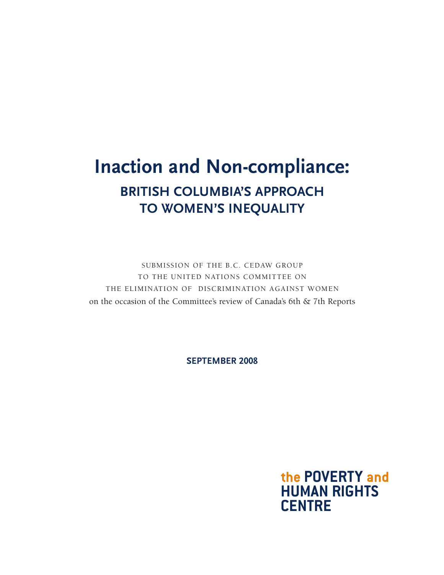# **Inaction and Non-compliance: British Columbia's Approach to Women's Inequality**

Submission of the B.C. CEDAW Group to the United Nations Committee on the Elimination of Discrimination against Women on the occasion of the Committee's review of Canada's 6th & 7th Reports

**september 2008**

the POVERTY and **Human Rights centre**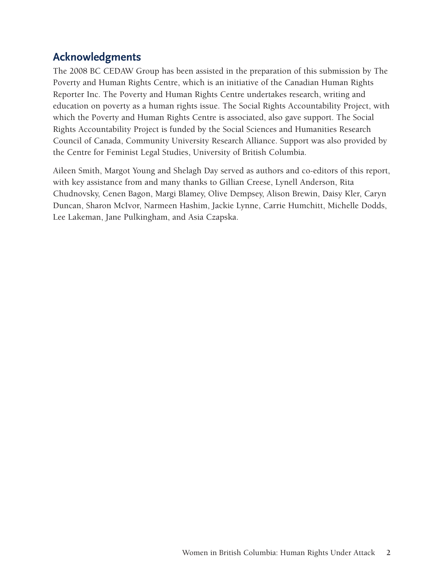## **Acknowledgments**

The 2008 BC CEDAW Group has been assisted in the preparation of this submission by The Poverty and Human Rights Centre, which is an initiative of the Canadian Human Rights Reporter Inc. The Poverty and Human Rights Centre undertakes research, writing and education on poverty as a human rights issue. The Social Rights Accountability Project, with which the Poverty and Human Rights Centre is associated, also gave support. The Social Rights Accountability Project is funded by the Social Sciences and Humanities Research Council of Canada, Community University Research Alliance. Support was also provided by the Centre for Feminist Legal Studies, University of British Columbia.

Aileen Smith, Margot Young and Shelagh Day served as authors and co-editors of this report, with key assistance from and many thanks to Gillian Creese, Lynell Anderson, Rita Chudnovsky, Cenen Bagon, Margi Blamey, Olive Dempsey, Alison Brewin, Daisy Kler, Caryn Duncan, Sharon McIvor, Narmeen Hashim, Jackie Lynne, Carrie Humchitt, Michelle Dodds, Lee Lakeman, Jane Pulkingham, and Asia Czapska.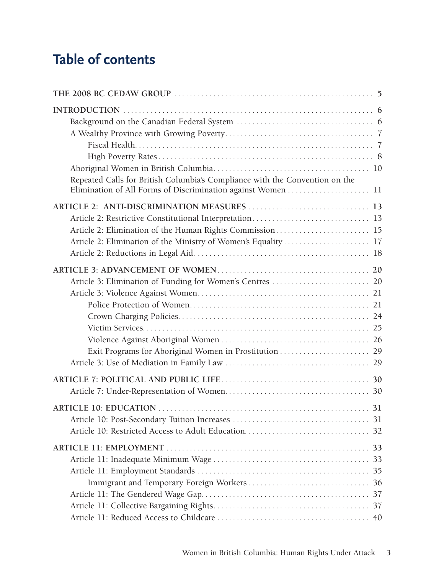# **Table of contents**

| Repeated Calls for British Columbia's Compliance with the Convention on the |
|-----------------------------------------------------------------------------|
| Article 2: Elimination of the Ministry of Women's Equality  17              |
|                                                                             |
|                                                                             |
|                                                                             |
|                                                                             |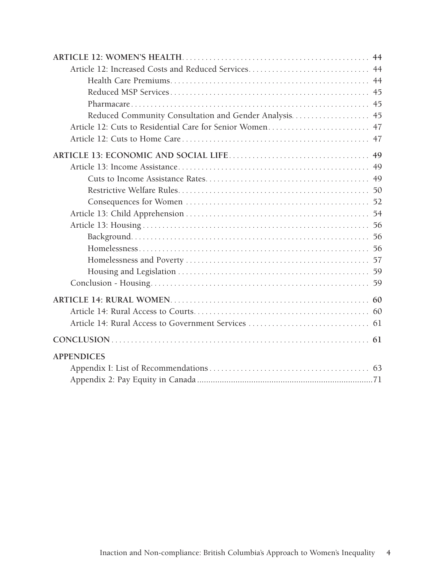| Reduced Community Consultation and Gender Analysis 45 |  |
|-------------------------------------------------------|--|
|                                                       |  |
|                                                       |  |
|                                                       |  |
|                                                       |  |
|                                                       |  |
|                                                       |  |
|                                                       |  |
|                                                       |  |
|                                                       |  |
|                                                       |  |
|                                                       |  |
|                                                       |  |
|                                                       |  |
|                                                       |  |
|                                                       |  |
|                                                       |  |
|                                                       |  |
|                                                       |  |
| <b>APPENDICES</b>                                     |  |
|                                                       |  |
|                                                       |  |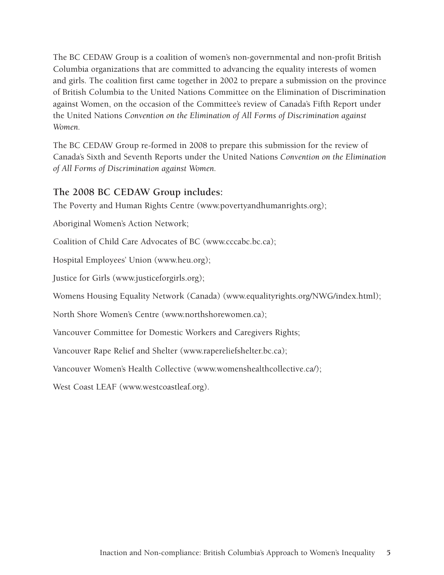The BC CEDAW Group is a coalition of women's non-governmental and non-profit British Columbia organizations that are committed to advancing the equality interests of women and girls. The coalition first came together in 2002 to prepare a submission on the province of British Columbia to the United Nations Committee on the Elimination of Discrimination against Women, on the occasion of the Committee's review of Canada's Fifth Report under the United Nations *Convention on the Elimination of All Forms of Discrimination against Women.*

The BC CEDAW Group re-formed in 2008 to prepare this submission for the review of Canada's Sixth and Seventh Reports under the United Nations *Convention on the Elimination of All Forms of Discrimination against Women.*

#### **The 2008 BC CEDAW Group includes:**

The Poverty and Human Rights Centre (www.povertyandhumanrights.org);

Aboriginal Women's Action Network;

Coalition of Child Care Advocates of BC (www.cccabc.bc.ca);

Hospital Employees' Union (www.heu.org);

Justice for Girls (www.justiceforgirls.org);

Womens Housing Equality Network (Canada) (www.equalityrights.org/NWG/index.html);

North Shore Women's Centre (www.northshorewomen.ca);

Vancouver Committee for Domestic Workers and Caregivers Rights;

Vancouver Rape Relief and Shelter (www.rapereliefshelter.bc.ca);

Vancouver Women's Health Collective [\(www.womenshealthcollective.ca/\)](http://www.womenshealthcollective.ca/);

West Coast LEAF (www.westcoastleaf.org).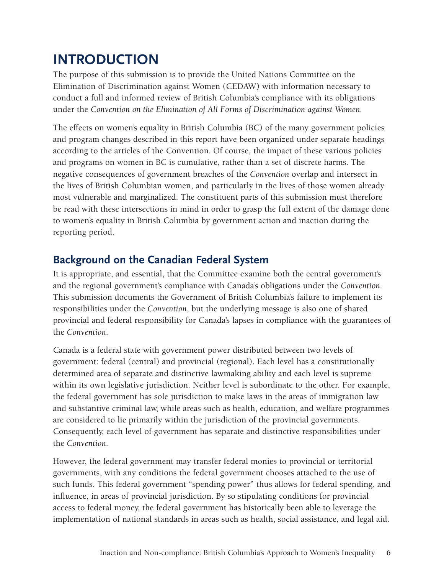# **INTRODUCTION**

The purpose of this submission is to provide the United Nations Committee on the Elimination of Discrimination against Women (CEDAW) with information necessary to conduct a full and informed review of British Columbia's compliance with its obligations under the *Convention on the Elimination of All Forms of Discrimination against Women.* 

The effects on women's equality in British Columbia (BC) of the many government policies and program changes described in this report have been organized under separate headings according to the articles of the Convention. Of course, the impact of these various policies and programs on women in BC is cumulative, rather than a set of discrete harms. The negative consequences of government breaches of the *Convention* overlap and intersect in the lives of British Columbian women, and particularly in the lives of those women already most vulnerable and marginalized. The constituent parts of this submission must therefore be read with these intersections in mind in order to grasp the full extent of the damage done to women's equality in British Columbia by government action and inaction during the reporting period.

# **Background on the Canadian Federal System**

It is appropriate, and essential, that the Committee examine both the central government's and the regional government's compliance with Canada's obligations under the *Convention*. This submission documents the Government of British Columbia's failure to implement its responsibilities under the *Convention*, but the underlying message is also one of shared provincial and federal responsibility for Canada's lapses in compliance with the guarantees of the *Convention*.

Canada is a federal state with government power distributed between two levels of government: federal (central) and provincial (regional). Each level has a constitutionally determined area of separate and distinctive lawmaking ability and each level is supreme within its own legislative jurisdiction. Neither level is subordinate to the other. For example, the federal government has sole jurisdiction to make laws in the areas of immigration law and substantive criminal law, while areas such as health, education, and welfare programmes are considered to lie primarily within the jurisdiction of the provincial governments. Consequently, each level of government has separate and distinctive responsibilities under the *Convention*.

However, the federal government may transfer federal monies to provincial or territorial governments, with any conditions the federal government chooses attached to the use of such funds. This federal government "spending power" thus allows for federal spending, and influence, in areas of provincial jurisdiction. By so stipulating conditions for provincial access to federal money, the federal government has historically been able to leverage the implementation of national standards in areas such as health, social assistance, and legal aid.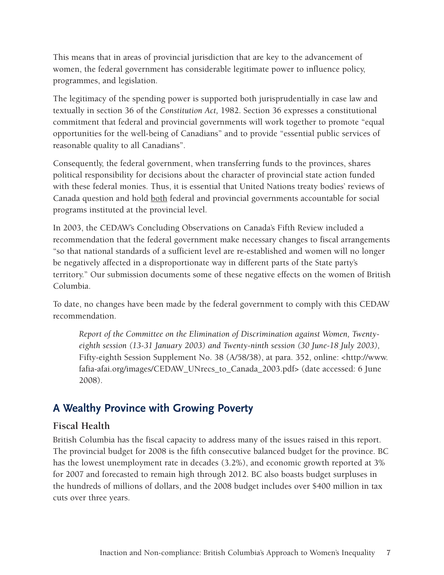This means that in areas of provincial jurisdiction that are key to the advancement of women, the federal government has considerable legitimate power to influence policy, programmes, and legislation.

The legitimacy of the spending power is supported both jurisprudentially in case law and textually in section 36 of the *Constitution Act,* 1982. Section 36 expresses a constitutional commitment that federal and provincial governments will work together to promote "equal opportunities for the well-being of Canadians" and to provide "essential public services of reasonable quality to all Canadians".

Consequently, the federal government, when transferring funds to the provinces, shares political responsibility for decisions about the character of provincial state action funded with these federal monies. Thus, it is essential that United Nations treaty bodies' reviews of Canada question and hold both federal and provincial governments accountable for social programs instituted at the provincial level.

In 2003, the CEDAW's Concluding Observations on Canada's Fifth Review included a recommendation that the federal government make necessary changes to fiscal arrangements "so that national standards of a sufficient level are re-established and women will no longer be negatively affected in a disproportionate way in different parts of the State party's territory." Our submission documents some of these negative effects on the women of British Columbia.

To date, no changes have been made by the federal government to comply with this CEDAW recommendation.

*Report of the Committee on the Elimination of Discrimination against Women, Twentyeighth session (13-31 January 2003) and Twenty-ninth session (30 June-18 July 2003),*  Fifty-eighth Session Supplement No. 38 (A/58/38), at para. 352, online: [<http://www.](http://www.fafia-afai.org/images/CEDAW_UNrecs_to_Canada_2003.pdf) [fafia-afai.org/images/CEDAW\\_UNrecs\\_to\\_Canada\\_2003.pdf](http://www.fafia-afai.org/images/CEDAW_UNrecs_to_Canada_2003.pdf)> (date accessed: 6 June 2008).

# **A Wealthy Province with Growing Poverty**

#### **Fiscal Health**

British Columbia has the fiscal capacity to address many of the issues raised in this report. The provincial budget for 2008 is the fifth consecutive balanced budget for the province. BC has the lowest unemployment rate in decades (3.2%), and economic growth reported at 3% for 2007 and forecasted to remain high through 2012. BC also boasts budget surpluses in the hundreds of millions of dollars, and the 2008 budget includes over \$400 million in tax cuts over three years.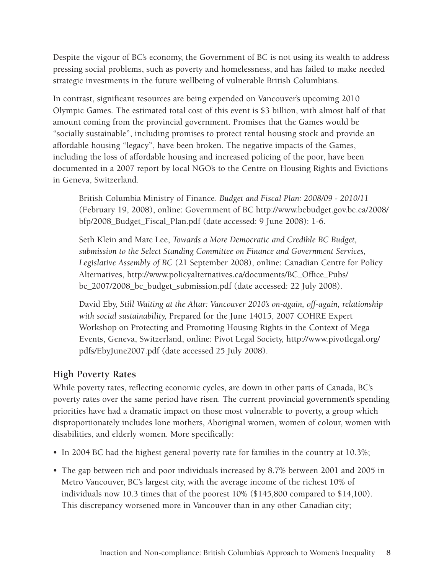Despite the vigour of BC's economy, the Government of BC is not using its wealth to address pressing social problems, such as poverty and homelessness, and has failed to make needed strategic investments in the future wellbeing of vulnerable British Columbians.

In contrast, significant resources are being expended on Vancouver's upcoming 2010 Olympic Games. The estimated total cost of this event is \$3 billion, with almost half of that amount coming from the provincial government. Promises that the Games would be "socially sustainable", including promises to protect rental housing stock and provide an affordable housing "legacy", have been broken. The negative impacts of the Games, including the loss of affordable housing and increased policing of the poor, have been documented in a 2007 report by local NGO's to the Centre on Housing Rights and Evictions in Geneva, Switzerland.

British Columbia Ministry of Finance. *Budget and Fiscal Plan: 2008/09 - 2010/11*  (February 19, 2008), online: Government of BC [http://www.bcbudget.gov.bc.ca/2008/](http://www.bcbudget.gov.bc.ca/2008/bfp/2008_Budget_Fiscal_Plan.pdf) [bfp/2008\\_Budget\\_Fiscal\\_Plan.pdf](http://www.bcbudget.gov.bc.ca/2008/bfp/2008_Budget_Fiscal_Plan.pdf) (date accessed: 9 June 2008): 1-6.

Seth Klein and Marc Lee, *Towards a More Democratic and Credible BC Budget, submission to the Select Standing Committee on Finance and Government Services, Legislative Assembly of BC* (21 September 2008), online: Canadian Centre for Policy Alternatives, [http://www.policyalternatives.ca/documents/BC\\_Office\\_Pubs/](http://www.policyalternatives.ca/documents/BC_Office_Pubs/bc_2007/2008_bc_budget_submission.pdf) [bc\\_2007/2008\\_bc\\_budget\\_submission.pdf](http://www.policyalternatives.ca/documents/BC_Office_Pubs/bc_2007/2008_bc_budget_submission.pdf) (date accessed: 22 July 2008).

David Eby, *Still Waiting at the Altar: Vancouver 2010's on-again, off-again, relationship with social sustainability,* Prepared for the June 14015, 2007 COHRE Expert Workshop on Protecting and Promoting Housing Rights in the Context of Mega Events, Geneva, Switzerland, online: Pivot Legal Society, [http://www.pivotlegal.org/](http://www.pivotlegal.org/pdfs/EbyJune2007.pdf) [pdfs/EbyJune2007.pdf](http://www.pivotlegal.org/pdfs/EbyJune2007.pdf) (date accessed 25 July 2008).

#### **High Poverty Rates**

While poverty rates, reflecting economic cycles, are down in other parts of Canada, BC's poverty rates over the same period have risen. The current provincial government's spending priorities have had a dramatic impact on those most vulnerable to poverty, a group which disproportionately includes lone mothers, Aboriginal women, women of colour, women with disabilities, and elderly women. More specifically:

- In 2004 BC had the highest general poverty rate for families in the country at 10.3%;
- The gap between rich and poor individuals increased by 8.7% between 2001 and 2005 in Metro Vancouver, BC's largest city, with the average income of the richest 10% of individuals now 10.3 times that of the poorest 10% (\$145,800 compared to \$14,100). This discrepancy worsened more in Vancouver than in any other Canadian city;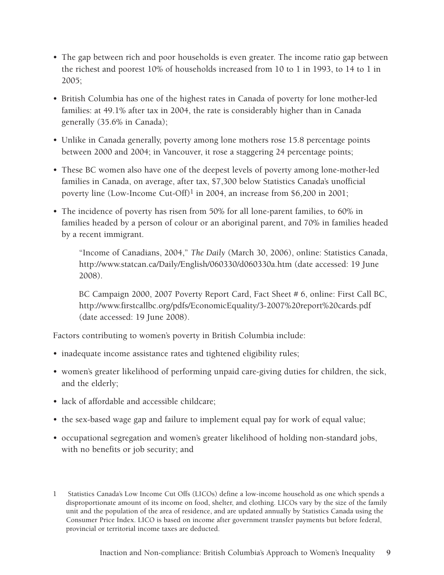- The gap between rich and poor households is even greater. The income ratio gap between the richest and poorest 10% of households increased from 10 to 1 in 1993, to 14 to 1 in 2005;
- British Columbia has one of the highest rates in Canada of poverty for lone mother-led families: at 49.1% after tax in 2004, the rate is considerably higher than in Canada generally (35.6% in Canada);
- Unlike in Canada generally, poverty among lone mothers rose 15.8 percentage points between 2000 and 2004; in Vancouver, it rose a staggering 24 percentage points;
- These BC women also have one of the deepest levels of poverty among lone-mother-led families in Canada, on average, after tax, \$7,300 below Statistics Canada's unofficial poverty line (Low-Income Cut-Off)<sup>1</sup> in 2004, an increase from \$6,200 in 2001;
- The incidence of poverty has risen from 50% for all lone-parent families, to 60% in families headed by a person of colour or an aboriginal parent, and 70% in families headed by a recent immigrant.

"Income of Canadians, 2004," *The Daily* (March 30, 2006), online: Statistics Canada, <http://www.statcan.ca/Daily/English/060330/d060330a.htm>(date accessed: 19 June 2008).

BC Campaign 2000, 2007 Poverty Report Card, Fact Sheet # 6, online: First Call BC, [http://www.firstcallbc.org/pdfs/EconomicEquality/3-2007%20report%20cards.pdf](http://www.firstcallbc.org/pdfs/EconomicEquality/3-2007 report cards.pdf) (date accessed: 19 June 2008).

Factors contributing to women's poverty in British Columbia include:

- inadequate income assistance rates and tightened eligibility rules;
- women's greater likelihood of performing unpaid care-giving duties for children, the sick, and the elderly;
- lack of affordable and accessible childcare;
- the sex-based wage gap and failure to implement equal pay for work of equal value;
- occupational segregation and women's greater likelihood of holding non-standard jobs, with no benefits or job security; and

<sup>1</sup> Statistics Canada's Low Income Cut Offs (LICOs) define a low-income household as one which spends a disproportionate amount of its income on food, shelter, and clothing. LICOs vary by the size of the family unit and the population of the area of residence, and are updated annually by Statistics Canada using the Consumer Price Index. LICO is based on income after government transfer payments but before federal, provincial or territorial income taxes are deducted.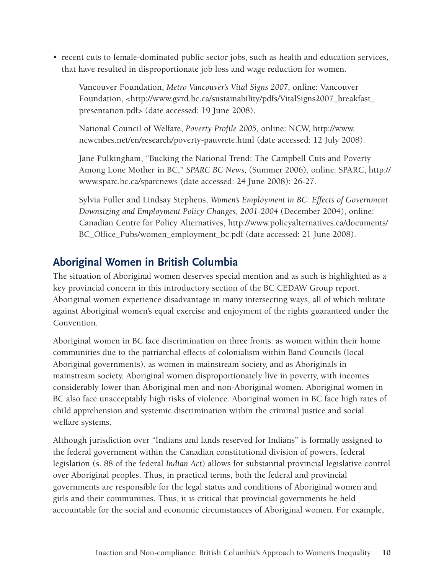• recent cuts to female-dominated public sector jobs, such as health and education services, that have resulted in disproportionate job loss and wage reduction for women.

Vancouver Foundation, *Metro Vancouver's Vital Signs 2007,* online: Vancouver Foundation, [<http://www.gvrd.bc.ca/sustainability/pdfs/VitalSigns2007\\_breakfast\\_](http://www.gvrd.bc.ca/sustainability/pdfs/VitalSigns2007_breakfast_presentation.pdf) [presentation.pdf](http://www.gvrd.bc.ca/sustainability/pdfs/VitalSigns2007_breakfast_presentation.pdf)> (date accessed: 19 June 2008).

National Council of Welfare, *Poverty Profile 2005,* online: NCW, [http://www.](http://www.ncwcnbes.net/en/research/poverty-pauvrete.html) [ncwcnbes.net/en/research/poverty-pauvrete.html](http://www.ncwcnbes.net/en/research/poverty-pauvrete.html) (date accessed: 12 July 2008).

Jane Pulkingham, "Bucking the National Trend: The Campbell Cuts and Poverty Among Lone Mother in BC," *SPARC BC News,* (Summer 2006), online: SPARC, [http://](http://www.sparc.bc.ca/sparcnews) [www.sparc.bc.ca/sparcnews](http://www.sparc.bc.ca/sparcnews) (date accessed: 24 June 2008): 26-27.

Sylvia Fuller and Lindsay Stephens, *Women's Employment in BC: Effects of Government Downsizing and Employment Policy Changes, 2001-2004* (December 2004), online: Canadian Centre for Policy Alternatives, [http://www.policyalternatives.ca/documents/](http://www.policyalternatives.ca/documents/BC_Office_Pubs/women_employment_bc.pdf ) [BC\\_Office\\_Pubs/women\\_employment\\_bc.pdf](http://www.policyalternatives.ca/documents/BC_Office_Pubs/women_employment_bc.pdf ) (date accessed: 21 June 2008).

# **Aboriginal Women in British Columbia**

The situation of Aboriginal women deserves special mention and as such is highlighted as a key provincial concern in this introductory section of the BC CEDAW Group report. Aboriginal women experience disadvantage in many intersecting ways, all of which militate against Aboriginal women's equal exercise and enjoyment of the rights guaranteed under the Convention.

Aboriginal women in BC face discrimination on three fronts: as women within their home communities due to the patriarchal effects of colonialism within Band Councils (local Aboriginal governments), as women in mainstream society, and as Aboriginals in mainstream society. Aboriginal women disproportionately live in poverty, with incomes considerably lower than Aboriginal men and non-Aboriginal women. Aboriginal women in BC also face unacceptably high risks of violence. Aboriginal women in BC face high rates of child apprehension and systemic discrimination within the criminal justice and social welfare systems.

Although jurisdiction over "Indians and lands reserved for Indians" is formally assigned to the federal government within the Canadian constitutional division of powers, federal legislation (s. 88 of the federal *Indian Act*) allows for substantial provincial legislative control over Aboriginal peoples. Thus, in practical terms, both the federal and provincial governments are responsible for the legal status and conditions of Aboriginal women and girls and their communities. Thus, it is critical that provincial governments be held accountable for the social and economic circumstances of Aboriginal women. For example,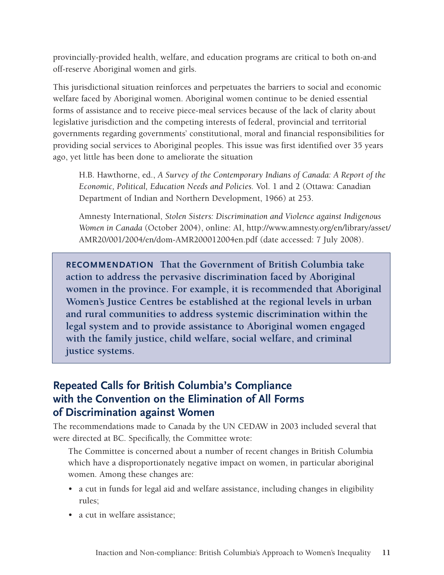provincially-provided health, welfare, and education programs are critical to both on-and off-reserve Aboriginal women and girls.

This jurisdictional situation reinforces and perpetuates the barriers to social and economic welfare faced by Aboriginal women. Aboriginal women continue to be denied essential forms of assistance and to receive piece-meal services because of the lack of clarity about legislative jurisdiction and the competing interests of federal, provincial and territorial governments regarding governments' constitutional, moral and financial responsibilities for providing social services to Aboriginal peoples. This issue was first identified over 35 years ago, yet little has been done to ameliorate the situation

H.B. Hawthorne, ed., *A Survey of the Contemporary Indians of Canada: A Report of the Economic, Political, Education Needs and Policies.* Vol. 1 and 2 (Ottawa: Canadian Department of Indian and Northern Development, 1966) at 253.

Amnesty International, *Stolen Sisters: Discrimination and Violence against Indigenous Women in Canada* (October 2004), online: AI, [http://www.amnesty.org/en/library/asset/](http://www.amnesty.org/en/library/asset/AMR20/001/2004/en/dom-AMR200012004en.pdf) [AMR20/001/2004/en/dom-AMR200012004en.pdf](http://www.amnesty.org/en/library/asset/AMR20/001/2004/en/dom-AMR200012004en.pdf) (date accessed: 7 July 2008).

**Recommendation That the Government of British Columbia take action to address the pervasive discrimination faced by Aboriginal women in the province. For example, it is recommended that Aboriginal Women's Justice Centres be established at the regional levels in urban and rural communities to address systemic discrimination within the legal system and to provide assistance to Aboriginal women engaged with the family justice, child welfare, social welfare, and criminal justice systems.**

# **Repeated Calls for British Columbia's Compliance with the Convention on the Elimination of All Forms of Discrimination against Women**

The recommendations made to Canada by the UN CEDAW in 2003 included several that were directed at BC. Specifically, the Committee wrote:

The Committee is concerned about a number of recent changes in British Columbia which have a disproportionately negative impact on women, in particular aboriginal women. Among these changes are:

- a cut in funds for legal aid and welfare assistance, including changes in eligibility rules;
- a cut in welfare assistance;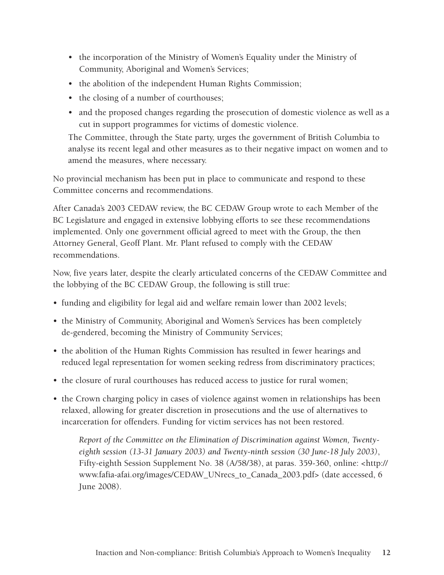- the incorporation of the Ministry of Women's Equality under the Ministry of Community, Aboriginal and Women's Services;
- the abolition of the independent Human Rights Commission;
- the closing of a number of courthouses;
- and the proposed changes regarding the prosecution of domestic violence as well as a cut in support programmes for victims of domestic violence.

The Committee, through the State party, urges the government of British Columbia to analyse its recent legal and other measures as to their negative impact on women and to amend the measures, where necessary.

No provincial mechanism has been put in place to communicate and respond to these Committee concerns and recommendations.

After Canada's 2003 CEDAW review, the BC CEDAW Group wrote to each Member of the BC Legislature and engaged in extensive lobbying efforts to see these recommendations implemented. Only one government official agreed to meet with the Group, the then Attorney General, Geoff Plant. Mr. Plant refused to comply with the CEDAW recommendations.

Now, five years later, despite the clearly articulated concerns of the CEDAW Committee and the lobbying of the BC CEDAW Group, the following is still true:

- funding and eligibility for legal aid and welfare remain lower than 2002 levels;
- the Ministry of Community, Aboriginal and Women's Services has been completely de-gendered, becoming the Ministry of Community Services;
- the abolition of the Human Rights Commission has resulted in fewer hearings and reduced legal representation for women seeking redress from discriminatory practices;
- the closure of rural courthouses has reduced access to justice for rural women;
- the Crown charging policy in cases of violence against women in relationships has been relaxed, allowing for greater discretion in prosecutions and the use of alternatives to incarceration for offenders. Funding for victim services has not been restored.

*Report of the Committee on the Elimination of Discrimination against Women, Twentyeighth session (13-31 January 2003) and Twenty-ninth session (30 June-18 July 2003)*, Fifty-eighth Session Supplement No. 38 (A/58/38), at paras. 359-360, online: <[http://](http://www.fafia-afai.org/images/CEDAW_UNrecs_to_Canada_2003.pdf) [www.fafia-afai.org/images/CEDAW\\_UNrecs\\_to\\_Canada\\_2003.pdf>](http://www.fafia-afai.org/images/CEDAW_UNrecs_to_Canada_2003.pdf) (date accessed, 6 June 2008).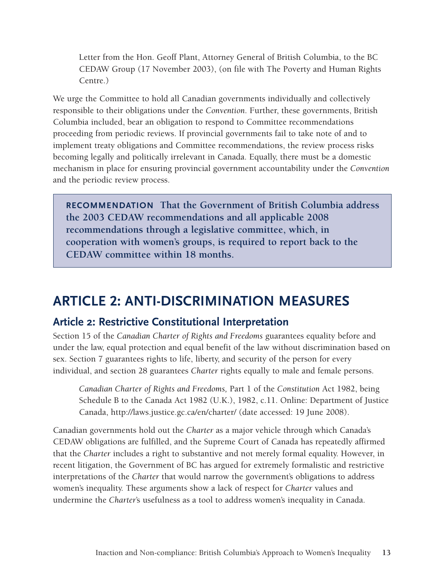Letter from the Hon. Geoff Plant, Attorney General of British Columbia, to the BC CEDAW Group (17 November 2003), (on file with The Poverty and Human Rights Centre.)

We urge the Committee to hold all Canadian governments individually and collectively responsible to their obligations under the *Convention*. Further, these governments, British Columbia included, bear an obligation to respond to Committee recommendations proceeding from periodic reviews. If provincial governments fail to take note of and to implement treaty obligations and Committee recommendations, the review process risks becoming legally and politically irrelevant in Canada. Equally, there must be a domestic mechanism in place for ensuring provincial government accountability under the *Convention* and the periodic review process.

**Recommendation That the Government of British Columbia address the 2003 CEDAW recommendations and all applicable 2008 recommendations through a legislative committee, which, in cooperation with women's groups, is required to report back to the CEDAW committee within 18 months.**

# **ARTICLE 2: ANTI-DISCRIMINATION MEASURES**

### **Article 2: Restrictive Constitutional Interpretation**

Section 15 of the *Canadian Charter of Rights and Freedoms* guarantees equality before and under the law, equal protection and equal benefit of the law without discrimination based on sex. Section 7 guarantees rights to life, liberty, and security of the person for every individual, and section 28 guarantees *Charter* rights equally to male and female persons.

*Canadian Charter of Rights and Freedoms,* Part 1 of the *Constitution* Act 1982, being Schedule B to the Canada Act 1982 (U.K.), 1982, c.11. Online: Department of Justice Canada, <http://laws.justice.gc.ca/en/charter/> (date accessed: 19 June 2008).

Canadian governments hold out the *Charter* as a major vehicle through which Canada's CEDAW obligations are fulfilled, and the Supreme Court of Canada has repeatedly affirmed that the *Charter* includes a right to substantive and not merely formal equality. However, in recent litigation, the Government of BC has argued for extremely formalistic and restrictive interpretations of the *Charter* that would narrow the government's obligations to address women's inequality. These arguments show a lack of respect for *Charter* values and undermine the *Charter*'s usefulness as a tool to address women's inequality in Canada.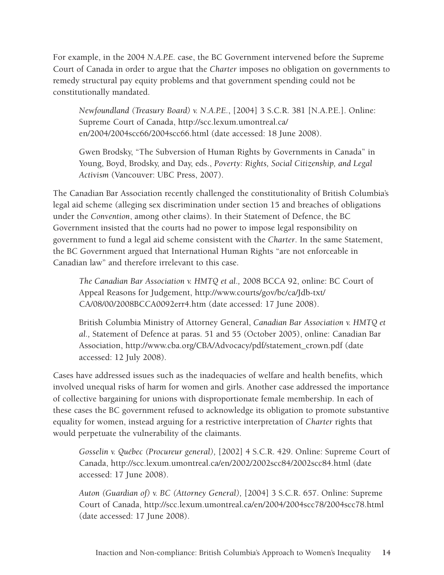For example, in the 2004 *N.A.P.E.* case, the BC Government intervened before the Supreme Court of Canada in order to argue that the *Charter* imposes no obligation on governments to remedy structural pay equity problems and that government spending could not be constitutionally mandated.

*Newfoundland (Treasury Board) v. N.A.P.E.*, [2004] 3 S.C.R. 381 [N.A.P.E.]. Online: Supreme Court of Canada, [http://scc.lexum.umontreal.ca/](http://scc.lexum.umontreal.ca/en/2004/2004scc66/2004scc66.html) [en/2004/2004scc66/2004scc66.html](http://scc.lexum.umontreal.ca/en/2004/2004scc66/2004scc66.html) (date accessed: 18 June 2008).

Gwen Brodsky, "The Subversion of Human Rights by Governments in Canada" in Young, Boyd, Brodsky, and Day, eds., *Poverty: Rights, Social Citizenship, and Legal Activism* (Vancouver: UBC Press, 2007).

The Canadian Bar Association recently challenged the constitutionality of British Columbia's legal aid scheme (alleging sex discrimination under section 15 and breaches of obligations under the *Convention*, among other claims). In their Statement of Defence, the BC Government insisted that the courts had no power to impose legal responsibility on government to fund a legal aid scheme consistent with the *Charter*. In the same Statement, the BC Government argued that International Human Rights "are not enforceable in Canadian law" and therefore irrelevant to this case.

*The Canadian Bar Association v. HMTQ et al.,* 2008 BCCA 92, online: BC Court of Appeal Reasons for Judgement, [http://www.courts/gov/bc/ca/Jdb-txt/](http://www.courts/gov/bc/ca/Jdb-txt/CA/08/00/2008BCCA0092err4.htm) [CA/08/00/2008BCCA0092err4.htm](http://www.courts/gov/bc/ca/Jdb-txt/CA/08/00/2008BCCA0092err4.htm) (date accessed: 17 June 2008).

British Columbia Ministry of Attorney General, *Canadian Bar Association v. HMTQ et al.,* Statement of Defence at paras. 51 and 55 (October 2005), online: Canadian Bar Association, [http://www.cba.org/CBA/Advocacy/pdf/statement\\_crown.pdf](http://www.cba.org/CBA/Advocacy/pdf/statement_crown.pdf) (date accessed: 12 July 2008).

Cases have addressed issues such as the inadequacies of welfare and health benefits, which involved unequal risks of harm for women and girls. Another case addressed the importance of collective bargaining for unions with disproportionate female membership. In each of these cases the BC government refused to acknowledge its obligation to promote substantive equality for women, instead arguing for a restrictive interpretation of *Charter* rights that would perpetuate the vulnerability of the claimants.

*Gosselin v. Québec (Procureur general),* [2002] 4 S.C.R. 429. Online: Supreme Court of Canada, <http://scc.lexum.umontreal.ca/en/2002/2002scc84/2002scc84.html>(date accessed: 17 June 2008).

*Auton (Guardian of) v. BC (Attorney General),* [2004] 3 S.C.R. 657. Online: Supreme Court of Canada, [http://scc.lexum.umontreal.ca/en/2004/2004scc78/2004scc78.html](http://scc.lexum.umontreal.ca/en/204/2004scc78/2004scc78.html) (date accessed: 17 June 2008).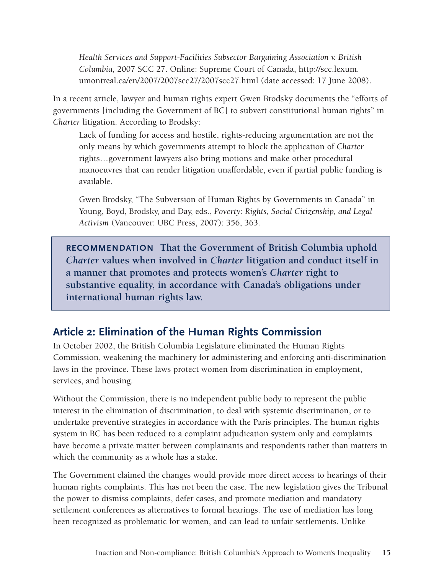*Health Services and Support-Facilities Subsector Bargaining Association v. British Columbia,* 2007 SCC 27. Online: Supreme Court of Canada, [http://scc.lexum.](http://scc.lexum.umontreal.ca/en/2007/2007scc27/2007scc27.html) [umontreal.ca/en/2007/2007scc27/2007scc27.html](http://scc.lexum.umontreal.ca/en/2007/2007scc27/2007scc27.html) (date accessed: 17 June 2008).

In a recent article, lawyer and human rights expert Gwen Brodsky documents the "efforts of governments [including the Government of BC] to subvert constitutional human rights" in *Charter* litigation. According to Brodsky:

Lack of funding for access and hostile, rights-reducing argumentation are not the only means by which governments attempt to block the application of *Charter* rights…government lawyers also bring motions and make other procedural manoeuvres that can render litigation unaffordable, even if partial public funding is available.

Gwen Brodsky, "The Subversion of Human Rights by Governments in Canada" in Young, Boyd, Brodsky, and Day, eds., *Poverty: Rights, Social Citizenship, and Legal Activism* (Vancouver: UBC Press, 2007): 356, 363.

**Recommendation That the Government of British Columbia uphold**  *Charter* **values when involved in** *Charter* **litigation and conduct itself in a manner that promotes and protects women's** *Charter* **right to substantive equality, in accordance with Canada's obligations under international human rights law.**

# **Article 2: Elimination of the Human Rights Commission**

In October 2002, the British Columbia Legislature eliminated the Human Rights Commission, weakening the machinery for administering and enforcing anti-discrimination laws in the province. These laws protect women from discrimination in employment, services, and housing.

Without the Commission, there is no independent public body to represent the public interest in the elimination of discrimination, to deal with systemic discrimination, or to undertake preventive strategies in accordance with the Paris principles. The human rights system in BC has been reduced to a complaint adjudication system only and complaints have become a private matter between complainants and respondents rather than matters in which the community as a whole has a stake.

The Government claimed the changes would provide more direct access to hearings of their human rights complaints. This has not been the case. The new legislation gives the Tribunal the power to dismiss complaints, defer cases, and promote mediation and mandatory settlement conferences as alternatives to formal hearings. The use of mediation has long been recognized as problematic for women, and can lead to unfair settlements. Unlike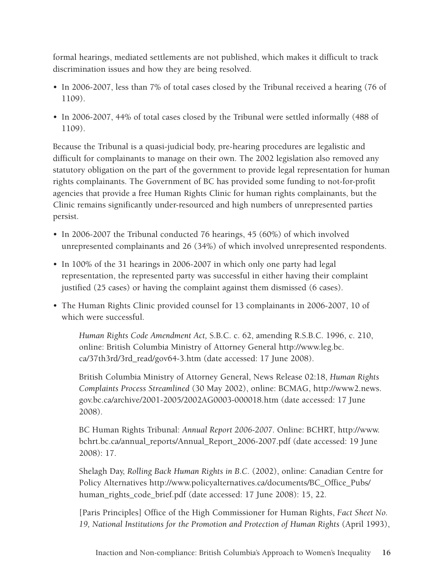formal hearings, mediated settlements are not published, which makes it difficult to track discrimination issues and how they are being resolved.

- In 2006-2007, less than 7% of total cases closed by the Tribunal received a hearing (76 of 1109).
- In 2006-2007, 44% of total cases closed by the Tribunal were settled informally (488 of 1109).

Because the Tribunal is a quasi-judicial body, pre-hearing procedures are legalistic and difficult for complainants to manage on their own. The 2002 legislation also removed any statutory obligation on the part of the government to provide legal representation for human rights complainants. The Government of BC has provided some funding to not-for-profit agencies that provide a free Human Rights Clinic for human rights complainants, but the Clinic remains significantly under-resourced and high numbers of unrepresented parties persist.

- In 2006-2007 the Tribunal conducted 76 hearings, 45 (60%) of which involved unrepresented complainants and 26 (34%) of which involved unrepresented respondents.
- In 100% of the 31 hearings in 2006-2007 in which only one party had legal representation, the represented party was successful in either having their complaint justified (25 cases) or having the complaint against them dismissed (6 cases).
- The Human Rights Clinic provided counsel for 13 complainants in 2006-2007, 10 of which were successful.

*Human Rights Code Amendment Act,* S.B.C. c. 62, amending R.S.B.C. 1996, c. 210, online: British Columbia Ministry of Attorney General [http://www.leg.bc.](http://www.leg.bc.ca/37th3rd/3rd_read/gov64-3.htm) [ca/37th3rd/3rd\\_read/gov64-3.htm](http://www.leg.bc.ca/37th3rd/3rd_read/gov64-3.htm) (date accessed: 17 June 2008).

British Columbia Ministry of Attorney General, News Release 02:18, *Human Rights Complaints Process Streamlined* (30 May 2002), online: BCMAG, [http://www2.news.](http://www2.news.gov.bc.ca/archive/2001-2005/2002AG0003-000018.htm) [gov.bc.ca/archive/2001-2005/2002AG0003-000018.htm](http://www2.news.gov.bc.ca/archive/2001-2005/2002AG0003-000018.htm) (date accessed: 17 June 2008).

BC Human Rights Tribunal: *Annual Report 2006-2007*. Online: BCHRT, [http://www.](http://www.bchrt.bc.ca/annual_reports/Annual_Report_2006-2007.pdf) [bchrt.bc.ca/annual\\_reports/Annual\\_Report\\_2006-2007.pdf](http://www.bchrt.bc.ca/annual_reports/Annual_Report_2006-2007.pdf) (date accessed: 19 June 2008): 17.

Shelagh Day, *Rolling Back Human Rights in B.C.* (2002), online: Canadian Centre for Policy Alternatives [http://www.policyalternatives.ca/documents/BC\\_Office\\_Pubs/](http://www.policyalternatives.ca/documents/BC_Office_Pubs/human_rights_code_brief.pdf) [human\\_rights\\_code\\_brief.pdf](http://www.policyalternatives.ca/documents/BC_Office_Pubs/human_rights_code_brief.pdf) (date accessed: 17 June 2008): 15, 22.

[Paris Principles] Office of the High Commissioner for Human Rights, *Fact Sheet No. 19, National Institutions for the Promotion and Protection of Human Rights* (April 1993),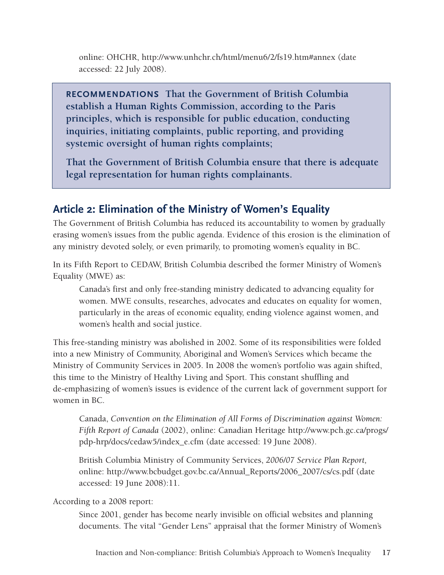online: OHCHR,<http://www.unhchr.ch/html/menu6/2/fs19.htm#annex>(date accessed: 22 July 2008).

**Recommendations That the Government of British Columbia establish a Human Rights Commission, according to the Paris principles, which is responsible for public education, conducting inquiries, initiating complaints, public reporting, and providing systemic oversight of human rights complaints;**

**That the Government of British Columbia ensure that there is adequate legal representation for human rights complainants.** 

# **Article 2: Elimination of the Ministry of Women's Equality**

The Government of British Columbia has reduced its accountability to women by gradually erasing women's issues from the public agenda. Evidence of this erosion is the elimination of any ministry devoted solely, or even primarily, to promoting women's equality in BC.

In its Fifth Report to CEDAW, British Columbia described the former Ministry of Women's Equality (MWE) as:

Canada's first and only free-standing ministry dedicated to advancing equality for women. MWE consults, researches, advocates and educates on equality for women, particularly in the areas of economic equality, ending violence against women, and women's health and social justice.

This free-standing ministry was abolished in 2002. Some of its responsibilities were folded into a new Ministry of Community, Aboriginal and Women's Services which became the Ministry of Community Services in 2005. In 2008 the women's portfolio was again shifted, this time to the Ministry of Healthy Living and Sport. This constant shuffling and de-emphasizing of women's issues is evidence of the current lack of government support for women in BC.

Canada, *Convention on the Elimination of All Forms of Discrimination against Women: Fifth Report of Canada* (2002), online: Canadian Heritage [http://www.pch.gc.ca/progs/](http://www.pch.gc.ca/progs/pdp-hrp/docs/cedaw5/index_e.cfm) [pdp-hrp/docs/cedaw5/index\\_e.cfm](http://www.pch.gc.ca/progs/pdp-hrp/docs/cedaw5/index_e.cfm) (date accessed: 19 June 2008).

British Columbia Ministry of Community Services, *2006/07 Service Plan Report,*  online: [http://www.bcbudget.gov.bc.ca/Annual\\_Reports/2006\\_2007/cs/cs.pdf](http://www.bcbudget.gov.bc.ca/Annual_Reports/2006_2007/cs/cs.pdf) (date accessed: 19 June 2008):11.

According to a 2008 report:

Since 2001, gender has become nearly invisible on official websites and planning documents. The vital "Gender Lens" appraisal that the former Ministry of Women's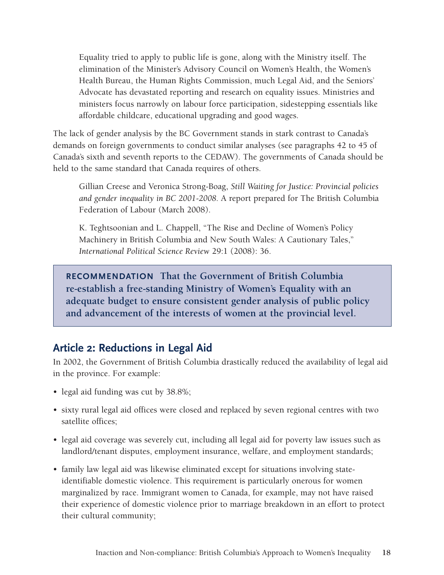Equality tried to apply to public life is gone, along with the Ministry itself. The elimination of the Minister's Advisory Council on Women's Health, the Women's Health Bureau, the Human Rights Commission, much Legal Aid, and the Seniors' Advocate has devastated reporting and research on equality issues. Ministries and ministers focus narrowly on labour force participation, sidestepping essentials like affordable childcare, educational upgrading and good wages.

The lack of gender analysis by the BC Government stands in stark contrast to Canada's demands on foreign governments to conduct similar analyses (see paragraphs 42 to 45 of Canada's sixth and seventh reports to the CEDAW). The governments of Canada should be held to the same standard that Canada requires of others.

Gillian Creese and Veronica Strong-Boag, *Still Waiting for Justice: Provincial policies and gender inequality in BC 2001-2008.* A report prepared for The British Columbia Federation of Labour (March 2008).

K. Teghtsoonian and L. Chappell, "The Rise and Decline of Women's Policy Machinery in British Columbia and New South Wales: A Cautionary Tales," *International Political Science Review* 29:1 (2008): 36.

**Recommendation That the Government of British Columbia re-establish a free-standing Ministry of Women's Equality with an adequate budget to ensure consistent gender analysis of public policy and advancement of the interests of women at the provincial level.**

# **Article 2: Reductions in Legal Aid**

In 2002, the Government of British Columbia drastically reduced the availability of legal aid in the province. For example:

- legal aid funding was cut by 38.8%;
- sixty rural legal aid offices were closed and replaced by seven regional centres with two satellite offices;
- legal aid coverage was severely cut, including all legal aid for poverty law issues such as landlord/tenant disputes, employment insurance, welfare, and employment standards;
- family law legal aid was likewise eliminated except for situations involving stateidentifiable domestic violence. This requirement is particularly onerous for women marginalized by race. Immigrant women to Canada, for example, may not have raised their experience of domestic violence prior to marriage breakdown in an effort to protect their cultural community;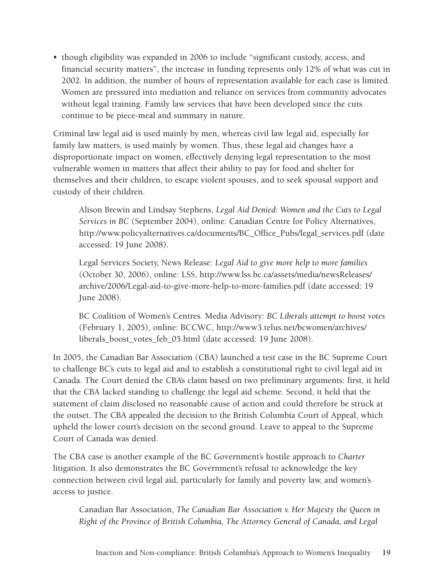• though eligibility was expanded in 2006 to include "significant custody, access, and financial security matters", the increase in funding represents only 12% of what was cut in 2002. In addition, the number of hours of representation available for each case is limited. Women are pressured into mediation and reliance on services from community advocates without legal training. Family law services that have been developed since the cuts continue to be piece-meal and summary in nature.

Criminal law legal aid is used mainly by men, whereas civil law legal aid, especially for family law matters, is used mainly by women. Thus, these legal aid changes have a disproportionate impact on women, effectively denying legal representation to the most vulnerable women in matters that affect their ability to pay for food and shelter for themselves and their children, to escape violent spouses, and to seek spousal support and custody of their children.

Alison Brewin and Lindsay Stephens, *Legal Aid Denied: Women and the Cuts to Legal Services in BC* (September 2004), online: Canadian Centre for Policy Alternatives, [http://www.policyalternatives.ca/documents/BC\\_Office\\_Pubs/legal\\_services.pdf](http://www.policyalternatives.ca/index.cfm?act=news&do=Article&call=905&pA=BB7 36455&type=2,3,4,5,6,7) (date accessed: 19 June 2008).

Legal Services Society, News Release: *Legal Aid to give more help to more families*  (October 30, 2006), online: LSS, [http://www.lss.bc.ca/assets/media/newsReleases/](http://www.lss.bc.ca/assets/media/newsReleases/archive/2006/Legal-aid-to-give-more-help-to-more-families.pdf) [archive/2006/Legal-aid-to-give-more-help-to-more-families.pdf](http://www.lss.bc.ca/assets/media/newsReleases/archive/2006/Legal-aid-to-give-more-help-to-more-families.pdf) (date accessed: 19 June 2008).

BC Coalition of Women's Centres. Media Advisory: *BC Liberals attempt to boost votes* (February 1, 2005), online: BCCWC, [http://www3.telus.net/bcwomen/archives/](http://www3.telus.net/bcwomen/archives/liberals_boost_votes_feb_05.html) [liberals\\_boost\\_votes\\_feb\\_05.html](http://www3.telus.net/bcwomen/archives/liberals_boost_votes_feb_05.html) (date accessed: 19 June 2008).

In 2005, the Canadian Bar Association (CBA) launched a test case in the BC Supreme Court to challenge BC's cuts to legal aid and to establish a constitutional right to civil legal aid in Canada. The Court denied the CBA's claim based on two preliminary arguments: first, it held that the CBA lacked standing to challenge the legal aid scheme. Second, it held that the statement of claim disclosed no reasonable cause of action and could therefore be struck at the outset. The CBA appealed the decision to the British Columbia Court of Appeal, which upheld the lower court's decision on the second ground. Leave to appeal to the Supreme Court of Canada was denied.

The CBA case is another example of the BC Government's hostile approach to *Charter* litigation. It also demonstrates the BC Government's refusal to acknowledge the key connection between civil legal aid, particularly for family and poverty law, and women's access to justice.

Canadian Bar Association, *The Canadian Bar Association v. Her Majesty the Queen in Right of the Province of British Columbia, The Attorney General of Canada, and Legal*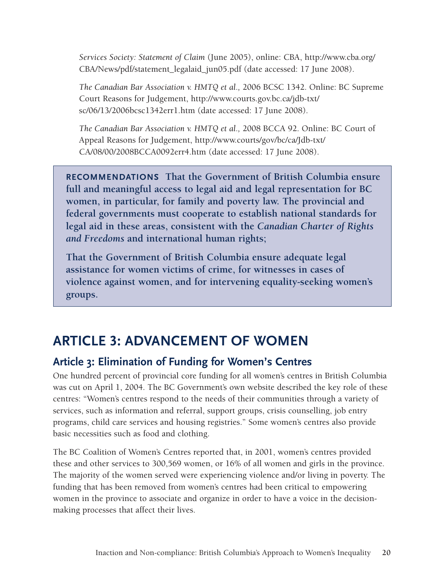*Services Society: Statement of Claim* (June 2005), online: CBA, [http://www.cba.org/](http://www.cba.org/CBA/News/pdf/statement_legalaid_jun05.pdf) [CBA/News/pdf/statement\\_legalaid\\_jun05.pdf](http://www.cba.org/CBA/News/pdf/statement_legalaid_jun05.pdf) (date accessed: 17 June 2008).

*The Canadian Bar Association v. HMTQ et al.,* 2006 BCSC 1342. Online: BC Supreme Court Reasons for Judgement, [http://www.courts.gov.bc.ca/jdb-txt/](http://www.courts.gov.bc.ca/jdb-txt/sc/06/13/2006bcsc1342err1.htm) [sc/06/13/2006bcsc1342err1.htm](http://www.courts.gov.bc.ca/jdb-txt/sc/06/13/2006bcsc1342err1.htm) (date accessed: 17 June 2008).

*The Canadian Bar Association v. HMTQ et al.,* 2008 BCCA 92. Online: BC Court of Appeal Reasons for Judgement, [http://www.courts/gov/bc/ca/Jdb-txt/](http://www.courts/gov/bc/ca/Jdb-txt/CA/08/00/2008BCCA0092err4.htm) [CA/08/00/2008BCCA0092err4.htm](http://www.courts/gov/bc/ca/Jdb-txt/CA/08/00/2008BCCA0092err4.htm) (date accessed: 17 June 2008).

**RECOMMENDATIONS** That the Government of British Columbia ensure. **full and meaningful access to legal aid and legal representation for BC women, in particular, for family and poverty law. The provincial and federal governments must cooperate to establish national standards for legal aid in these areas, consistent with the** *Canadian Charter of Rights and Freedoms* **and international human rights;** 

**That the Government of British Columbia ensure adequate legal assistance for women victims of crime, for witnesses in cases of violence against women, and for intervening equality-seeking women's groups.**

# **ARTICLE 3: ADVANCEMENT OF WOMEN**

# **Article 3: Elimination of Funding for Women's Centres**

One hundred percent of provincial core funding for all women's centres in British Columbia was cut on April 1, 2004. The BC Government's own website described the key role of these centres: "Women's centres respond to the needs of their communities through a variety of services, such as information and referral, support groups, crisis counselling, job entry programs, child care services and housing registries." Some women's centres also provide basic necessities such as food and clothing.

The BC Coalition of Women's Centres reported that, in 2001, women's centres provided these and other services to 300,569 women, or 16% of all women and girls in the province. The majority of the women served were experiencing violence and/or living in poverty. The funding that has been removed from women's centres had been critical to empowering women in the province to associate and organize in order to have a voice in the decisionmaking processes that affect their lives.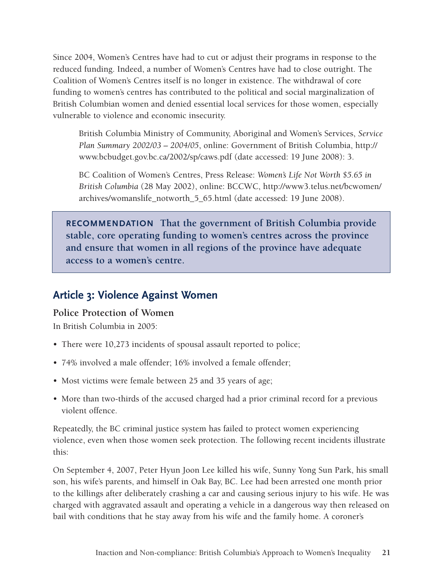Since 2004, Women's Centres have had to cut or adjust their programs in response to the reduced funding. Indeed, a number of Women's Centres have had to close outright. The Coalition of Women's Centres itself is no longer in existence. The withdrawal of core funding to women's centres has contributed to the political and social marginalization of British Columbian women and denied essential local services for those women, especially vulnerable to violence and economic insecurity.

British Columbia Ministry of Community, Aboriginal and Women's Services, *Service Plan Summary 2002/03 – 2004/05*, online: Government of British Columbia, [http://](http://www.bcbudget.gov.bc.ca/2002/sp/caws.pdf) [www.bcbudget.gov.bc.ca/2002/sp/caws.pdf](http://www.bcbudget.gov.bc.ca/2002/sp/caws.pdf) (date accessed: 19 June 2008): 3.

BC Coalition of Women's Centres, Press Release: *Women's Life Not Worth \$5.65 in British Columbia* (28 May 2002), online: BCCWC, [http://www3.telus.net/bcwomen/](http://www3.telus.net/bcwomen/archives/womanslife_notworth_5_65.html) [archives/womanslife\\_notworth\\_5\\_65.html](http://www3.telus.net/bcwomen/archives/womanslife_notworth_5_65.html) (date accessed: 19 June 2008).

**Recommendation That the government of British Columbia provide stable, core operating funding to women's centres across the province and ensure that women in all regions of the province have adequate access to a women's centre.** 

### **Article 3: Violence Against Women**

#### **Police Protection of Women**

In British Columbia in 2005:

- There were 10,273 incidents of spousal assault reported to police;
- 74% involved a male offender; 16% involved a female offender;
- Most victims were female between 25 and 35 years of age;
- More than two-thirds of the accused charged had a prior criminal record for a previous violent offence.

Repeatedly, the BC criminal justice system has failed to protect women experiencing violence, even when those women seek protection. The following recent incidents illustrate this:

On September 4, 2007, Peter Hyun Joon Lee killed his wife, Sunny Yong Sun Park, his small son, his wife's parents, and himself in Oak Bay, BC. Lee had been arrested one month prior to the killings after deliberately crashing a car and causing serious injury to his wife. He was charged with aggravated assault and operating a vehicle in a dangerous way then released on bail with conditions that he stay away from his wife and the family home. A coroner's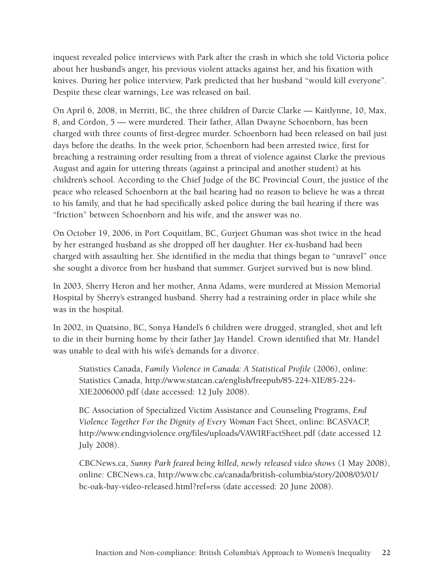inquest revealed police interviews with Park after the crash in which she told Victoria police about her husband's anger, his previous violent attacks against her, and his fixation with knives. During her police interview, Park predicted that her husband "would kill everyone". Despite these clear warnings, Lee was released on bail.

On April 6, 2008, in Merritt, BC, the three children of Darcie Clarke — Kaitlynne, 10, Max, 8, and Cordon, 5 — were murdered. Their father, Allan Dwayne Schoenborn, has been charged with three counts of first-degree murder. Schoenborn had been released on bail just days before the deaths. In the week prior, Schoenborn had been arrested twice, first for breaching a restraining order resulting from a threat of violence against Clarke the previous August and again for uttering threats (against a principal and another student) at his children's school. According to the Chief Judge of the BC Provincial Court, the justice of the peace who released Schoenborn at the bail hearing had no reason to believe he was a threat to his family, and that he had specifically asked police during the bail hearing if there was "friction" between Schoenborn and his wife, and the answer was no.

On October 19, 2006, in Port Coquitlam, BC, Gurjeet Ghuman was shot twice in the head by her estranged husband as she dropped off her daughter. Her ex-husband had been charged with assaulting her. She identified in the media that things began to "unravel" once she sought a divorce from her husband that summer. Gurjeet survived but is now blind.

In 2003, Sherry Heron and her mother, Anna Adams, were murdered at Mission Memorial Hospital by Sherry's estranged husband. Sherry had a restraining order in place while she was in the hospital.

In 2002, in Quatsino, BC, Sonya Handel's 6 children were drugged, strangled, shot and left to die in their burning home by their father Jay Handel. Crown identified that Mr. Handel was unable to deal with his wife's demands for a divorce.

Statistics Canada, *Family Violence in Canada: A Statistical Profile* (2006), online: Statistics Canada, [http://www.statcan.ca/english/freepub/85-224-XIE/85-224-](http://www.statcan.ca/english/freepub/85-224-XIE/85-224-XIE2006000.pdf) [XIE2006000.pdf](http://www.statcan.ca/english/freepub/85-224-XIE/85-224-XIE2006000.pdf) (date accessed: 12 July 2008).

BC Association of Specialized Victim Assistance and Counseling Programs, *End Violence Together For the Dignity of Every Woman* Fact Sheet, online: BCASVACP, <http://www.endingviolence.org/files/uploads/VAWIRFactSheet.pdf>(date accessed 12 July 2008).

CBCNews.ca, *Sunny Park feared being killed, newly released video shows* (1 May 2008), online: CBCNews.ca, [http://www.cbc.ca/canada/british-columbia/story/2008/05/01/](http://www.cbc.ca/canada/british-columbia/story/2008/05/01/bc-oak-bay-video-released.html?ref=rss  ) [bc-oak-bay-video-released.html?ref=rss](http://www.cbc.ca/canada/british-columbia/story/2008/05/01/bc-oak-bay-video-released.html?ref=rss  ) (date accessed: 20 June 2008).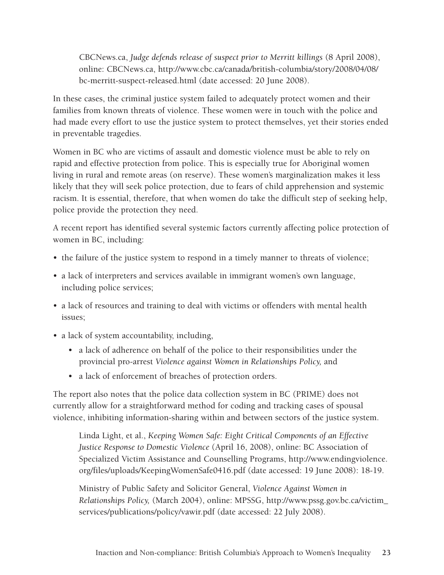CBCNews.ca, *Judge defends release of suspect prior to Merritt killings* (8 April 2008), online: CBCNews.ca, [http://www.cbc.ca/canada/british-columbia/story/2008/04/08/](http://www.cbc.ca/canada/british-columbia/story/2008/04/08/bc-merritt-suspect-released.html) [bc-merritt-suspect-released.html](http://www.cbc.ca/canada/british-columbia/story/2008/04/08/bc-merritt-suspect-released.html) (date accessed: 20 June 2008).

In these cases, the criminal justice system failed to adequately protect women and their families from known threats of violence. These women were in touch with the police and had made every effort to use the justice system to protect themselves, yet their stories ended in preventable tragedies.

Women in BC who are victims of assault and domestic violence must be able to rely on rapid and effective protection from police. This is especially true for Aboriginal women living in rural and remote areas (on reserve). These women's marginalization makes it less likely that they will seek police protection, due to fears of child apprehension and systemic racism. It is essential, therefore, that when women do take the difficult step of seeking help, police provide the protection they need.

A recent report has identified several systemic factors currently affecting police protection of women in BC, including:

- the failure of the justice system to respond in a timely manner to threats of violence;
- a lack of interpreters and services available in immigrant women's own language, including police services;
- a lack of resources and training to deal with victims or offenders with mental health issues;
- a lack of system accountability, including,
	- a lack of adherence on behalf of the police to their responsibilities under the provincial pro-arrest *Violence against Women in Relationships Policy,* and
	- a lack of enforcement of breaches of protection orders.

The report also notes that the police data collection system in BC (PRIME) does not currently allow for a straightforward method for coding and tracking cases of spousal violence, inhibiting information-sharing within and between sectors of the justice system.

Linda Light, et al., *Keeping Women Safe: Eight Critical Components of an Effective Justice Response to Domestic Violence* (April 16, 2008), online: BC Association of Specialized Victim Assistance and Counselling Programs, [http://www.endingviolence.](http://www.endingviolence.org/files/uploads/KeepingWomenSafe0416.pdf) [org/files/uploads/KeepingWomenSafe0416.pdf](http://www.endingviolence.org/files/uploads/KeepingWomenSafe0416.pdf) (date accessed: 19 June 2008): 18-19.

Ministry of Public Safety and Solicitor General, *Violence Against Women in Relationships Policy,* (March 2004), online: MPSSG, [http://www.pssg.gov.bc.ca/victim\\_](http://www.pssg.gov.bc.ca/victim_services/publications/policy/vawir.pdf) [services/publications/policy/vawir.pdf](http://www.pssg.gov.bc.ca/victim_services/publications/policy/vawir.pdf) (date accessed: 22 July 2008).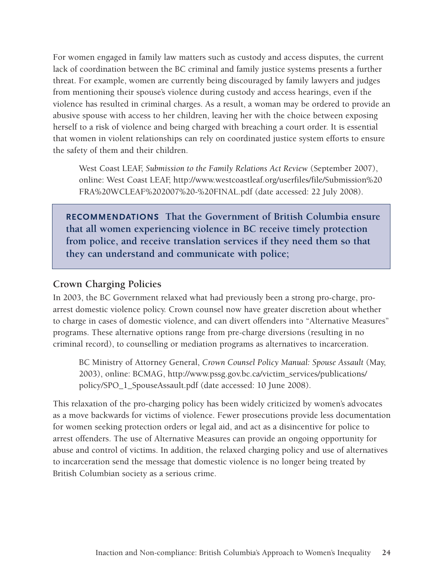For women engaged in family law matters such as custody and access disputes, the current lack of coordination between the BC criminal and family justice systems presents a further threat. For example, women are currently being discouraged by family lawyers and judges from mentioning their spouse's violence during custody and access hearings, even if the violence has resulted in criminal charges. As a result, a woman may be ordered to provide an abusive spouse with access to her children, leaving her with the choice between exposing herself to a risk of violence and being charged with breaching a court order. It is essential that women in violent relationships can rely on coordinated justice system efforts to ensure the safety of them and their children.

West Coast LEAF, *Submission to the Family Relations Act Review* (September 2007), online: West Coast LEAF, [http://www.westcoastleaf.org/userfiles/file/Submission%20](http://www.westcoastleaf.org/userfiles/file/Submission FRA WCLEAF 2007 - FINAL.pdf) [FRA%20WCLEAF%202007%20-%20FINAL.pdf](http://www.westcoastleaf.org/userfiles/file/Submission FRA WCLEAF 2007 - FINAL.pdf) (date accessed: 22 July 2008).

**Recommendations That the Government of British Columbia ensure that all women experiencing violence in BC receive timely protection from police, and receive translation services if they need them so that they can understand and communicate with police;**

#### **Crown Charging Policies**

In 2003, the BC Government relaxed what had previously been a strong pro-charge, proarrest domestic violence policy. Crown counsel now have greater discretion about whether to charge in cases of domestic violence, and can divert offenders into "Alternative Measures" programs. These alternative options range from pre-charge diversions (resulting in no criminal record), to counselling or mediation programs as alternatives to incarceration.

BC Ministry of Attorney General, *Crown Counsel Policy Manual: Spouse Assault* (May, 2003), online: BCMAG, [http://www.pssg.gov.bc.ca/victim\\_services/publications/](http://www.pssg.gov.bc.ca/victim_services/publications/ policy/SPO_1_SpouseAssault.pdf)  [policy/SPO\\_1\\_SpouseAssault.pdf](http://www.pssg.gov.bc.ca/victim_services/publications/ policy/SPO_1_SpouseAssault.pdf) (date accessed: 10 June 2008).

This relaxation of the pro-charging policy has been widely criticized by women's advocates as a move backwards for victims of violence. Fewer prosecutions provide less documentation for women seeking protection orders or legal aid, and act as a disincentive for police to arrest offenders. The use of Alternative Measures can provide an ongoing opportunity for abuse and control of victims. In addition, the relaxed charging policy and use of alternatives to incarceration send the message that domestic violence is no longer being treated by British Columbian society as a serious crime.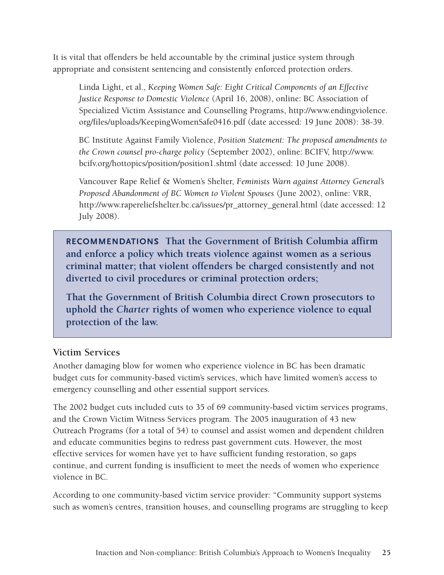It is vital that offenders be held accountable by the criminal justice system through appropriate and consistent sentencing and consistently enforced protection orders.

Linda Light, et al., *Keeping Women Safe: Eight Critical Components of an Effective Justice Response to Domestic Violence* (April 16, 2008), online: BC Association of Specialized Victim Assistance and Counselling Programs, [http://www.endingviolence.](http://www.endingviolence.org/files/uploads/KeepingWomenSafe0416.pdf) [org/files/uploads/KeepingWomenSafe0416.pdf](http://www.endingviolence.org/files/uploads/KeepingWomenSafe0416.pdf) (date accessed: 19 June 2008): 38-39.

BC Institute Against Family Violence, *Position Statement: The proposed amendments to the Crown counsel pro-charge policy* (September 2002), online: BCIFV, [http://www.](http://www.bcifv.org/hottopics/position/position1.shtml) [bcifv.org/hottopics/position/position1.shtml](http://www.bcifv.org/hottopics/position/position1.shtml) (date accessed: 10 June 2008).

Vancouver Rape Relief & Women's Shelter, *Feminists Warn against Attorney General's Proposed Abandonment of BC Women to Violent Spouses* (June 2002), online: VRR, [http://www.rapereliefshelter.bc.ca/issues/pr\\_attorney\\_general.html](http://www.rapereliefshelter.bc.ca/issues/pr_attorney_general.html) (date accessed: 12 July 2008).

**Recommendations That the Government of British Columbia affirm and enforce a policy which treats violence against women as a serious criminal matter; that violent offenders be charged consistently and not diverted to civil procedures or criminal protection orders;**

**That the Government of British Columbia direct Crown prosecutors to uphold the** *Charter* **rights of women who experience violence to equal protection of the law.**

#### **Victim Services**

Another damaging blow for women who experience violence in BC has been dramatic budget cuts for community-based victim's services, which have limited women's access to emergency counselling and other essential support services.

The 2002 budget cuts included cuts to 35 of 69 community-based victim services programs, and the Crown Victim Witness Services program. The 2005 inauguration of 43 new Outreach Programs (for a total of 54) to counsel and assist women and dependent children and educate communities begins to redress past government cuts. However, the most effective services for women have yet to have sufficient funding restoration, so gaps continue, and current funding is insufficient to meet the needs of women who experience violence in BC.

According to one community-based victim service provider: "Community support systems such as women's centres, transition houses, and counselling programs are struggling to keep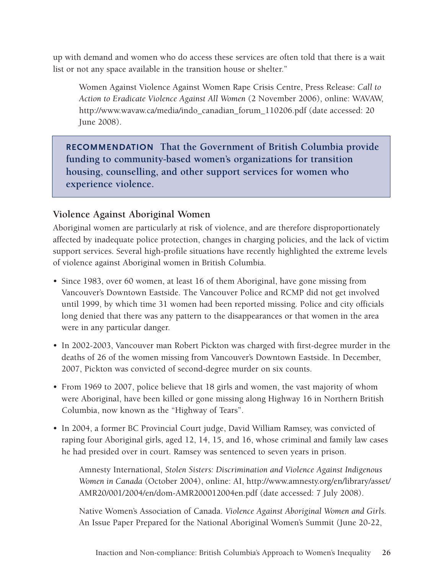up with demand and women who do access these services are often told that there is a wait list or not any space available in the transition house or shelter."

Women Against Violence Against Women Rape Crisis Centre, Press Release: *Call to Action to Eradicate Violence Against All Women* (2 November 2006), online: WAVAW, [http://www.wavaw.ca/media/indo\\_canadian\\_forum\\_110206.pdf](http://www.wavaw.ca/media/indo_canadian_forum_110206.pdf) (date accessed: 20 June 2008).

**Recommendation That the Government of British Columbia provide funding to community-based women's organizations for transition housing, counselling, and other support services for women who experience violence.** 

#### **Violence Against Aboriginal Women**

Aboriginal women are particularly at risk of violence, and are therefore disproportionately affected by inadequate police protection, changes in charging policies, and the lack of victim support services. Several high-profile situations have recently highlighted the extreme levels of violence against Aboriginal women in British Columbia.

- Since 1983, over 60 women, at least 16 of them Aboriginal, have gone missing from Vancouver's Downtown Eastside. The Vancouver Police and RCMP did not get involved until 1999, by which time 31 women had been reported missing. Police and city officials long denied that there was any pattern to the disappearances or that women in the area were in any particular danger.
- In 2002-2003, Vancouver man Robert Pickton was charged with first-degree murder in the deaths of 26 of the women missing from Vancouver's Downtown Eastside. In December, 2007, Pickton was convicted of second-degree murder on six counts.
- From 1969 to 2007, police believe that 18 girls and women, the vast majority of whom were Aboriginal, have been killed or gone missing along Highway 16 in Northern British Columbia, now known as the "Highway of Tears".
- In 2004, a former BC Provincial Court judge, David William Ramsey, was convicted of raping four Aboriginal girls, aged 12, 14, 15, and 16, whose criminal and family law cases he had presided over in court. Ramsey was sentenced to seven years in prison.

Amnesty International, *Stolen Sisters: Discrimination and Violence Against Indigenous Women in Canada* (October 2004), online: AI, [http://www.amnesty.org/en/library/asset/](http://www.amnesty.org/en/library/asset/AMR20/001/2004/en/dom-AMR200012004en.pdf) [AMR20/001/2004/en/dom-AMR200012004en.pdf](http://www.amnesty.org/en/library/asset/AMR20/001/2004/en/dom-AMR200012004en.pdf) (date accessed: 7 July 2008).

Native Women's Association of Canada. *Violence Against Aboriginal Women and Girls.* An Issue Paper Prepared for the National Aboriginal Women's Summit (June 20-22,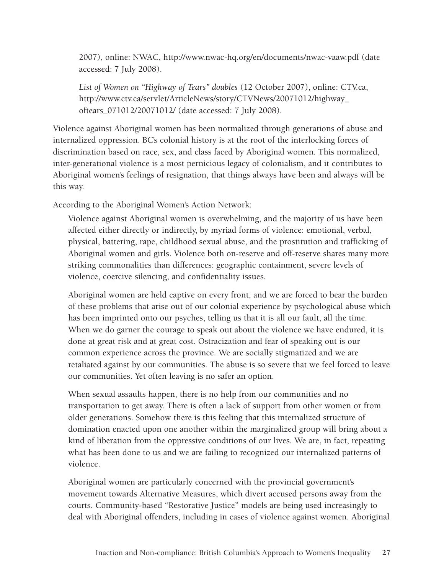2007), online: NWAC, [http://www.nwac-hq.org/en/documents/nwac-vaaw.pdf](http://www.nwac-hq.org/en/documents/nwac-vaaw.pdf ) (date accessed: 7 July 2008).

*List of Women on "Highway of Tears" doubles* (12 October 2007), online: CTV.ca, [http://www.ctv.ca/servlet/ArticleNews/story/CTVNews/20071012/highway\\_](http://www.ctv.ca/servlet/ArticleNews/story/CTVNews/20071012/highway_oftears_071012/20071012/) [oftears\\_071012/20071012/](http://www.ctv.ca/servlet/ArticleNews/story/CTVNews/20071012/highway_oftears_071012/20071012/) (date accessed: 7 July 2008).

Violence against Aboriginal women has been normalized through generations of abuse and internalized oppression. BC's colonial history is at the root of the interlocking forces of discrimination based on race, sex, and class faced by Aboriginal women. This normalized, inter-generational violence is a most pernicious legacy of colonialism, and it contributes to Aboriginal women's feelings of resignation, that things always have been and always will be this way.

According to the Aboriginal Women's Action Network:

Violence against Aboriginal women is overwhelming, and the majority of us have been affected either directly or indirectly, by myriad forms of violence: emotional, verbal, physical, battering, rape, childhood sexual abuse, and the prostitution and trafficking of Aboriginal women and girls. Violence both on-reserve and off-reserve shares many more striking commonalities than differences: geographic containment, severe levels of violence, coercive silencing, and confidentiality issues.

Aboriginal women are held captive on every front, and we are forced to bear the burden of these problems that arise out of our colonial experience by psychological abuse which has been imprinted onto our psyches, telling us that it is all our fault, all the time. When we do garner the courage to speak out about the violence we have endured, it is done at great risk and at great cost. Ostracization and fear of speaking out is our common experience across the province. We are socially stigmatized and we are retaliated against by our communities. The abuse is so severe that we feel forced to leave our communities. Yet often leaving is no safer an option.

When sexual assaults happen, there is no help from our communities and no transportation to get away. There is often a lack of support from other women or from older generations. Somehow there is this feeling that this internalized structure of domination enacted upon one another within the marginalized group will bring about a kind of liberation from the oppressive conditions of our lives. We are, in fact, repeating what has been done to us and we are failing to recognized our internalized patterns of violence.

Aboriginal women are particularly concerned with the provincial government's movement towards Alternative Measures, which divert accused persons away from the courts. Community-based "Restorative Justice" models are being used increasingly to deal with Aboriginal offenders, including in cases of violence against women. Aboriginal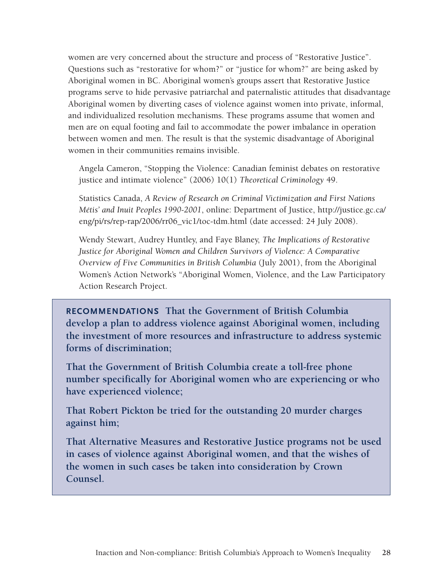women are very concerned about the structure and process of "Restorative Justice". Questions such as "restorative for whom?" or "justice for whom?" are being asked by Aboriginal women in BC. Aboriginal women's groups assert that Restorative Justice programs serve to hide pervasive patriarchal and paternalistic attitudes that disadvantage Aboriginal women by diverting cases of violence against women into private, informal, and individualized resolution mechanisms. These programs assume that women and men are on equal footing and fail to accommodate the power imbalance in operation between women and men. The result is that the systemic disadvantage of Aboriginal women in their communities remains invisible.

Angela Cameron, "Stopping the Violence: Canadian feminist debates on restorative justice and intimate violence" (2006) 10(1) *Theoretical Criminology* 49.

Statistics Canada, *A Review of Research on Criminal Victimization and First Nations Métis' and Inuit Peoples 1990-2001*, online: Department of Justice, [http://justice.gc.ca/](http://justice.gc.ca/eng/pi/rs/rep-rap/2006/rr06_vic1/toc-tdm.html) [eng/pi/rs/rep-rap/2006/rr06\\_vic1/toc-tdm.html](http://justice.gc.ca/eng/pi/rs/rep-rap/2006/rr06_vic1/toc-tdm.html) (date accessed: 24 July 2008).

Wendy Stewart, Audrey Huntley, and Faye Blaney, *The Implications of Restorative Justice for Aboriginal Women and Children Survivors of Violence: A Comparative Overview of Five Communities in British Columbia* (July 2001), from the Aboriginal Women's Action Network's "Aboriginal Women, Violence, and the Law Participatory Action Research Project.

**Recommendations That the Government of British Columbia develop a plan to address violence against Aboriginal women, including the investment of more resources and infrastructure to address systemic forms of discrimination;**

**That the Government of British Columbia create a toll-free phone number specifically for Aboriginal women who are experiencing or who have experienced violence;**

**That Robert Pickton be tried for the outstanding 20 murder charges against him;**

**That Alternative Measures and Restorative Justice programs not be used in cases of violence against Aboriginal women, and that the wishes of the women in such cases be taken into consideration by Crown Counsel.**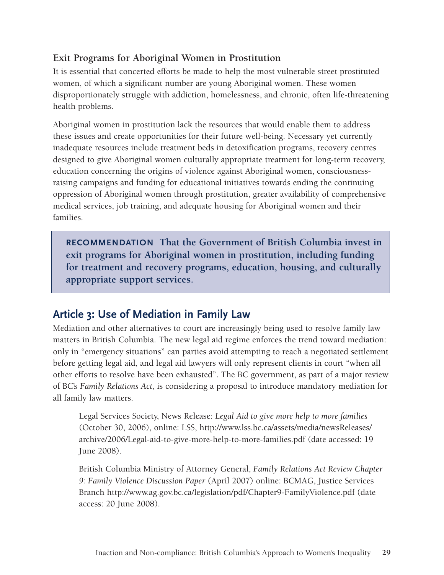#### **Exit Programs for Aboriginal Women in Prostitution**

It is essential that concerted efforts be made to help the most vulnerable street prostituted women, of which a significant number are young Aboriginal women. These women disproportionately struggle with addiction, homelessness, and chronic, often life-threatening health problems.

Aboriginal women in prostitution lack the resources that would enable them to address these issues and create opportunities for their future well-being. Necessary yet currently inadequate resources include treatment beds in detoxification programs, recovery centres designed to give Aboriginal women culturally appropriate treatment for long-term recovery, education concerning the origins of violence against Aboriginal women, consciousnessraising campaigns and funding for educational initiatives towards ending the continuing oppression of Aboriginal women through prostitution, greater availability of comprehensive medical services, job training, and adequate housing for Aboriginal women and their families.

**Recommendation That the Government of British Columbia invest in exit programs for Aboriginal women in prostitution, including funding for treatment and recovery programs, education, housing, and culturally appropriate support services.**

# **Article 3: Use of Mediation in Family Law**

Mediation and other alternatives to court are increasingly being used to resolve family law matters in British Columbia. The new legal aid regime enforces the trend toward mediation: only in "emergency situations" can parties avoid attempting to reach a negotiated settlement before getting legal aid, and legal aid lawyers will only represent clients in court "when all other efforts to resolve have been exhausted". The BC government, as part of a major review of BC's *Family Relations Act,* is considering a proposal to introduce mandatory mediation for all family law matters.

Legal Services Society, News Release: *Legal Aid to give more help to more families* (October 30, 2006), online: LSS, [http://www.lss.bc.ca/assets/media/newsReleases/](http://www.lss.bc.ca/assets/media/newsReleases/archive/2006/Legal-aid-to-give-more-help-to-more-families.pdf) [archive/2006/Legal-aid-to-give-more-help-to-more-families.pdf](http://www.lss.bc.ca/assets/media/newsReleases/archive/2006/Legal-aid-to-give-more-help-to-more-families.pdf) (date accessed: 19 June 2008).

British Columbia Ministry of Attorney General, *Family Relations Act Review Chapter 9: Family Violence Discussion Paper* (April 2007) online: BCMAG, Justice Services Branch<http://www.ag.gov.bc.ca/legislation/pdf/Chapter9-FamilyViolence.pdf> (date access: 20 June 2008).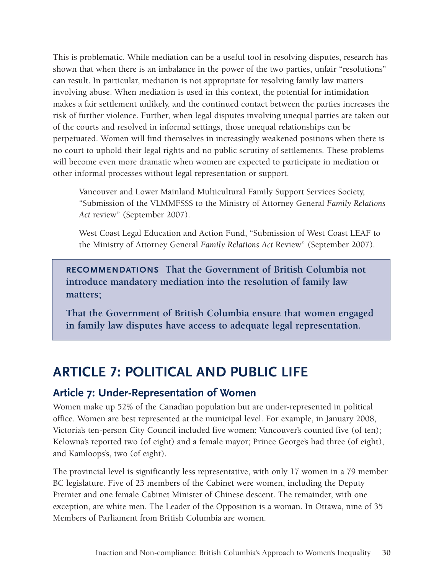This is problematic. While mediation can be a useful tool in resolving disputes, research has shown that when there is an imbalance in the power of the two parties, unfair "resolutions" can result. In particular, mediation is not appropriate for resolving family law matters involving abuse. When mediation is used in this context, the potential for intimidation makes a fair settlement unlikely, and the continued contact between the parties increases the risk of further violence. Further, when legal disputes involving unequal parties are taken out of the courts and resolved in informal settings, those unequal relationships can be perpetuated. Women will find themselves in increasingly weakened positions when there is no court to uphold their legal rights and no public scrutiny of settlements. These problems will become even more dramatic when women are expected to participate in mediation or other informal processes without legal representation or support.

Vancouver and Lower Mainland Multicultural Family Support Services Society, "Submission of the VLMMFSSS to the Ministry of Attorney General *Family Relations Act* review" (September 2007).

West Coast Legal Education and Action Fund, "Submission of West Coast LEAF to the Ministry of Attorney General *Family Relations Act* Review" (September 2007).

**Recommendations That the Government of British Columbia not introduce mandatory mediation into the resolution of family law matters;**

**That the Government of British Columbia ensure that women engaged in family law disputes have access to adequate legal representation.**

# **ARTICLE 7: POLITICAL AND PUBLIC LIFE**

### **Article 7: Under-Representation of Women**

Women make up 52% of the Canadian population but are under-represented in political office. Women are best represented at the municipal level. For example, in January 2008, Victoria's ten-person City Council included five women; Vancouver's counted five (of ten); Kelowna's reported two (of eight) and a female mayor; Prince George's had three (of eight), and Kamloops's, two (of eight).

The provincial level is significantly less representative, with only 17 women in a 79 member BC legislature. Five of 23 members of the Cabinet were women, including the Deputy Premier and one female Cabinet Minister of Chinese descent. The remainder, with one exception, are white men. The Leader of the Opposition is a woman. In Ottawa, nine of 35 Members of Parliament from British Columbia are women.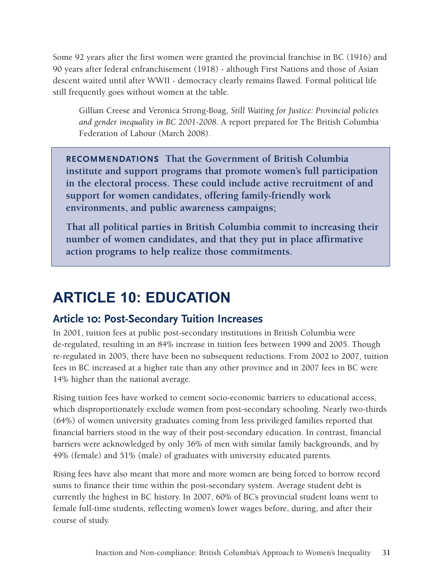Some 92 years after the first women were granted the provincial franchise in BC (1916) and 90 years after federal enfranchisement (1918) - although First Nations and those of Asian descent waited until after WWII - democracy clearly remains flawed. Formal political life still frequently goes without women at the table.

Gillian Creese and Veronica Strong-Boag, *Still Waiting for Justice: Provincial policies and gender inequality in BC 2001-2008.* A report prepared for The British Columbia Federation of Labour (March 2008).

**Recommendations That the Government of British Columbia institute and support programs that promote women's full participation in the electoral process. These could include active recruitment of and support for women candidates, offering family-friendly work environments, and public awareness campaigns;**

**That all political parties in British Columbia commit to increasing their number of women candidates, and that they put in place affirmative action programs to help realize those commitments.**

# **ARTICLE 10: EDUCATION**

# **Article 10: Post-Secondary Tuition Increases**

In 2001, tuition fees at public post-secondary institutions in British Columbia were de-regulated, resulting in an 84% increase in tuition fees between 1999 and 2005. Though re-regulated in 2005, there have been no subsequent reductions. From 2002 to 2007, tuition fees in BC increased at a higher rate than any other province and in 2007 fees in BC were 14% higher than the national average.

Rising tuition fees have worked to cement socio-economic barriers to educational access, which disproportionately exclude women from post-secondary schooling. Nearly two-thirds (64%) of women university graduates coming from less privileged families reported that financial barriers stood in the way of their post-secondary education. In contrast, financial barriers were acknowledged by only 36% of men with similar family backgrounds, and by 49% (female) and 51% (male) of graduates with university educated parents.

Rising fees have also meant that more and more women are being forced to borrow record sums to finance their time within the post-secondary system. Average student debt is currently the highest in BC history. In 2007, 60% of BC's provincial student loans went to female full-time students, reflecting women's lower wages before, during, and after their course of study.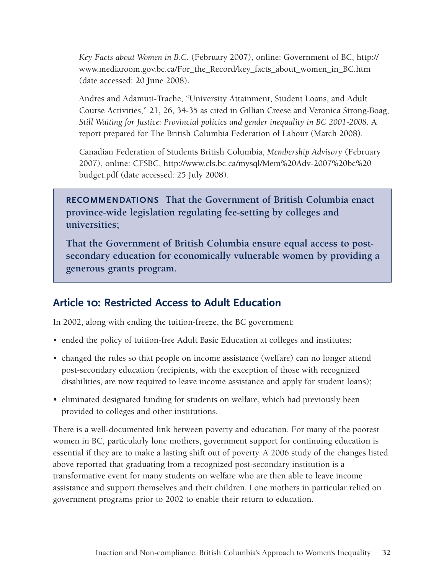*Key Facts about Women in B.C.* (February 2007), online: Government of BC, [http://](http://www.mediaroom.gov.bc.ca/For_the_Record/key_facts_about_women_in_BC.htm ) [www.mediaroom.gov.bc.ca/For\\_the\\_Record/key\\_facts\\_about\\_women\\_in\\_BC.htm](http://www.mediaroom.gov.bc.ca/For_the_Record/key_facts_about_women_in_BC.htm ) (date accessed: 20 June 2008).

Andres and Adamuti-Trache, "University Attainment, Student Loans, and Adult Course Activities," 21, 26, 34-35 as cited in Gillian Creese and Veronica Strong-Boag, *Still Waiting for Justice: Provincial policies and gender inequality in BC 2001-2008.* A report prepared for The British Columbia Federation of Labour (March 2008).

Canadian Federation of Students British Columbia, *Membership Advisory* (February 2007), online: CFSBC, [http://www.cfs.bc.ca/mysql/Mem%20Adv-2007%20bc%20](http://www.cfs.bc.ca/mysql/Mem Adv-2007 bc budget.pdf) [budget.pdf](http://www.cfs.bc.ca/mysql/Mem Adv-2007 bc budget.pdf) (date accessed: 25 July 2008).

**Recommendations That the Government of British Columbia enact province-wide legislation regulating fee-setting by colleges and universities;**

**That the Government of British Columbia ensure equal access to postsecondary education for economically vulnerable women by providing a generous grants program.** 

### **Article 10: Restricted Access to Adult Education**

In 2002, along with ending the tuition-freeze, the BC government:

- ended the policy of tuition-free Adult Basic Education at colleges and institutes;
- changed the rules so that people on income assistance (welfare) can no longer attend post-secondary education (recipients, with the exception of those with recognized disabilities, are now required to leave income assistance and apply for student loans);
- eliminated designated funding for students on welfare, which had previously been provided to colleges and other institutions.

There is a well-documented link between poverty and education. For many of the poorest women in BC, particularly lone mothers, government support for continuing education is essential if they are to make a lasting shift out of poverty. A 2006 study of the changes listed above reported that graduating from a recognized post-secondary institution is a transformative event for many students on welfare who are then able to leave income assistance and support themselves and their children. Lone mothers in particular relied on government programs prior to 2002 to enable their return to education.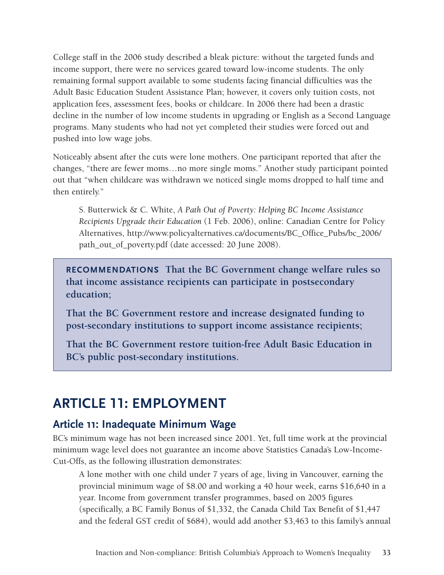College staff in the 2006 study described a bleak picture: without the targeted funds and income support, there were no services geared toward low-income students. The only remaining formal support available to some students facing financial difficulties was the Adult Basic Education Student Assistance Plan; however, it covers only tuition costs, not application fees, assessment fees, books or childcare. In 2006 there had been a drastic decline in the number of low income students in upgrading or English as a Second Language programs. Many students who had not yet completed their studies were forced out and pushed into low wage jobs.

Noticeably absent after the cuts were lone mothers. One participant reported that after the changes, "there are fewer moms…no more single moms." Another study participant pointed out that "when childcare was withdrawn we noticed single moms dropped to half time and then entirely."

S. Butterwick & C. White, *A Path Out of Poverty: Helping BC Income Assistance Recipients Upgrade their Education* (1 Feb. 2006), online: Canadian Centre for Policy Alternatives, [http://www.policyalternatives.ca/documents/BC\\_Office\\_Pubs/bc\\_2006/](http://www.policyalternatives.ca/documents/BC_Office_Pubs/bc_2006/path_out_of_poverty.pdf ) [path\\_out\\_of\\_poverty.pdf](http://www.policyalternatives.ca/documents/BC_Office_Pubs/bc_2006/path_out_of_poverty.pdf ) (date accessed: 20 June 2008).

**Recommendations That the BC Government change welfare rules so that income assistance recipients can participate in postsecondary education;**

**That the BC Government restore and increase designated funding to post-secondary institutions to support income assistance recipients;**

**That the BC Government restore tuition-free Adult Basic Education in BC's public post-secondary institutions.**

# **ARTICLE 11: EMPLOYMENT**

# **Article 11: Inadequate Minimum Wage**

BC's minimum wage has not been increased since 2001. Yet, full time work at the provincial minimum wage level does not guarantee an income above Statistics Canada's Low-Income-Cut-Offs, as the following illustration demonstrates:

A lone mother with one child under 7 years of age, living in Vancouver, earning the provincial minimum wage of \$8.00 and working a 40 hour week, earns \$16,640 in a year. Income from government transfer programmes, based on 2005 figures (specifically, a BC Family Bonus of \$1,332, the Canada Child Tax Benefit of \$1,447 and the federal GST credit of \$684), would add another \$3,463 to this family's annual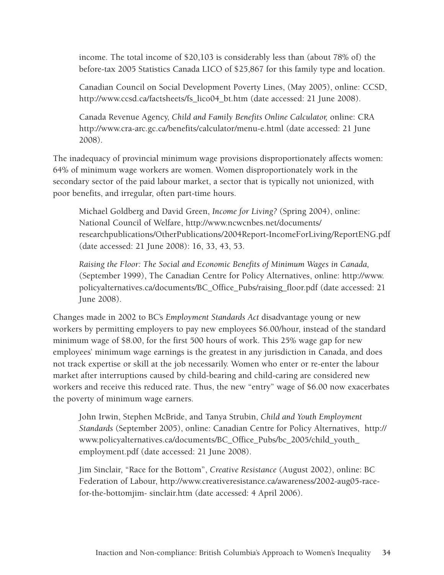income. The total income of \$20,103 is considerably less than (about 78% of) the before-tax 2005 Statistics Canada LICO of \$25,867 for this family type and location.

Canadian Council on Social Development Poverty Lines, (May 2005), online: CCSD, [http://www.ccsd.ca/factsheets/fs\\_lico04\\_bt.htm](http://www.ccsd.ca/factsheets/fs_lico04_bt.htm) (date accessed: 21 June 2008).

Canada Revenue Agency, *Child and Family Benefits Online Calculator,* online: CRA [http://www.cra-arc.gc.ca/benefits/calculator/menu-e.html](http://www.cra-arc.gc.ca/benefits/calculator/menu-e.html ) (date accessed: 21 June 2008).

The inadequacy of provincial minimum wage provisions disproportionately affects women: 64% of minimum wage workers are women. Women disproportionately work in the secondary sector of the paid labour market, a sector that is typically not unionized, with poor benefits, and irregular, often part-time hours.

Michael Goldberg and David Green, *Income for Living?* (Spring 2004), online: National Council of Welfare, [http://www.ncwcnbes.net/documents/](http://www.ncwcnbes.net/documents/researchpublications/OtherPublications/2004Report-IncomeForLiving/ReportENG.pdf ) [researchpublications/OtherPublications/2004Report-IncomeForLiving/ReportENG.pdf](http://www.ncwcnbes.net/documents/researchpublications/OtherPublications/2004Report-IncomeForLiving/ReportENG.pdf ) (date accessed: 21 June 2008): 16, 33, 43, 53.

*Raising the Floor: The Social and Economic Benefits of Minimum Wages in Canada,*  (September 1999), The Canadian Centre for Policy Alternatives, online: [http://www.](http://www.policyalternatives.ca/documents/BC_Office_Pubs/raising_floor.pdf) [policyalternatives.ca/documents/BC\\_Office\\_Pubs/raising\\_floor.pdf](http://www.policyalternatives.ca/documents/BC_Office_Pubs/raising_floor.pdf) (date accessed: 21 June 2008).

Changes made in 2002 to BC's *Employment Standards Act* disadvantage young or new workers by permitting employers to pay new employees \$6.00/hour, instead of the standard minimum wage of \$8.00, for the first 500 hours of work. This 25% wage gap for new employees' minimum wage earnings is the greatest in any jurisdiction in Canada, and does not track expertise or skill at the job necessarily. Women who enter or re-enter the labour market after interruptions caused by child-bearing and child-caring are considered new workers and receive this reduced rate. Thus, the new "entry" wage of \$6.00 now exacerbates the poverty of minimum wage earners.

John Irwin, Stephen McBride, and Tanya Strubin, *Child and Youth Employment Standards* (September 2005), online: Canadian Centre for Policy Alternatives, [http://](http://www.policyalternatives.ca/Reports/2005/09/ReportsStudies1186/index.cfm?pa= CF69F1AA ) [www.policyalternatives.ca/documents/BC\\_Office\\_Pubs/bc\\_2005/child\\_youth\\_](http://www.policyalternatives.ca/Reports/2005/09/ReportsStudies1186/index.cfm?pa= CF69F1AA ) [employment.pdf](http://www.policyalternatives.ca/Reports/2005/09/ReportsStudies1186/index.cfm?pa= CF69F1AA ) (date accessed: 21 June 2008).

Jim Sinclair, "Race for the Bottom", *Creative Resistance* (August 2002), online: BC Federation of Labour, [http://www.creativeresistance.ca/awareness/2002-aug05-race](http://www.creativeresistance.ca/awareness/2002-aug05-race-for-the-bottomjim- sinclair.htm )[for-the-bottomjim- sinclair.htm](http://www.creativeresistance.ca/awareness/2002-aug05-race-for-the-bottomjim- sinclair.htm ) (date accessed: 4 April 2006).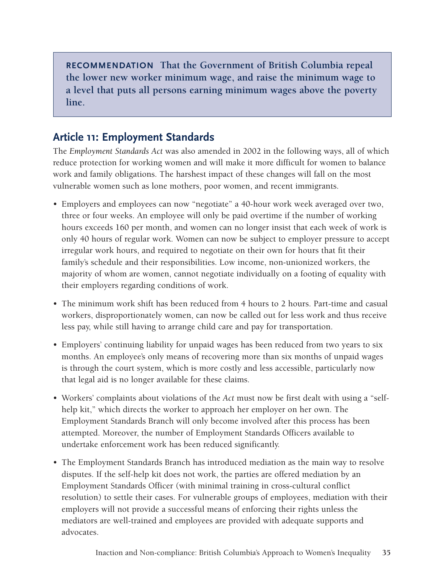**Recommendation That the Government of British Columbia repeal the lower new worker minimum wage, and raise the minimum wage to a level that puts all persons earning minimum wages above the poverty line.** 

## **Article 11: Employment Standards**

The *Employment Standards Act* was also amended in 2002 in the following ways, all of which reduce protection for working women and will make it more difficult for women to balance work and family obligations. The harshest impact of these changes will fall on the most vulnerable women such as lone mothers, poor women, and recent immigrants.

- Employers and employees can now "negotiate" a 40-hour work week averaged over two, three or four weeks. An employee will only be paid overtime if the number of working hours exceeds 160 per month, and women can no longer insist that each week of work is only 40 hours of regular work. Women can now be subject to employer pressure to accept irregular work hours, and required to negotiate on their own for hours that fit their family's schedule and their responsibilities. Low income, non-unionized workers, the majority of whom are women, cannot negotiate individually on a footing of equality with their employers regarding conditions of work.
- The minimum work shift has been reduced from 4 hours to 2 hours. Part-time and casual workers, disproportionately women, can now be called out for less work and thus receive less pay, while still having to arrange child care and pay for transportation.
- Employers' continuing liability for unpaid wages has been reduced from two years to six months. An employee's only means of recovering more than six months of unpaid wages is through the court system, which is more costly and less accessible, particularly now that legal aid is no longer available for these claims.
- • Workers' complaints about violations of the *Act* must now be first dealt with using a "selfhelp kit," which directs the worker to approach her employer on her own. The Employment Standards Branch will only become involved after this process has been attempted. Moreover, the number of Employment Standards Officers available to undertake enforcement work has been reduced significantly.
- The Employment Standards Branch has introduced mediation as the main way to resolve disputes. If the self-help kit does not work, the parties are offered mediation by an Employment Standards Officer (with minimal training in cross-cultural conflict resolution) to settle their cases. For vulnerable groups of employees, mediation with their employers will not provide a successful means of enforcing their rights unless the mediators are well-trained and employees are provided with adequate supports and advocates.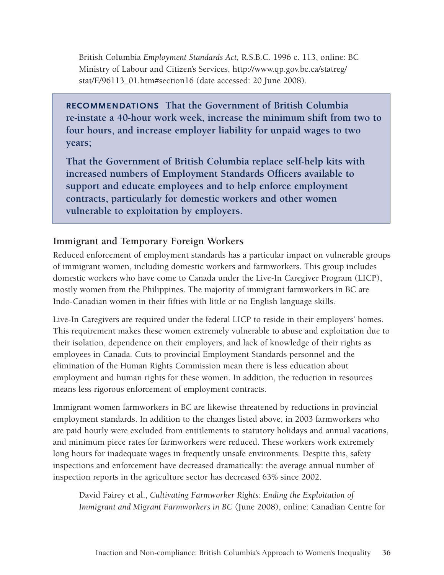British Columbia *Employment Standards Act,* R.S.B.C. 1996 c. 113, online: BC Ministry of Labour and Citizen's Services, [http://www.qp.gov.bc.ca/statreg/](http://www.qp.gov.bc.ca/statreg/stat/E/96113_01.htm#section16) stat/E/96113 01.htm#section16 (date accessed: 20 June 2008).

**Recommendations That the Government of British Columbia re-instate a 40-hour work week, increase the minimum shift from two to four hours, and increase employer liability for unpaid wages to two years;**

**That the Government of British Columbia replace self-help kits with increased numbers of Employment Standards Officers available to support and educate employees and to help enforce employment contracts, particularly for domestic workers and other women vulnerable to exploitation by employers.**

#### **Immigrant and Temporary Foreign Workers**

Reduced enforcement of employment standards has a particular impact on vulnerable groups of immigrant women, including domestic workers and farmworkers. This group includes domestic workers who have come to Canada under the Live-In Caregiver Program (LICP), mostly women from the Philippines. The majority of immigrant farmworkers in BC are Indo-Canadian women in their fifties with little or no English language skills.

Live-In Caregivers are required under the federal LICP to reside in their employers' homes. This requirement makes these women extremely vulnerable to abuse and exploitation due to their isolation, dependence on their employers, and lack of knowledge of their rights as employees in Canada. Cuts to provincial Employment Standards personnel and the elimination of the Human Rights Commission mean there is less education about employment and human rights for these women. In addition, the reduction in resources means less rigorous enforcement of employment contracts.

Immigrant women farmworkers in BC are likewise threatened by reductions in provincial employment standards. In addition to the changes listed above, in 2003 farmworkers who are paid hourly were excluded from entitlements to statutory holidays and annual vacations, and minimum piece rates for farmworkers were reduced. These workers work extremely long hours for inadequate wages in frequently unsafe environments. Despite this, safety inspections and enforcement have decreased dramatically: the average annual number of inspection reports in the agriculture sector has decreased 63% since 2002.

David Fairey et al., *Cultivating Farmworker Rights: Ending the Exploitation of Immigrant and Migrant Farmworkers in BC* (June 2008), online: Canadian Centre for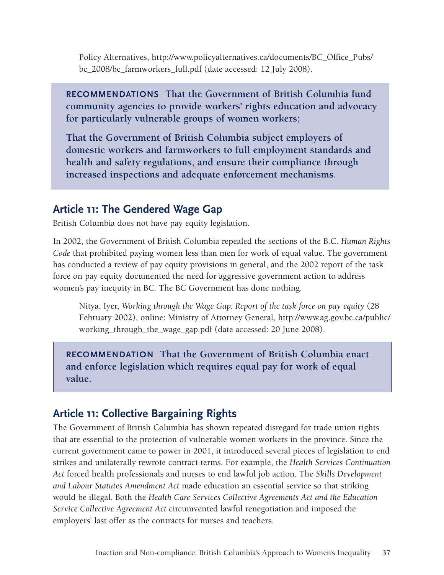Policy Alternatives, [http://www.policyalternatives.ca/documents/BC\\_Office\\_Pubs/](http://www.policyalternatives.ca/documents/BC_Office_Pubs/bc_2008/bc_farmworkers_full.pdf) [bc\\_2008/bc\\_farmworkers\\_full.pdf](http://www.policyalternatives.ca/documents/BC_Office_Pubs/bc_2008/bc_farmworkers_full.pdf) (date accessed: 12 July 2008).

**Recommendations That the Government of British Columbia fund community agencies to provide workers' rights education and advocacy for particularly vulnerable groups of women workers;**

**That the Government of British Columbia subject employers of domestic workers and farmworkers to full employment standards and health and safety regulations, and ensure their compliance through increased inspections and adequate enforcement mechanisms.** 

# **Article 11: The Gendered Wage Gap**

British Columbia does not have pay equity legislation.

In 2002, the Government of British Columbia repealed the sections of the B.C. *Human Rights Code* that prohibited paying women less than men for work of equal value. The government has conducted a review of pay equity provisions in general, and the 2002 report of the task force on pay equity documented the need for aggressive government action to address women's pay inequity in BC. The BC Government has done nothing.

Nitya, Iyer, *Working through the Wage Gap: Report of the task force on pay equity* (28 February 2002), online: Ministry of Attorney General, [http://www.ag.gov.bc.ca/public/](http://www.ag.gov.bc.ca/public/working_through_the_wage_gap.pdf) [working\\_through\\_the\\_wage\\_gap.pdf](http://www.ag.gov.bc.ca/public/working_through_the_wage_gap.pdf) (date accessed: 20 June 2008).

**Recommendation That the Government of British Columbia enact and enforce legislation which requires equal pay for work of equal value.**

# **Article 11: Collective Bargaining Rights**

The Government of British Columbia has shown repeated disregard for trade union rights that are essential to the protection of vulnerable women workers in the province. Since the current government came to power in 2001, it introduced several pieces of legislation to end strikes and unilaterally rewrote contract terms. For example, the *Health Services Continuation Act* forced health professionals and nurses to end lawful job action. The *Skills Development and Labour Statutes Amendment Act* made education an essential service so that striking would be illegal. Both the *Health Care Services Collective Agreements Act and the Education Service Collective Agreement Act* circumvented lawful renegotiation and imposed the employers' last offer as the contracts for nurses and teachers.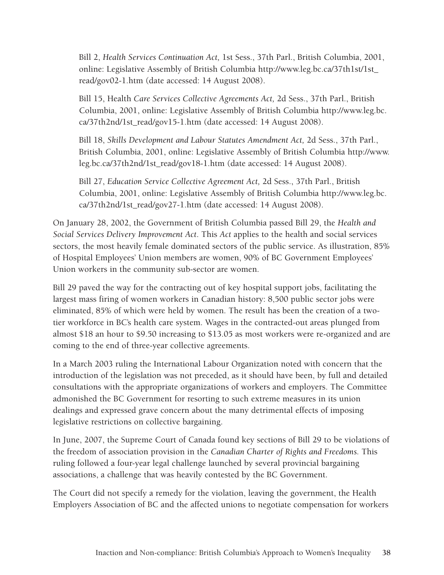Bill 2, *Health Services Continuation Act,* 1st Sess., 37th Parl., British Columbia, 2001, online: Legislative Assembly of British Columbia [http://www.leg.bc.ca/37th1st/1st\\_](http://www.legis.gov.bc.ca/37th1st/1st_read/gov02-1.htm ) [read/gov02-1.htm](http://www.legis.gov.bc.ca/37th1st/1st_read/gov02-1.htm ) (date accessed: 14 August 2008).

Bill 15, Health *Care Services Collective Agreements Act,* 2d Sess., 37th Parl., British Columbia, 2001, online: Legislative Assembly of British Columbia [http://www.leg.bc.](http://www.leg.bc.ca/37th2nd/1st_read/gov15-1.htm) [ca/37th2nd/1st\\_read/gov15-1.htm](http://www.leg.bc.ca/37th2nd/1st_read/gov15-1.htm) (date accessed: 14 August 2008).

Bill 18, *Skills Development and Labour Statutes Amendment Act,* 2d Sess., 37th Parl., British Columbia, 2001, online: Legislative Assembly of British Columbia [http://www.](http://www.leg.bc.ca/37th2nd/1st_read/gov18-1.htm) [leg.bc.ca/37th2nd/1st\\_read/gov18-1.htm](http://www.leg.bc.ca/37th2nd/1st_read/gov18-1.htm) (date accessed: 14 August 2008).

Bill 27, *Education Service Collective Agreement Act,* 2d Sess., 37th Parl., British Columbia, 2001, online: Legislative Assembly of British Columbia [http://www.leg.bc.](http://www.leg.bc.ca/37th2nd/1st_read/gov27-1.htm) [ca/37th2nd/1st\\_read/gov27-1.htm](http://www.leg.bc.ca/37th2nd/1st_read/gov27-1.htm) (date accessed: 14 August 2008).

On January 28, 2002, the Government of British Columbia passed Bill 29, the *Health and Social Services Delivery Improvement Act*. This *Act* applies to the health and social services sectors, the most heavily female dominated sectors of the public service. As illustration, 85% of Hospital Employees' Union members are women, 90% of BC Government Employees' Union workers in the community sub-sector are women.

Bill 29 paved the way for the contracting out of key hospital support jobs, facilitating the largest mass firing of women workers in Canadian history: 8,500 public sector jobs were eliminated, 85% of which were held by women. The result has been the creation of a twotier workforce in BC's health care system. Wages in the contracted-out areas plunged from almost \$18 an hour to \$9.50 increasing to \$13.05 as most workers were re-organized and are coming to the end of three-year collective agreements.

In a March 2003 ruling the International Labour Organization noted with concern that the introduction of the legislation was not preceded, as it should have been, by full and detailed consultations with the appropriate organizations of workers and employers. The Committee admonished the BC Government for resorting to such extreme measures in its union dealings and expressed grave concern about the many detrimental effects of imposing legislative restrictions on collective bargaining.

In June, 2007, the Supreme Court of Canada found key sections of Bill 29 to be violations of the freedom of association provision in the *Canadian Charter of Rights and Freedoms.* This ruling followed a four-year legal challenge launched by several provincial bargaining associations, a challenge that was heavily contested by the BC Government.

The Court did not specify a remedy for the violation, leaving the government, the Health Employers Association of BC and the affected unions to negotiate compensation for workers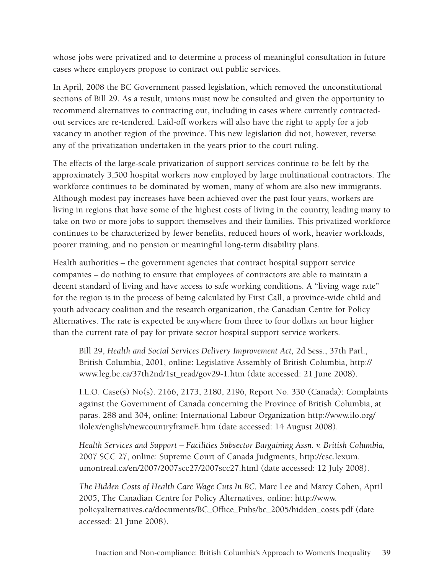whose jobs were privatized and to determine a process of meaningful consultation in future cases where employers propose to contract out public services.

In April, 2008 the BC Government passed legislation, which removed the unconstitutional sections of Bill 29. As a result, unions must now be consulted and given the opportunity to recommend alternatives to contracting out, including in cases where currently contractedout services are re-tendered. Laid-off workers will also have the right to apply for a job vacancy in another region of the province. This new legislation did not, however, reverse any of the privatization undertaken in the years prior to the court ruling.

The effects of the large-scale privatization of support services continue to be felt by the approximately 3,500 hospital workers now employed by large multinational contractors. The workforce continues to be dominated by women, many of whom are also new immigrants. Although modest pay increases have been achieved over the past four years, workers are living in regions that have some of the highest costs of living in the country, leading many to take on two or more jobs to support themselves and their families. This privatized workforce continues to be characterized by fewer benefits, reduced hours of work, heavier workloads, poorer training, and no pension or meaningful long-term disability plans.

Health authorities – the government agencies that contract hospital support service companies – do nothing to ensure that employees of contractors are able to maintain a decent standard of living and have access to safe working conditions. A "living wage rate" for the region is in the process of being calculated by First Call, a province-wide child and youth advocacy coalition and the research organization, the Canadian Centre for Policy Alternatives. The rate is expected be anywhere from three to four dollars an hour higher than the current rate of pay for private sector hospital support service workers.

Bill 29, *Health and Social Services Delivery Improvement Act,* 2d Sess., 37th Parl., British Columbia, 2001, online: Legislative Assembly of British Columbia, [http://](http://www.legis.gov.bc.ca/37th2nd/1st_read/gov29-1.htm) [www.leg.bc.ca/37th2nd/1st\\_read/gov29-1.htm](http://www.legis.gov.bc.ca/37th2nd/1st_read/gov29-1.htm) (date accessed: 21 June 2008).

I.L.O. Case(s) No(s). 2166, 2173, 2180, 2196, Report No. 330 (Canada): Complaints against the Government of Canada concerning the Province of British Columbia, at paras. 288 and 304, online: International Labour Organization [http://www.ilo.org/](http://www.ilo.org/ilolex/english/newcountryframeE.htm ) [ilolex/english/newcountryframeE.htm](http://www.ilo.org/ilolex/english/newcountryframeE.htm ) (date accessed: 14 August 2008).

*Health Services and Support – Facilities Subsector Bargaining Assn. v. British Columbia,*  2007 SCC 27, online: Supreme Court of Canada Judgments, [http://csc.lexum.](http://csc.lexum.umontreal.ca/en/2007/2007scc27/2007scc27.html) [umontreal.ca/en/2007/2007scc27/2007scc27.html](http://csc.lexum.umontreal.ca/en/2007/2007scc27/2007scc27.html) (date accessed: 12 July 2008).

*The Hidden Costs of Health Care Wage Cuts In BC,* Marc Lee and Marcy Cohen, April 2005, The Canadian Centre for Policy Alternatives, online: [http://www.](http://www.policyalternatives.ca/index.cfm?act=news&call=1089&do=article&pA=BB 736455 ) [policyalternatives.ca/documents/BC\\_Office\\_Pubs/bc\\_2005/hidden\\_costs.pdf](http://www.policyalternatives.ca/index.cfm?act=news&call=1089&do=article&pA=BB 736455 ) (date accessed: 21 June 2008).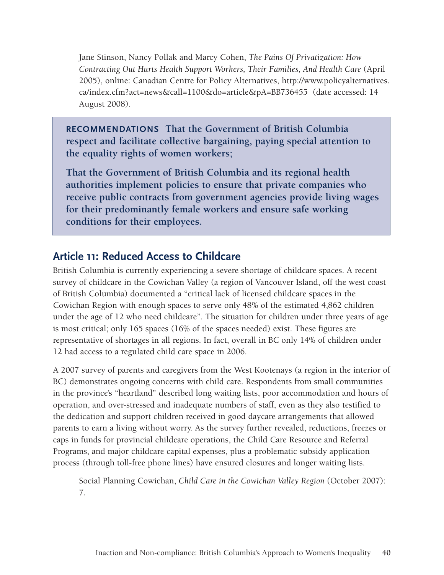Jane Stinson, Nancy Pollak and Marcy Cohen, *The Pains Of Privatization: How Contracting Out Hurts Health Support Workers, Their Families, And Health Care* (April 2005), online: Canadian Centre for Policy Alternatives, [http://www.policyalternatives.](http://www.policyalternatives.ca/index.cfm?act=news&call=1088&do=article&pA=BB 736455 ) [ca/index.cfm?act=news&call=1100&do=article&pA=BB736455](http://www.policyalternatives.ca/index.cfm?act=news&call=1088&do=article&pA=BB 736455 ) (date accessed: 14 August 2008).

**Recommendations That the Government of British Columbia respect and facilitate collective bargaining, paying special attention to the equality rights of women workers;**

**That the Government of British Columbia and its regional health authorities implement policies to ensure that private companies who receive public contracts from government agencies provide living wages for their predominantly female workers and ensure safe working conditions for their employees.** 

# **Article 11: Reduced Access to Childcare**

British Columbia is currently experiencing a severe shortage of childcare spaces. A recent survey of childcare in the Cowichan Valley (a region of Vancouver Island, off the west coast of British Columbia) documented a "critical lack of licensed childcare spaces in the Cowichan Region with enough spaces to serve only 48% of the estimated 4,862 children under the age of 12 who need childcare". The situation for children under three years of age is most critical; only 165 spaces (16% of the spaces needed) exist. These figures are representative of shortages in all regions. In fact, overall in BC only 14% of children under 12 had access to a regulated child care space in 2006.

A 2007 survey of parents and caregivers from the West Kootenays (a region in the interior of BC) demonstrates ongoing concerns with child care. Respondents from small communities in the province's "heartland" described long waiting lists, poor accommodation and hours of operation, and over-stressed and inadequate numbers of staff, even as they also testified to the dedication and support children received in good daycare arrangements that allowed parents to earn a living without worry. As the survey further revealed, reductions, freezes or caps in funds for provincial childcare operations, the Child Care Resource and Referral Programs, and major childcare capital expenses, plus a problematic subsidy application process (through toll-free phone lines) have ensured closures and longer waiting lists.

Social Planning Cowichan, *Child Care in the Cowichan Valley Region* (October 2007): 7.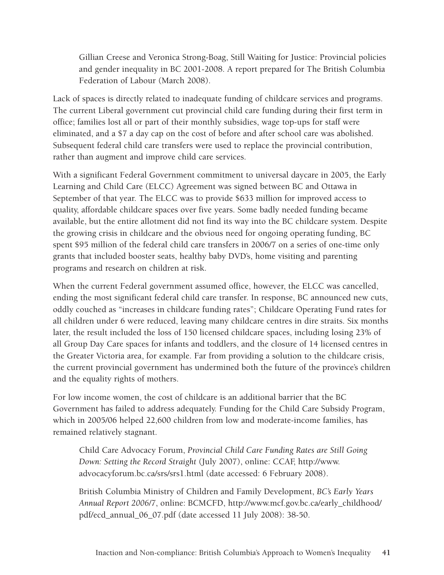Gillian Creese and Veronica Strong-Boag, Still Waiting for Justice: Provincial policies and gender inequality in BC 2001-2008. A report prepared for The British Columbia Federation of Labour (March 2008).

Lack of spaces is directly related to inadequate funding of childcare services and programs. The current Liberal government cut provincial child care funding during their first term in office; families lost all or part of their monthly subsidies, wage top-ups for staff were eliminated, and a \$7 a day cap on the cost of before and after school care was abolished. Subsequent federal child care transfers were used to replace the provincial contribution, rather than augment and improve child care services.

With a significant Federal Government commitment to universal daycare in 2005, the Early Learning and Child Care (ELCC) Agreement was signed between BC and Ottawa in September of that year. The ELCC was to provide \$633 million for improved access to quality, affordable childcare spaces over five years. Some badly needed funding became available, but the entire allotment did not find its way into the BC childcare system. Despite the growing crisis in childcare and the obvious need for ongoing operating funding, BC spent \$95 million of the federal child care transfers in 2006/7 on a series of one-time only grants that included booster seats, healthy baby DVD's, home visiting and parenting programs and research on children at risk.

When the current Federal government assumed office, however, the ELCC was cancelled, ending the most significant federal child care transfer. In response, BC announced new cuts, oddly couched as "increases in childcare funding rates"; Childcare Operating Fund rates for all children under 6 were reduced, leaving many childcare centres in dire straits. Six months later, the result included the loss of 150 licensed childcare spaces, including losing 23% of all Group Day Care spaces for infants and toddlers, and the closure of 14 licensed centres in the Greater Victoria area, for example. Far from providing a solution to the childcare crisis, the current provincial government has undermined both the future of the province's children and the equality rights of mothers.

For low income women, the cost of childcare is an additional barrier that the BC Government has failed to address adequately. Funding for the Child Care Subsidy Program, which in 2005/06 helped 22,600 children from low and moderate-income families, has remained relatively stagnant.

Child Care Advocacy Forum, *Provincial Child Care Funding Rates are Still Going Down: Setting the Record Straight* (July 2007), online: CCAF, [http://www.](http://www.advocacyforum.bc.ca/srs/srs1.html ) [advocacyforum.bc.ca/srs/srs1.html](http://www.advocacyforum.bc.ca/srs/srs1.html ) (date accessed: 6 February 2008).

British Columbia Ministry of Children and Family Development, *BC's Early Years Annual Report 2006/7*, online: BCMCFD, [http://www.mcf.gov.bc.ca/early\\_childhood/](http://www.mcf.gov.bc.ca/early_childhood/pdf/ecd_annual_06_07.pdf) [pdf/ecd\\_annual\\_06\\_07.pdf](http://www.mcf.gov.bc.ca/early_childhood/pdf/ecd_annual_06_07.pdf) (date accessed 11 July 2008): 38-50.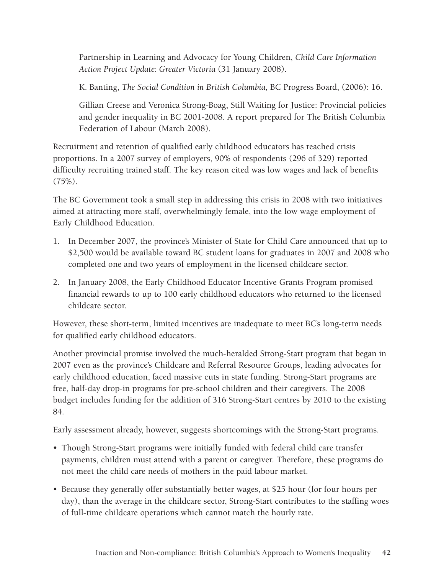Partnership in Learning and Advocacy for Young Children, *Child Care Information Action Project Update: Greater Victoria* (31 January 2008).

K. Banting, *The Social Condition in British Columbia,* BC Progress Board, (2006): 16.

Gillian Creese and Veronica Strong-Boag, Still Waiting for Justice: Provincial policies and gender inequality in BC 2001-2008. A report prepared for The British Columbia Federation of Labour (March 2008).

Recruitment and retention of qualified early childhood educators has reached crisis proportions. In a 2007 survey of employers, 90% of respondents (296 of 329) reported difficulty recruiting trained staff. The key reason cited was low wages and lack of benefits  $(75\%)$ .

The BC Government took a small step in addressing this crisis in 2008 with two initiatives aimed at attracting more staff, overwhelmingly female, into the low wage employment of Early Childhood Education.

- 1. In December 2007, the province's Minister of State for Child Care announced that up to \$2,500 would be available toward BC student loans for graduates in 2007 and 2008 who completed one and two years of employment in the licensed childcare sector.
- 2. In January 2008, the Early Childhood Educator Incentive Grants Program promised financial rewards to up to 100 early childhood educators who returned to the licensed childcare sector.

However, these short-term, limited incentives are inadequate to meet BC's long-term needs for qualified early childhood educators.

Another provincial promise involved the much-heralded Strong-Start program that began in 2007 even as the province's Childcare and Referral Resource Groups, leading advocates for early childhood education, faced massive cuts in state funding. Strong-Start programs are free, half-day drop-in programs for pre-school children and their caregivers. The 2008 budget includes funding for the addition of 316 Strong-Start centres by 2010 to the existing 84.

Early assessment already, however, suggests shortcomings with the Strong-Start programs.

- Though Strong-Start programs were initially funded with federal child care transfer payments, children must attend with a parent or caregiver. Therefore, these programs do not meet the child care needs of mothers in the paid labour market.
- Because they generally offer substantially better wages, at \$25 hour (for four hours per day), than the average in the childcare sector, Strong-Start contributes to the staffing woes of full-time childcare operations which cannot match the hourly rate.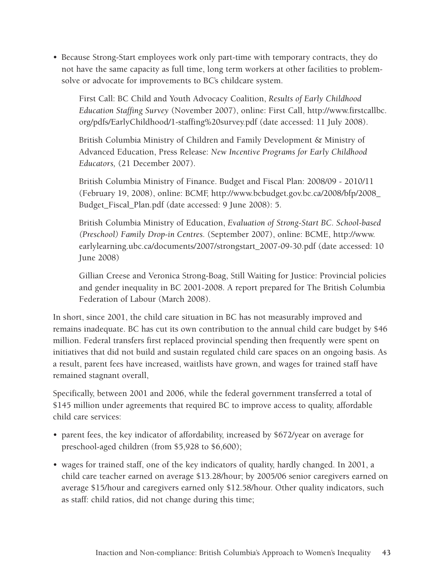• Because Strong-Start employees work only part-time with temporary contracts, they do not have the same capacity as full time, long term workers at other facilities to problemsolve or advocate for improvements to BC's childcare system.

First Call: BC Child and Youth Advocacy Coalition, *Results of Early Childhood Education Staffing Survey* (November 2007), online: First Call, [http://www.firstcallbc.](http://www.firstcallbc.org/pdfs/EarlyChildhood/1-staffing survey.pdf) [org/pdfs/EarlyChildhood/1-staffing%20survey.pdf](http://www.firstcallbc.org/pdfs/EarlyChildhood/1-staffing survey.pdf) (date accessed: 11 July 2008).

British Columbia Ministry of Children and Family Development & Ministry of Advanced Education, Press Release: *New Incentive Programs for Early Childhood Educators,* (21 December 2007).

British Columbia Ministry of Finance. Budget and Fiscal Plan: 2008/09 - 2010/11 (February 19, 2008), online: BCMF, [http://www.bcbudget.gov.bc.ca/2008/bfp/2008\\_](http://www.bcbudget.gov.bc.ca/2008/bfp/2008_Budget_Fiscal_Plan.pdf ) [Budget\\_Fiscal\\_Plan.pdf](http://www.bcbudget.gov.bc.ca/2008/bfp/2008_Budget_Fiscal_Plan.pdf ) (date accessed: 9 June 2008): 5.

British Columbia Ministry of Education, *Evaluation of Strong-Start BC. School-based (Preschool) Family Drop-in Centres.* (September 2007), online: BCME, [http://www.](http://www.earlylearning.ubc.ca/documents/2007/strongstart_2007-09-30.pdf) [earlylearning.ubc.ca/documents/2007/strongstart\\_2007-09-30.pdf](http://www.earlylearning.ubc.ca/documents/2007/strongstart_2007-09-30.pdf) (date accessed: 10 June 2008)

Gillian Creese and Veronica Strong-Boag, Still Waiting for Justice: Provincial policies and gender inequality in BC 2001-2008. A report prepared for The British Columbia Federation of Labour (March 2008).

In short, since 2001, the child care situation in BC has not measurably improved and remains inadequate. BC has cut its own contribution to the annual child care budget by \$46 million. Federal transfers first replaced provincial spending then frequently were spent on initiatives that did not build and sustain regulated child care spaces on an ongoing basis. As a result, parent fees have increased, waitlists have grown, and wages for trained staff have remained stagnant overall,

Specifically, between 2001 and 2006, while the federal government transferred a total of \$145 million under agreements that required BC to improve access to quality, affordable child care services:

- parent fees, the key indicator of affordability, increased by \$672/year on average for preschool-aged children (from \$5,928 to \$6,600);
- wages for trained staff, one of the key indicators of quality, hardly changed. In 2001, a child care teacher earned on average \$13.28/hour; by 2005/06 senior caregivers earned on average \$15/hour and caregivers earned only \$12.58/hour. Other quality indicators, such as staff: child ratios, did not change during this time;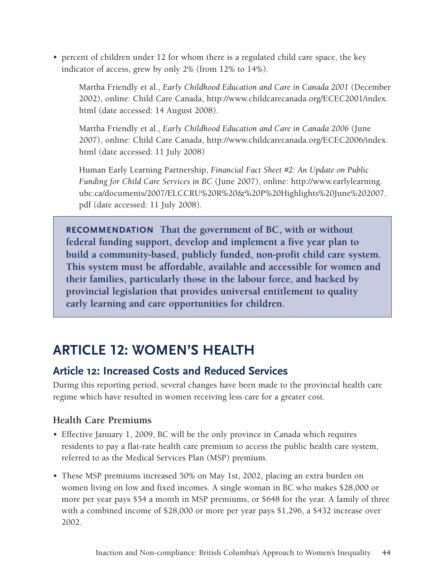• percent of children under 12 for whom there is a regulated child care space, the key indicator of access, grew by only 2% (from 12% to 14%).

Martha Friendly et al., *Early Childhood Education and Care in Canada 2001* (December 2002), online: Child Care Canada, [http://www.childcarecanada.org/ECEC2001/index.](http://www.childcarecanada.org/ECEC2001/index.html) [html](http://www.childcarecanada.org/ECEC2001/index.html) (date accessed: 14 August 2008).

Martha Friendly et al., *Early Childhood Education and Care in Canada 2006* (June 2007), online: Child Care Canada, [http://www.childcarecanada.org/ECEC2006/index.](http://www.childcarecanada.org/ECEC2006/index.html) [html](http://www.childcarecanada.org/ECEC2006/index.html) (date accessed: 11 July 2008)

Human Early Learning Partnership, *Financial Fact Sheet #2: An Update on Public Funding for Child Care Services in BC* (June 2007), online: [http://www.earlylearning.](http://www.earlylearning.ubc.ca/documents/2007/ELCCRU R & P Highlights June 2007.pdf) [ubc.ca/documents/2007/ELCCRU%20R%20&%20P%20Highlights%20June%202007.](http://www.earlylearning.ubc.ca/documents/2007/ELCCRU R & P Highlights June 2007.pdf) [pdf](http://www.earlylearning.ubc.ca/documents/2007/ELCCRU R & P Highlights June 2007.pdf) (date accessed: 11 July 2008).

**RECOMMENDATION** That the government of BC, with or without **federal funding support, develop and implement a five year plan to build a community-based, publicly funded, non-profit child care system. This system must be affordable, available and accessible for women and their families, particularly those in the labour force, and backed by provincial legislation that provides universal entitlement to quality early learning and care opportunities for children.** 

# **ARTICLE 12: WOMEN'S HEALTH**

# **Article 12: Increased Costs and Reduced Services**

During this reporting period, several changes have been made to the provincial health care regime which have resulted in women receiving less care for a greater cost.

# **Health Care Premiums**

- Effective January 1, 2009, BC will be the only province in Canada which requires residents to pay a flat-rate health care premium to access the public health care system, referred to as the Medical Services Plan (MSP) premium.
- These MSP premiums increased 50% on May 1st, 2002, placing an extra burden on women living on low and fixed incomes. A single woman in BC who makes \$28,000 or more per year pays \$54 a month in MSP premiums, or \$648 for the year. A family of three with a combined income of \$28,000 or more per year pays \$1,296, a \$432 increase over 2002.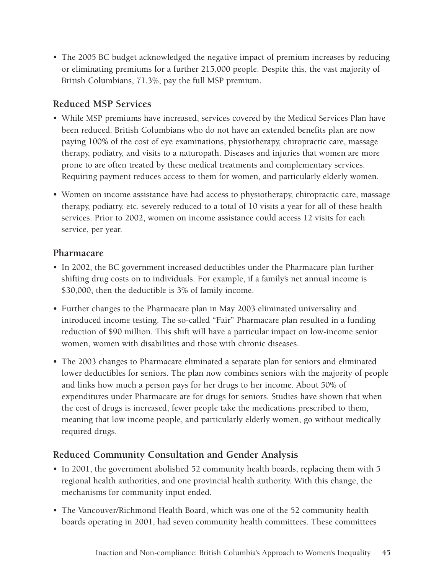• The 2005 BC budget acknowledged the negative impact of premium increases by reducing or eliminating premiums for a further 215,000 people. Despite this, the vast majority of British Columbians, 71.3%, pay the full MSP premium.

## **Reduced MSP Services**

- While MSP premiums have increased, services covered by the Medical Services Plan have been reduced. British Columbians who do not have an extended benefits plan are now paying 100% of the cost of eye examinations, physiotherapy, chiropractic care, massage therapy, podiatry, and visits to a naturopath. Diseases and injuries that women are more prone to are often treated by these medical treatments and complementary services. Requiring payment reduces access to them for women, and particularly elderly women.
- Women on income assistance have had access to physiotherapy, chiropractic care, massage therapy, podiatry, etc. severely reduced to a total of 10 visits a year for all of these health services. Prior to 2002, women on income assistance could access 12 visits for each service, per year.

#### **Pharmacare**

- In 2002, the BC government increased deductibles under the Pharmacare plan further shifting drug costs on to individuals. For example, if a family's net annual income is \$30,000, then the deductible is 3% of family income.
- • Further changes to the Pharmacare plan in May 2003 eliminated universality and introduced income testing. The so-called "Fair" Pharmacare plan resulted in a funding reduction of \$90 million. This shift will have a particular impact on low-income senior women, women with disabilities and those with chronic diseases.
- The 2003 changes to Pharmacare eliminated a separate plan for seniors and eliminated lower deductibles for seniors. The plan now combines seniors with the majority of people and links how much a person pays for her drugs to her income. About 50% of expenditures under Pharmacare are for drugs for seniors. Studies have shown that when the cost of drugs is increased, fewer people take the medications prescribed to them, meaning that low income people, and particularly elderly women, go without medically required drugs.

## **Reduced Community Consultation and Gender Analysis**

- In 2001, the government abolished 52 community health boards, replacing them with 5 regional health authorities, and one provincial health authority. With this change, the mechanisms for community input ended.
- The Vancouver/Richmond Health Board, which was one of the 52 community health boards operating in 2001, had seven community health committees. These committees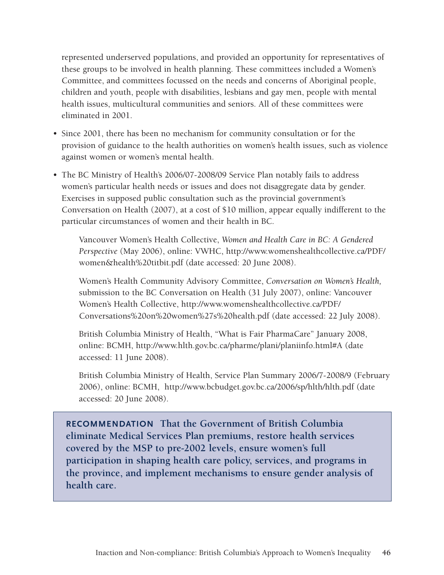represented underserved populations, and provided an opportunity for representatives of these groups to be involved in health planning. These committees included a Women's Committee, and committees focussed on the needs and concerns of Aboriginal people, children and youth, people with disabilities, lesbians and gay men, people with mental health issues, multicultural communities and seniors. All of these committees were eliminated in 2001.

- Since 2001, there has been no mechanism for community consultation or for the provision of guidance to the health authorities on women's health issues, such as violence against women or women's mental health.
- The BC Ministry of Health's 2006/07-2008/09 Service Plan notably fails to address women's particular health needs or issues and does not disaggregate data by gender. Exercises in supposed public consultation such as the provincial government's Conversation on Health (2007), at a cost of \$10 million, appear equally indifferent to the particular circumstances of women and their health in BC.

Vancouver Women's Health Collective, *Women and Health Care in BC: A Gendered Perspective* (May 2006), online: VWHC, [http://www.womenshealthcollective.ca/PDF/](http://www.womenshealthcollective.ca/PDF/women&health titbit.pdf) [women&health%20titbit.pdf](http://www.womenshealthcollective.ca/PDF/women&health titbit.pdf) (date accessed: 20 June 2008).

Women's Health Community Advisory Committee, *Conversation on Women's Health,*  submission to the BC Conversation on Health (31 July 2007), online: Vancouver Women's Health Collective, [http://www.womenshealthcollective.ca/PDF/](http://www.womenshealthcollective.ca/PDF/Conversations on women%27s health.pdf) [Conversations%20on%20women%27s%20health.pdf](http://www.womenshealthcollective.ca/PDF/Conversations on women%27s health.pdf) (date accessed: 22 July 2008).

British Columbia Ministry of Health, "What is Fair PharmaCare" January 2008, online: BCMH, [http://www.hlth.gov.bc.ca/pharme/plani/planiinfo.html#A](http://www.hlth.gov.bc.ca/pharme/plani/planiinfo.html#A ) (date accessed: 11 June 2008).

British Columbia Ministry of Health, Service Plan Summary 2006/7-2008/9 (February 2006), online: BCMH, [http://www.bcbudget.gov.bc.ca/2006/sp/hlth/hlth.pdf](http://www.gov.bc.ca/prem/down/core_review_02/health_services.pdf) (date accessed: 20 June 2008).

**Recommendation That the Government of British Columbia eliminate Medical Services Plan premiums, restore health services covered by the MSP to pre-2002 levels, ensure women's full participation in shaping health care policy, services, and programs in the province, and implement mechanisms to ensure gender analysis of health care.**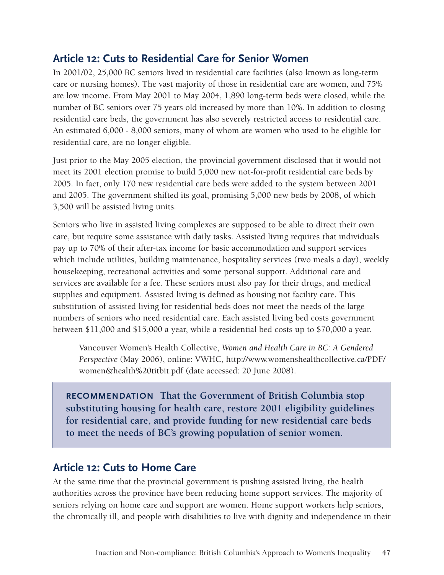# **Article 12: Cuts to Residential Care for Senior Women**

In 2001/02, 25,000 BC seniors lived in residential care facilities (also known as long-term care or nursing homes). The vast majority of those in residential care are women, and 75% are low income. From May 2001 to May 2004, 1,890 long-term beds were closed, while the number of BC seniors over 75 years old increased by more than 10%. In addition to closing residential care beds, the government has also severely restricted access to residential care. An estimated 6,000 - 8,000 seniors, many of whom are women who used to be eligible for residential care, are no longer eligible.

Just prior to the May 2005 election, the provincial government disclosed that it would not meet its 2001 election promise to build 5,000 new not-for-profit residential care beds by 2005. In fact, only 170 new residential care beds were added to the system between 2001 and 2005. The government shifted its goal, promising 5,000 new beds by 2008, of which 3,500 will be assisted living units.

Seniors who live in assisted living complexes are supposed to be able to direct their own care, but require some assistance with daily tasks. Assisted living requires that individuals pay up to 70% of their after-tax income for basic accommodation and support services which include utilities, building maintenance, hospitality services (two meals a day), weekly housekeeping, recreational activities and some personal support. Additional care and services are available for a fee. These seniors must also pay for their drugs, and medical supplies and equipment. Assisted living is defined as housing not facility care. This substitution of assisted living for residential beds does not meet the needs of the large numbers of seniors who need residential care. Each assisted living bed costs government between \$11,000 and \$15,000 a year, while a residential bed costs up to \$70,000 a year.

Vancouver Women's Health Collective, *Women and Health Care in BC: A Gendered Perspective* (May 2006), online: VWHC, [http://www.womenshealthcollective.ca/PDF/](http://www.womenshealthcollective.ca/PDF/women&health titbit.pdf) [women&health%20titbit.pdf](http://www.womenshealthcollective.ca/PDF/women&health titbit.pdf) (date accessed: 20 June 2008).

**Recommendation That the Government of British Columbia stop substituting housing for health care, restore 2001 eligibility guidelines for residential care, and provide funding for new residential care beds to meet the needs of BC's growing population of senior women.** 

# **Article 12: Cuts to Home Care**

At the same time that the provincial government is pushing assisted living, the health authorities across the province have been reducing home support services. The majority of seniors relying on home care and support are women. Home support workers help seniors, the chronically ill, and people with disabilities to live with dignity and independence in their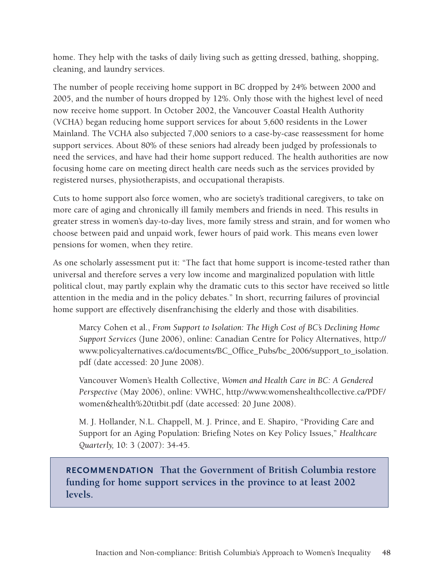home. They help with the tasks of daily living such as getting dressed, bathing, shopping, cleaning, and laundry services.

The number of people receiving home support in BC dropped by 24% between 2000 and 2005, and the number of hours dropped by 12%. Only those with the highest level of need now receive home support. In October 2002, the Vancouver Coastal Health Authority (VCHA) began reducing home support services for about 5,600 residents in the Lower Mainland. The VCHA also subjected 7,000 seniors to a case-by-case reassessment for home support services. About 80% of these seniors had already been judged by professionals to need the services, and have had their home support reduced. The health authorities are now focusing home care on meeting direct health care needs such as the services provided by registered nurses, physiotherapists, and occupational therapists.

Cuts to home support also force women, who are society's traditional caregivers, to take on more care of aging and chronically ill family members and friends in need. This results in greater stress in women's day-to-day lives, more family stress and strain, and for women who choose between paid and unpaid work, fewer hours of paid work. This means even lower pensions for women, when they retire.

As one scholarly assessment put it: "The fact that home support is income-tested rather than universal and therefore serves a very low income and marginalized population with little political clout, may partly explain why the dramatic cuts to this sector have received so little attention in the media and in the policy debates." In short, recurring failures of provincial home support are effectively disenfranchising the elderly and those with disabilities.

Marcy Cohen et al., *From Support to Isolation: The High Cost of BC's Declining Home Support Services* (June 2006), online: Canadian Centre for Policy Alternatives, [http://](http://www.policyalternatives.ca/documents/BC_Office_Pubs/bc_2006/support_to_isolation.pdf) [www.policyalternatives.ca/documents/BC\\_Office\\_Pubs/bc\\_2006/support\\_to\\_isolation.](http://www.policyalternatives.ca/documents/BC_Office_Pubs/bc_2006/support_to_isolation.pdf) [pdf](http://www.policyalternatives.ca/documents/BC_Office_Pubs/bc_2006/support_to_isolation.pdf) (date accessed: 20 June 2008).

Vancouver Women's Health Collective, *Women and Health Care in BC: A Gendered Perspective* (May 2006), online: VWHC, [http://www.womenshealthcollective.ca/PDF/](http://www.womenshealthcollective.ca/PDF/women&health titbit.pdf) [women&health%20titbit.pdf](http://www.womenshealthcollective.ca/PDF/women&health titbit.pdf) (date accessed: 20 June 2008).

M. J. Hollander, N.L. Chappell, M. J. Prince, and E. Shapiro, "Providing Care and Support for an Aging Population: Briefing Notes on Key Policy Issues," *Healthcare Quarterly,* 10: 3 (2007): 34-45.

**Recommendation That the Government of British Columbia restore funding for home support services in the province to at least 2002 levels.**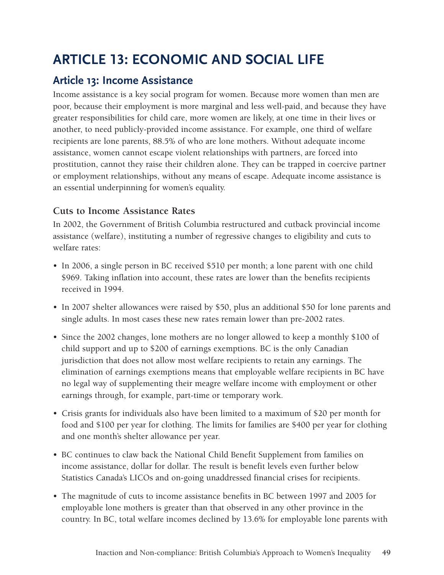# **ARTICLE 13: ECONOMIC AND SOCIAL LIFE**

# **Article 13: Income Assistance**

Income assistance is a key social program for women. Because more women than men are poor, because their employment is more marginal and less well-paid, and because they have greater responsibilities for child care, more women are likely, at one time in their lives or another, to need publicly-provided income assistance. For example, one third of welfare recipients are lone parents, 88.5% of who are lone mothers. Without adequate income assistance, women cannot escape violent relationships with partners, are forced into prostitution, cannot they raise their children alone. They can be trapped in coercive partner or employment relationships, without any means of escape. Adequate income assistance is an essential underpinning for women's equality.

## **Cuts to Income Assistance Rates**

In 2002, the Government of British Columbia restructured and cutback provincial income assistance (welfare), instituting a number of regressive changes to eligibility and cuts to welfare rates:

- In 2006, a single person in BC received \$510 per month; a lone parent with one child \$969. Taking inflation into account, these rates are lower than the benefits recipients received in 1994.
- In 2007 shelter allowances were raised by \$50, plus an additional \$50 for lone parents and single adults. In most cases these new rates remain lower than pre-2002 rates.
- Since the 2002 changes, lone mothers are no longer allowed to keep a monthly \$100 of child support and up to \$200 of earnings exemptions. BC is the only Canadian jurisdiction that does not allow most welfare recipients to retain any earnings. The elimination of earnings exemptions means that employable welfare recipients in BC have no legal way of supplementing their meagre welfare income with employment or other earnings through, for example, part-time or temporary work.
- • Crisis grants for individuals also have been limited to a maximum of \$20 per month for food and \$100 per year for clothing. The limits for families are \$400 per year for clothing and one month's shelter allowance per year.
- • BC continues to claw back the National Child Benefit Supplement from families on income assistance, dollar for dollar. The result is benefit levels even further below Statistics Canada's LICOs and on-going unaddressed financial crises for recipients.
- The magnitude of cuts to income assistance benefits in BC between 1997 and 2005 for employable lone mothers is greater than that observed in any other province in the country. In BC, total welfare incomes declined by 13.6% for employable lone parents with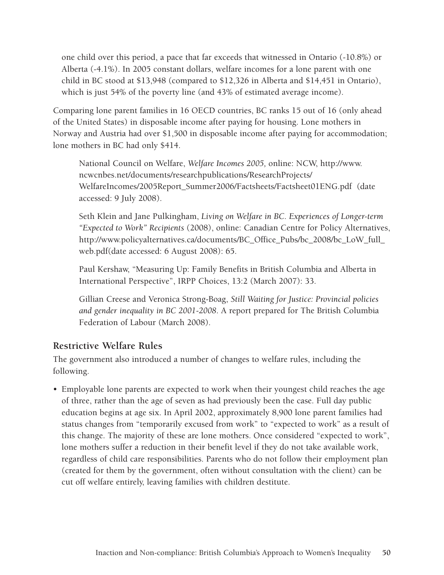one child over this period, a pace that far exceeds that witnessed in Ontario (-10.8%) or Alberta (-4.1%). In 2005 constant dollars, welfare incomes for a lone parent with one child in BC stood at \$13,948 (compared to \$12,326 in Alberta and \$14,451 in Ontario), which is just 54% of the poverty line (and 43% of estimated average income).

Comparing lone parent families in 16 OECD countries, BC ranks 15 out of 16 (only ahead of the United States) in disposable income after paying for housing. Lone mothers in Norway and Austria had over \$1,500 in disposable income after paying for accommodation; lone mothers in BC had only \$414.

National Council on Welfare, *Welfare Incomes 2005,* online: NCW, [http://www.](http://www.ncwcnbes.net/documents/researchpublications/ResearchProjects/WelfareIncomes/2005Report_Summer2006/Factsheets/Factsheet01ENG.pdf) [ncwcnbes.net/documents/researchpublications/ResearchProjects/](http://www.ncwcnbes.net/documents/researchpublications/ResearchProjects/WelfareIncomes/2005Report_Summer2006/Factsheets/Factsheet01ENG.pdf) [WelfareIncomes/2005Report\\_Summer2006/Factsheets/Factsheet01ENG.pdf](http://www.ncwcnbes.net/documents/researchpublications/ResearchProjects/WelfareIncomes/2005Report_Summer2006/Factsheets/Factsheet01ENG.pdf) (date accessed: 9 July 2008).

Seth Klein and Jane Pulkingham, *Living on Welfare in BC. Experiences of Longer-term "Expected to Work" Recipients* (2008), online: Canadian Centre for Policy Alternatives, [http://www.policyalternatives.ca/documents/BC\\_Office\\_Pubs/bc\\_2008/bc\\_LoW\\_full\\_](http://www.policyalternatives.ca/documents/BC_Office_Pubs/bc_2008/bc_LoW_full_web.pdf) [web.pdf\(](http://www.policyalternatives.ca/documents/BC_Office_Pubs/bc_2008/bc_LoW_full_web.pdf)date accessed: 6 August 2008): 65.

Paul Kershaw, "Measuring Up: Family Benefits in British Columbia and Alberta in International Perspective", IRPP Choices, 13:2 (March 2007): 33.

Gillian Creese and Veronica Strong-Boag, *Still Waiting for Justice: Provincial policies and gender inequality in BC 2001-2008*. A report prepared for The British Columbia Federation of Labour (March 2008).

## **Restrictive Welfare Rules**

The government also introduced a number of changes to welfare rules, including the following.

• Employable lone parents are expected to work when their youngest child reaches the age of three, rather than the age of seven as had previously been the case. Full day public education begins at age six. In April 2002, approximately 8,900 lone parent families had status changes from "temporarily excused from work" to "expected to work" as a result of this change. The majority of these are lone mothers. Once considered "expected to work", lone mothers suffer a reduction in their benefit level if they do not take available work, regardless of child care responsibilities. Parents who do not follow their employment plan (created for them by the government, often without consultation with the client) can be cut off welfare entirely, leaving families with children destitute.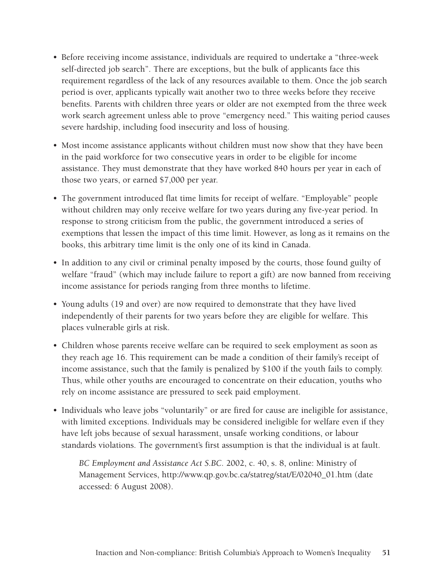- Before receiving income assistance, individuals are required to undertake a "three-week" self-directed job search". There are exceptions, but the bulk of applicants face this requirement regardless of the lack of any resources available to them. Once the job search period is over, applicants typically wait another two to three weeks before they receive benefits. Parents with children three years or older are not exempted from the three week work search agreement unless able to prove "emergency need." This waiting period causes severe hardship, including food insecurity and loss of housing.
- Most income assistance applicants without children must now show that they have been in the paid workforce for two consecutive years in order to be eligible for income assistance. They must demonstrate that they have worked 840 hours per year in each of those two years, or earned \$7,000 per year.
- The government introduced flat time limits for receipt of welfare. "Employable" people without children may only receive welfare for two years during any five-year period. In response to strong criticism from the public, the government introduced a series of exemptions that lessen the impact of this time limit. However, as long as it remains on the books, this arbitrary time limit is the only one of its kind in Canada.
- In addition to any civil or criminal penalty imposed by the courts, those found guilty of welfare "fraud" (which may include failure to report a gift) are now banned from receiving income assistance for periods ranging from three months to lifetime.
- Young adults (19 and over) are now required to demonstrate that they have lived independently of their parents for two years before they are eligible for welfare. This places vulnerable girls at risk.
- Children whose parents receive welfare can be required to seek employment as soon as they reach age 16. This requirement can be made a condition of their family's receipt of income assistance, such that the family is penalized by \$100 if the youth fails to comply. Thus, while other youths are encouraged to concentrate on their education, youths who rely on income assistance are pressured to seek paid employment.
- Individuals who leave jobs "voluntarily" or are fired for cause are ineligible for assistance, with limited exceptions. Individuals may be considered ineligible for welfare even if they have left jobs because of sexual harassment, unsafe working conditions, or labour standards violations. The government's first assumption is that the individual is at fault.

*BC Employment and Assistance Act S.BC.* 2002, c. 40, s. 8, online: Ministry of Management Services, [http://www.qp.gov.bc.ca/statreg/stat/E/02040\\_01.htm](http://www.qp.gov.bc.ca/statreg/stat/E/02040_01.htm ) (date accessed: 6 August 2008).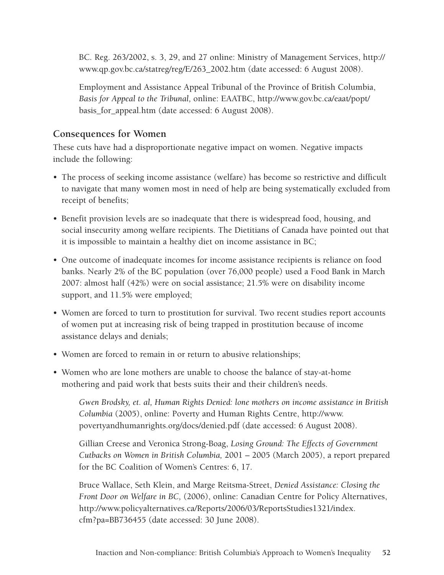BC. Reg. 263/2002, s. 3, 29, and 27 online: Ministry of Management Services, [http://](http://www.qp.gov.bc.ca/statreg/reg/E/263_2002.htm ) [www.qp.gov.bc.ca/statreg/reg/E/263\\_2002.htm](http://www.qp.gov.bc.ca/statreg/reg/E/263_2002.htm ) (date accessed: 6 August 2008).

Employment and Assistance Appeal Tribunal of the Province of British Columbia, *Basis for Appeal to the Tribunal,* online: EAATBC, [http://www.gov.bc.ca/eaat/popt/](http://www.gov.bc.ca/eaat/popt/basis_for_appeal.htm ) [basis\\_for\\_appeal.htm](http://www.gov.bc.ca/eaat/popt/basis_for_appeal.htm ) (date accessed: 6 August 2008).

# **Consequences for Women**

These cuts have had a disproportionate negative impact on women. Negative impacts include the following:

- The process of seeking income assistance (welfare) has become so restrictive and difficult to navigate that many women most in need of help are being systematically excluded from receipt of benefits;
- Benefit provision levels are so inadequate that there is widespread food, housing, and social insecurity among welfare recipients. The Dietitians of Canada have pointed out that it is impossible to maintain a healthy diet on income assistance in BC;
- One outcome of inadequate incomes for income assistance recipients is reliance on food banks. Nearly 2% of the BC population (over 76,000 people) used a Food Bank in March 2007: almost half (42%) were on social assistance; 21.5% were on disability income support, and 11.5% were employed;
- Women are forced to turn to prostitution for survival. Two recent studies report accounts of women put at increasing risk of being trapped in prostitution because of income assistance delays and denials;
- Women are forced to remain in or return to abusive relationships;
- Women who are lone mothers are unable to choose the balance of stay-at-home mothering and paid work that bests suits their and their children's needs.

*Gwen Brodsky, et. al, Human Rights Denied: lone mothers on income assistance in British Columbia* (2005), online: Poverty and Human Rights Centre, [http://www.](http://www.povertyandhumanrights.org/docs/denied.pdf ) [povertyandhumanrights.org/docs/denied.pdf](http://www.povertyandhumanrights.org/docs/denied.pdf ) (date accessed: 6 August 2008).

Gillian Creese and Veronica Strong-Boag, *Losing Ground: The Effects of Government Cutbacks on Women in British Columbia,* 2001 – 2005 (March 2005), a report prepared for the BC Coalition of Women's Centres: 6, 17.

Bruce Wallace, Seth Klein, and Marge Reitsma-Street, *Denied Assistance: Closing the Front Door on Welfare in BC,* (2006), online: Canadian Centre for Policy Alternatives, [http://www.policyalternatives.ca/Reports/2006/03/ReportsStudies1321/index.](http://www.policyalternatives.ca/Reports/2006/03/ReportsStudies1321/index.cfm?pa=BB736455) [cfm?pa=BB736455](http://www.policyalternatives.ca/Reports/2006/03/ReportsStudies1321/index.cfm?pa=BB736455) (date accessed: 30 June 2008).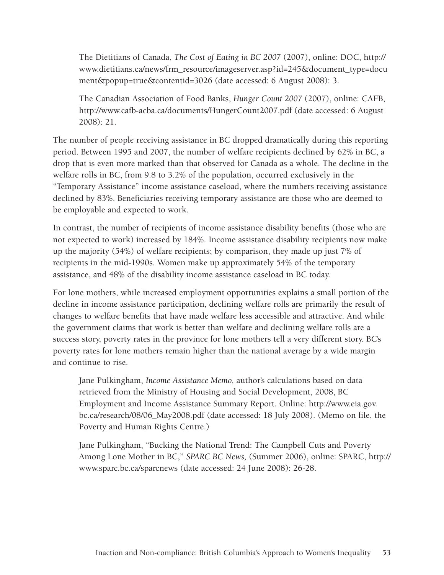The Dietitians of Canada, *The Cost of Eating in BC 2007* (2007), online: DOC, [http://](http://www.dietitians.ca/news/frm_resource/imageserver.asp?id=245&document_type=document&popup=true&contentid=3026) [www.dietitians.ca/news/frm\\_resource/imageserver.asp?id=245&document\\_type=docu](http://www.dietitians.ca/news/frm_resource/imageserver.asp?id=245&document_type=document&popup=true&contentid=3026) [ment&popup=true&contentid=3026](http://www.dietitians.ca/news/frm_resource/imageserver.asp?id=245&document_type=document&popup=true&contentid=3026) (date accessed: 6 August 2008): 3.

The Canadian Association of Food Banks, *Hunger Count 2007* (2007), online: CAFB, <http://www.cafb-acba.ca/documents/HungerCount2007.pdf>(date accessed: 6 August 2008): 21.

The number of people receiving assistance in BC dropped dramatically during this reporting period. Between 1995 and 2007, the number of welfare recipients declined by 62% in BC, a drop that is even more marked than that observed for Canada as a whole. The decline in the welfare rolls in BC, from 9.8 to 3.2% of the population, occurred exclusively in the "Temporary Assistance" income assistance caseload, where the numbers receiving assistance declined by 83%. Beneficiaries receiving temporary assistance are those who are deemed to be employable and expected to work.

In contrast, the number of recipients of income assistance disability benefits (those who are not expected to work) increased by 184%. Income assistance disability recipients now make up the majority (54%) of welfare recipients; by comparison, they made up just 7% of recipients in the mid-1990s. Women make up approximately 54% of the temporary assistance, and 48% of the disability income assistance caseload in BC today.

For lone mothers, while increased employment opportunities explains a small portion of the decline in income assistance participation, declining welfare rolls are primarily the result of changes to welfare benefits that have made welfare less accessible and attractive. And while the government claims that work is better than welfare and declining welfare rolls are a success story, poverty rates in the province for lone mothers tell a very different story. BC's poverty rates for lone mothers remain higher than the national average by a wide margin and continue to rise.

Jane Pulkingham, *Income Assistance Memo,* author's calculations based on data retrieved from the Ministry of Housing and Social Development, 2008, BC Employment and Income Assistance Summary Report. Online: [http://www.eia.gov.](http://www.eia.gov.bc.ca/research/08/06_May2008.pdf) [bc.ca/research/08/06\\_May2008.pdf](http://www.eia.gov.bc.ca/research/08/06_May2008.pdf) (date accessed: 18 July 2008). (Memo on file, the Poverty and Human Rights Centre.)

Jane Pulkingham, "Bucking the National Trend: The Campbell Cuts and Poverty Among Lone Mother in BC," *SPARC BC News,* (Summer 2006), online: SPARC, [http://](http://www.sparc.bc.ca/sparcnews) [www.sparc.bc.ca/sparcnews](http://www.sparc.bc.ca/sparcnews) (date accessed: 24 June 2008): 26-28.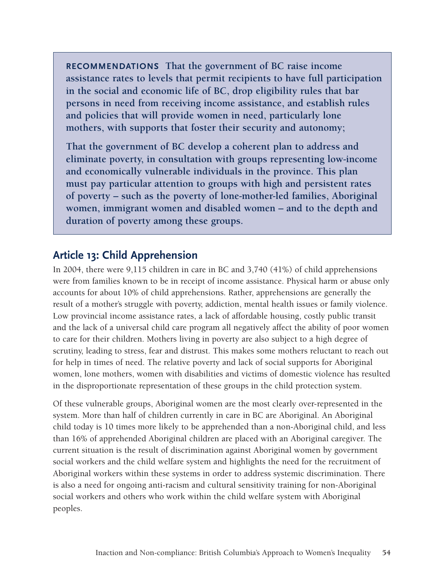**Recommendations That the government of BC raise income assistance rates to levels that permit recipients to have full participation in the social and economic life of BC, drop eligibility rules that bar persons in need from receiving income assistance, and establish rules and policies that will provide women in need, particularly lone mothers, with supports that foster their security and autonomy;**

**That the government of BC develop a coherent plan to address and eliminate poverty, in consultation with groups representing low-income and economically vulnerable individuals in the province. This plan must pay particular attention to groups with high and persistent rates of poverty – such as the poverty of lone-mother-led families, Aboriginal women, immigrant women and disabled women – and to the depth and duration of poverty among these groups.** 

# **Article 13: Child Apprehension**

In 2004, there were 9,115 children in care in BC and 3,740 (41%) of child apprehensions were from families known to be in receipt of income assistance. Physical harm or abuse only accounts for about 10% of child apprehensions. Rather, apprehensions are generally the result of a mother's struggle with poverty, addiction, mental health issues or family violence. Low provincial income assistance rates, a lack of affordable housing, costly public transit and the lack of a universal child care program all negatively affect the ability of poor women to care for their children. Mothers living in poverty are also subject to a high degree of scrutiny, leading to stress, fear and distrust. This makes some mothers reluctant to reach out for help in times of need. The relative poverty and lack of social supports for Aboriginal women, lone mothers, women with disabilities and victims of domestic violence has resulted in the disproportionate representation of these groups in the child protection system.

Of these vulnerable groups, Aboriginal women are the most clearly over-represented in the system. More than half of children currently in care in BC are Aboriginal. An Aboriginal child today is 10 times more likely to be apprehended than a non-Aboriginal child, and less than 16% of apprehended Aboriginal children are placed with an Aboriginal caregiver. The current situation is the result of discrimination against Aboriginal women by government social workers and the child welfare system and highlights the need for the recruitment of Aboriginal workers within these systems in order to address systemic discrimination. There is also a need for ongoing anti-racism and cultural sensitivity training for non-Aboriginal social workers and others who work within the child welfare system with Aboriginal peoples.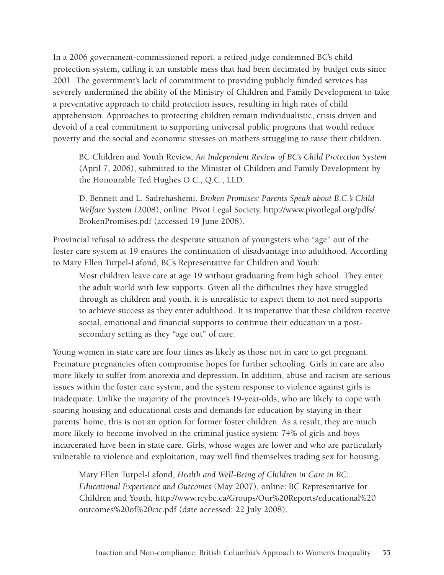In a 2006 government-commissioned report, a retired judge condemned BC's child protection system, calling it an unstable mess that had been decimated by budget cuts since 2001. The government's lack of commitment to providing publicly funded services has severely undermined the ability of the Ministry of Children and Family Development to take a preventative approach to child protection issues, resulting in high rates of child apprehension. Approaches to protecting children remain individualistic, crisis driven and devoid of a real commitment to supporting universal public programs that would reduce poverty and the social and economic stresses on mothers struggling to raise their children.

BC Children and Youth Review, *An Independent Review of BC's Child Protection System* (April 7, 2006), submitted to the Minister of Children and Family Development by the Honourable Ted Hughes O.C., Q.C., LLD.

D. Bennett and L. Sadrehashemi, *Broken Promises: Parents Speak about B.C.'s Child Welfare System* (2008), online: Pivot Legal Society, [http://www.pivotlegal.org/pdfs/](http://www.pivotlegal.org/pdfs/BrokenPromises.pdf) [BrokenPromises.pdf](http://www.pivotlegal.org/pdfs/BrokenPromises.pdf) (accessed 19 June 2008).

Provincial refusal to address the desperate situation of youngsters who "age" out of the foster care system at 19 ensures the continuation of disadvantage into adulthood. According to Mary Ellen Turpel-Lafond, BC's Representative for Children and Youth:

Most children leave care at age 19 without graduating from high school. They enter the adult world with few supports. Given all the difficulties they have struggled through as children and youth, it is unrealistic to expect them to not need supports to achieve success as they enter adulthood. It is imperative that these children receive social, emotional and financial supports to continue their education in a postsecondary setting as they "age out" of care.

Young women in state care are four times as likely as those not in care to get pregnant. Premature pregnancies often compromise hopes for further schooling. Girls in care are also more likely to suffer from anorexia and depression. In addition, abuse and racism are serious issues within the foster care system, and the system response to violence against girls is inadequate. Unlike the majority of the province's 19-year-olds, who are likely to cope with soaring housing and educational costs and demands for education by staying in their parents' home, this is not an option for former foster children. As a result, they are much more likely to become involved in the criminal justice system: 74% of girls and boys incarcerated have been in state care. Girls, whose wages are lower and who are particularly vulnerable to violence and exploitation, may well find themselves trading sex for housing.

Mary Ellen Turpel-Lafond, *Health and Well-Being of Children in Care in BC: Educational Experience and Outcomes* (May 2007), online: BC Representative for Children and Youth, [http://www.rcybc.ca/Groups/Our%20Reports/educational%20](http://www.rcybc.ca/Groups/Our Reports/educational outcomes of cic.pdf) [outcomes%20of%20cic.pdf](http://www.rcybc.ca/Groups/Our Reports/educational outcomes of cic.pdf) (date accessed: 22 July 2008).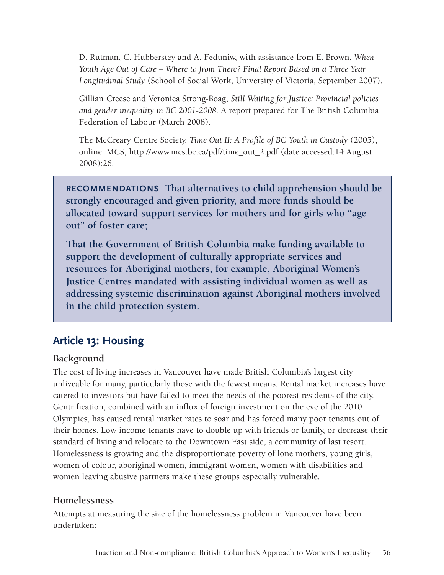D. Rutman, C. Hubberstey and A. Feduniw, with assistance from E. Brown, *When Youth Age Out of Care – Where to from There? Final Report Based on a Three Year Longitudinal Study* (School of Social Work, University of Victoria, September 2007).

Gillian Creese and Veronica Strong-Boag, *Still Waiting for Justice: Provincial policies and gender inequality in BC 2001-2008.* A report prepared for The British Columbia Federation of Labour (March 2008).

The McCreary Centre Society, *Time Out II: A Profile of BC Youth in Custody* (2005), online: MCS, [http://www.mcs.bc.ca/pdf/time\\_out\\_2.pdf](http://www.mcs.bc.ca/pdf/time_out_2.pdf) (date accessed:14 August 2008):26.

**Recommendations That alternatives to child apprehension should be strongly encouraged and given priority, and more funds should be allocated toward support services for mothers and for girls who "age out" of foster care;**

**That the Government of British Columbia make funding available to support the development of culturally appropriate services and resources for Aboriginal mothers, for example, Aboriginal Women's Justice Centres mandated with assisting individual women as well as addressing systemic discrimination against Aboriginal mothers involved in the child protection system.**

# **Article 13: Housing**

## **Background**

The cost of living increases in Vancouver have made British Columbia's largest city unliveable for many, particularly those with the fewest means. Rental market increases have catered to investors but have failed to meet the needs of the poorest residents of the city. Gentrification, combined with an influx of foreign investment on the eve of the 2010 Olympics, has caused rental market rates to soar and has forced many poor tenants out of their homes. Low income tenants have to double up with friends or family, or decrease their standard of living and relocate to the Downtown East side, a community of last resort. Homelessness is growing and the disproportionate poverty of lone mothers, young girls, women of colour, aboriginal women, immigrant women, women with disabilities and women leaving abusive partners make these groups especially vulnerable.

## **Homelessness**

Attempts at measuring the size of the homelessness problem in Vancouver have been undertaken: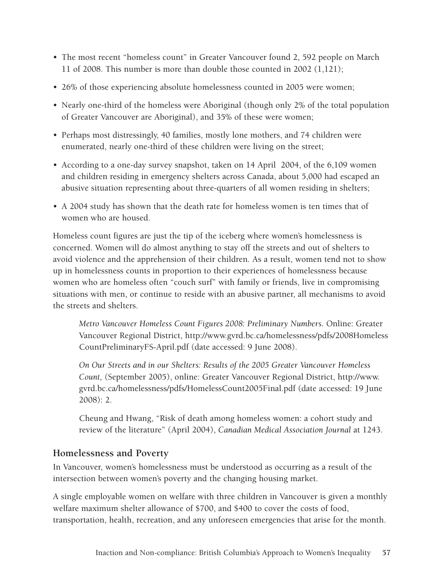- The most recent "homeless count" in Greater Vancouver found 2, 592 people on March 11 of 2008. This number is more than double those counted in 2002 (1,121);
- 26% of those experiencing absolute homelessness counted in 2005 were women;
- Nearly one-third of the homeless were Aboriginal (though only 2% of the total population of Greater Vancouver are Aboriginal), and 35% of these were women;
- Perhaps most distressingly, 40 families, mostly lone mothers, and 74 children were enumerated, nearly one-third of these children were living on the street;
- According to a one-day survey snapshot, taken on 14 April 2004, of the 6,109 women and children residing in emergency shelters across Canada, about 5,000 had escaped an abusive situation representing about three-quarters of all women residing in shelters;
- A 2004 study has shown that the death rate for homeless women is ten times that of women who are housed.

Homeless count figures are just the tip of the iceberg where women's homelessness is concerned. Women will do almost anything to stay off the streets and out of shelters to avoid violence and the apprehension of their children. As a result, women tend not to show up in homelessness counts in proportion to their experiences of homelessness because women who are homeless often "couch surf" with family or friends, live in compromising situations with men, or continue to reside with an abusive partner, all mechanisms to avoid the streets and shelters.

*Metro Vancouver Homeless Count Figures 2008: Preliminary Numbers.* Online: Greater Vancouver Regional District, [http://www.gvrd.bc.ca/homelessness/pdfs/2008Homeless](http://www.gvrd.bc.ca/homelessness/pdfs/2008HomelessCountPreliminaryFS-April.pdf ) [CountPreliminaryFS-April.pdf](http://www.gvrd.bc.ca/homelessness/pdfs/2008HomelessCountPreliminaryFS-April.pdf ) (date accessed: 9 June 2008).

*On Our Streets and in our Shelters: Results of the 2005 Greater Vancouver Homeless Count,* (September 2005), online: Greater Vancouver Regional District, [http://www.](http://www.gvrd.bc.ca/homelessness/pdfs/HomelessCount2005Final.pdf) [gvrd.bc.ca/homelessness/pdfs/HomelessCount2005Final.pdf](http://www.gvrd.bc.ca/homelessness/pdfs/HomelessCount2005Final.pdf) (date accessed: 19 June 2008): 2.

Cheung and Hwang, "Risk of death among homeless women: a cohort study and review of the literature" (April 2004), *Canadian Medical Association Journal* at 1243.

## **Homelessness and Poverty**

In Vancouver, women's homelessness must be understood as occurring as a result of the intersection between women's poverty and the changing housing market.

A single employable women on welfare with three children in Vancouver is given a monthly welfare maximum shelter allowance of \$700, and \$400 to cover the costs of food, transportation, health, recreation, and any unforeseen emergencies that arise for the month.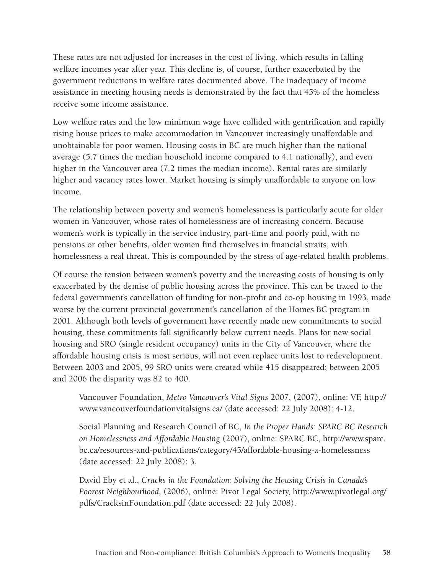These rates are not adjusted for increases in the cost of living, which results in falling welfare incomes year after year. This decline is, of course, further exacerbated by the government reductions in welfare rates documented above. The inadequacy of income assistance in meeting housing needs is demonstrated by the fact that 45% of the homeless receive some income assistance.

Low welfare rates and the low minimum wage have collided with gentrification and rapidly rising house prices to make accommodation in Vancouver increasingly unaffordable and unobtainable for poor women. Housing costs in BC are much higher than the national average (5.7 times the median household income compared to 4.1 nationally), and even higher in the Vancouver area (7.2 times the median income). Rental rates are similarly higher and vacancy rates lower. Market housing is simply unaffordable to anyone on low income.

The relationship between poverty and women's homelessness is particularly acute for older women in Vancouver, whose rates of homelessness are of increasing concern. Because women's work is typically in the service industry, part-time and poorly paid, with no pensions or other benefits, older women find themselves in financial straits, with homelessness a real threat. This is compounded by the stress of age-related health problems.

Of course the tension between women's poverty and the increasing costs of housing is only exacerbated by the demise of public housing across the province. This can be traced to the federal government's cancellation of funding for non-profit and co-op housing in 1993, made worse by the current provincial government's cancellation of the Homes BC program in 2001. Although both levels of government have recently made new commitments to social housing, these commitments fall significantly below current needs. Plans for new social housing and SRO (single resident occupancy) units in the City of Vancouver, where the affordable housing crisis is most serious, will not even replace units lost to redevelopment. Between 2003 and 2005, 99 SRO units were created while 415 disappeared; between 2005 and 2006 the disparity was 82 to 400.

Vancouver Foundation, *Metro Vancouver's Vital Signs* 2007, (2007), online: VF, [http://](http://www.vancouverfoundationvitalsigns.ca/) [www.vancouverfoundationvitalsigns.ca/](http://www.vancouverfoundationvitalsigns.ca/) (date accessed: 22 July 2008): 4-12.

Social Planning and Research Council of BC, *In the Proper Hands: SPARC BC Research on Homelessness and Affordable Housing* (2007), online: SPARC BC, [http://www.sparc.](http://www.sparc.bc.ca/resources-and-publications/category/45/affordable-housing-a-homelessness) [bc.ca/resources-and-publications/category/45/affordable-housing-a-homelessness](http://www.sparc.bc.ca/resources-and-publications/category/45/affordable-housing-a-homelessness) (date accessed: 22 July 2008): 3.

David Eby et al., *Cracks in the Foundation: Solving the Housing Crisis in Canada's Poorest Neighbourhood,* (2006), online: Pivot Legal Society, [http://www.pivotlegal.org/](http://www.pivotlegal.org/pdfs/CracksinFoundation.pdf) [pdfs/CracksinFoundation.pdf](http://www.pivotlegal.org/pdfs/CracksinFoundation.pdf) (date accessed: 22 July 2008).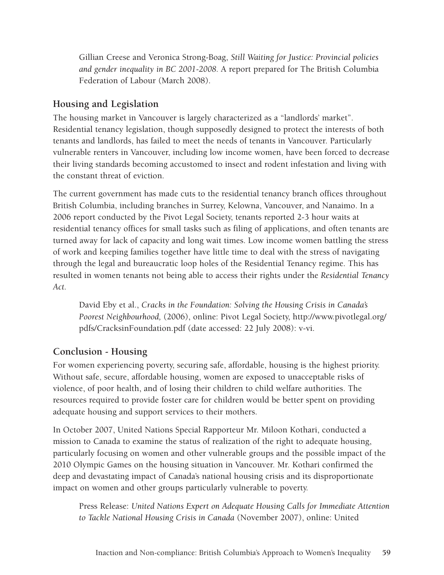Gillian Creese and Veronica Strong-Boag, *Still Waiting for Justice: Provincial policies and gender inequality in BC 2001-2008.* A report prepared for The British Columbia Federation of Labour (March 2008).

# **Housing and Legislation**

The housing market in Vancouver is largely characterized as a "landlords' market". Residential tenancy legislation, though supposedly designed to protect the interests of both tenants and landlords, has failed to meet the needs of tenants in Vancouver. Particularly vulnerable renters in Vancouver, including low income women, have been forced to decrease their living standards becoming accustomed to insect and rodent infestation and living with the constant threat of eviction.

The current government has made cuts to the residential tenancy branch offices throughout British Columbia, including branches in Surrey, Kelowna, Vancouver, and Nanaimo. In a 2006 report conducted by the Pivot Legal Society, tenants reported 2-3 hour waits at residential tenancy offices for small tasks such as filing of applications, and often tenants are turned away for lack of capacity and long wait times. Low income women battling the stress of work and keeping families together have little time to deal with the stress of navigating through the legal and bureaucratic loop holes of the Residential Tenancy regime. This has resulted in women tenants not being able to access their rights under the *Residential Tenancy Act.* 

David Eby et al., *Cracks in the Foundation: Solving the Housing Crisis in Canada's Poorest Neighbourhood,* (2006), online: Pivot Legal Society, [http://www.pivotlegal.org/](http://www.pivotlegal.org/pdfs/CracksinFoundation.pdf) [pdfs/CracksinFoundation.pdf](http://www.pivotlegal.org/pdfs/CracksinFoundation.pdf) (date accessed: 22 July 2008): v-vi.

## **Conclusion - Housing**

For women experiencing poverty, securing safe, affordable, housing is the highest priority. Without safe, secure, affordable housing, women are exposed to unacceptable risks of violence, of poor health, and of losing their children to child welfare authorities. The resources required to provide foster care for children would be better spent on providing adequate housing and support services to their mothers.

In October 2007, United Nations Special Rapporteur Mr. Miloon Kothari, conducted a mission to Canada to examine the status of realization of the right to adequate housing, particularly focusing on women and other vulnerable groups and the possible impact of the 2010 Olympic Games on the housing situation in Vancouver. Mr. Kothari confirmed the deep and devastating impact of Canada's national housing crisis and its disproportionate impact on women and other groups particularly vulnerable to poverty.

Press Release: *United Nations Expert on Adequate Housing Calls for Immediate Attention to Tackle National Housing Crisis in Canada* (November 2007), online: United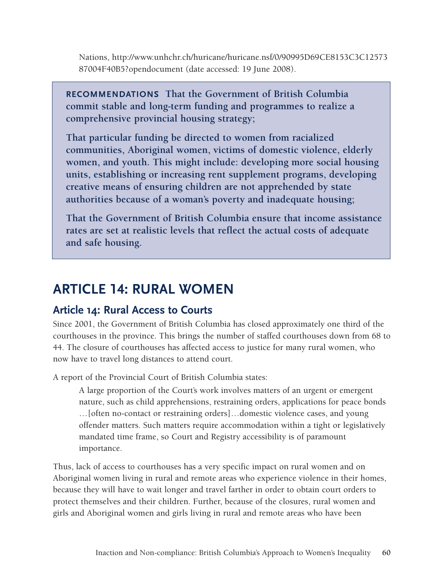Nations, [http://www.unhchr.ch/huricane/huricane.nsf/0/90995D69CE8153C3C12573](http://www.unhchr.ch/huricane/huricane.nsf/0/90995D69CE8153C3C1257387004F40B5?opendocument) [87004F40B5?opendocument](http://www.unhchr.ch/huricane/huricane.nsf/0/90995D69CE8153C3C1257387004F40B5?opendocument) (date accessed: 19 June 2008).

**Recommendations That the Government of British Columbia commit stable and long-term funding and programmes to realize a comprehensive provincial housing strategy;**

**That particular funding be directed to women from racialized communities, Aboriginal women, victims of domestic violence, elderly women, and youth. This might include: developing more social housing units, establishing or increasing rent supplement programs, developing creative means of ensuring children are not apprehended by state authorities because of a woman's poverty and inadequate housing;**

**That the Government of British Columbia ensure that income assistance rates are set at realistic levels that reflect the actual costs of adequate and safe housing.**

# **ARTICLE 14: RURAL WOMEN**

# **Article 14: Rural Access to Courts**

Since 2001, the Government of British Columbia has closed approximately one third of the courthouses in the province. This brings the number of staffed courthouses down from 68 to 44. The closure of courthouses has affected access to justice for many rural women, who now have to travel long distances to attend court.

A report of the Provincial Court of British Columbia states:

A large proportion of the Court's work involves matters of an urgent or emergent nature, such as child apprehensions, restraining orders, applications for peace bonds …[often no-contact or restraining orders]…domestic violence cases, and young offender matters. Such matters require accommodation within a tight or legislatively mandated time frame, so Court and Registry accessibility is of paramount importance.

Thus, lack of access to courthouses has a very specific impact on rural women and on Aboriginal women living in rural and remote areas who experience violence in their homes, because they will have to wait longer and travel farther in order to obtain court orders to protect themselves and their children. Further, because of the closures, rural women and girls and Aboriginal women and girls living in rural and remote areas who have been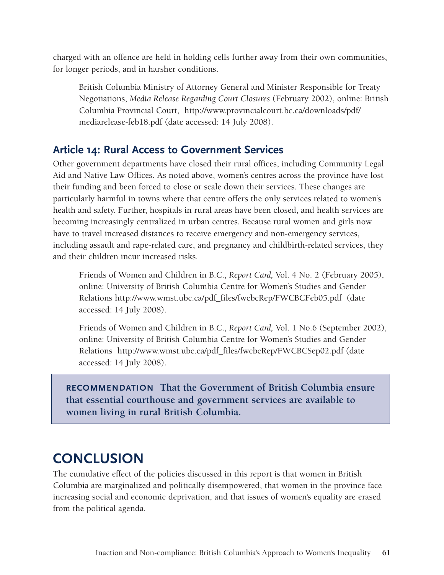charged with an offence are held in holding cells further away from their own communities, for longer periods, and in harsher conditions.

British Columbia Ministry of Attorney General and Minister Responsible for Treaty Negotiations, *Media Release Regarding Court Closures* (February 2002), online: British Columbia Provincial Court, [http://www.provincialcourt.bc.ca/downloads/pdf/](http://www.gov.bc.ca/prem/popt/corereview/srv_pln/ag/AG.pdf) [mediarelease-feb18.pdf](http://www.gov.bc.ca/prem/popt/corereview/srv_pln/ag/AG.pdf) (date accessed: 14 July 2008).

# **Article 14: Rural Access to Government Services**

Other government departments have closed their rural offices, including Community Legal Aid and Native Law Offices. As noted above, women's centres across the province have lost their funding and been forced to close or scale down their services. These changes are particularly harmful in towns where that centre offers the only services related to women's health and safety. Further, hospitals in rural areas have been closed, and health services are becoming increasingly centralized in urban centres. Because rural women and girls now have to travel increased distances to receive emergency and non-emergency services, including assault and rape-related care, and pregnancy and childbirth-related services, they and their children incur increased risks.

Friends of Women and Children in B.C., *Report Card,* Vol. 4 No. 2 (February 2005), online: University of British Columbia Centre for Women's Studies and Gender Relations [http://www.wmst.ubc.ca/pdf\\_files/fwcbcRep/FWCBCFeb05.pdf](http://www.wmst.ubc.ca/FWCBCAug02.pdf) (date accessed: 14 July 2008).

Friends of Women and Children in B.C., *Report Card,* Vol. 1 No.6 (September 2002), online: University of British Columbia Centre for Women's Studies and Gender Relations [http://www.wmst.ubc.ca/pdf\\_files/fwcbcRep/FWCBCSep02.pdf](http://www.wmst.ubc.ca/FWCBCSep02.pdf) (date accessed: 14 July 2008).

**Recommendation That the Government of British Columbia ensure that essential courthouse and government services are available to women living in rural British Columbia.**

# **CONCLUSION**

The cumulative effect of the policies discussed in this report is that women in British Columbia are marginalized and politically disempowered, that women in the province face increasing social and economic deprivation, and that issues of women's equality are erased from the political agenda.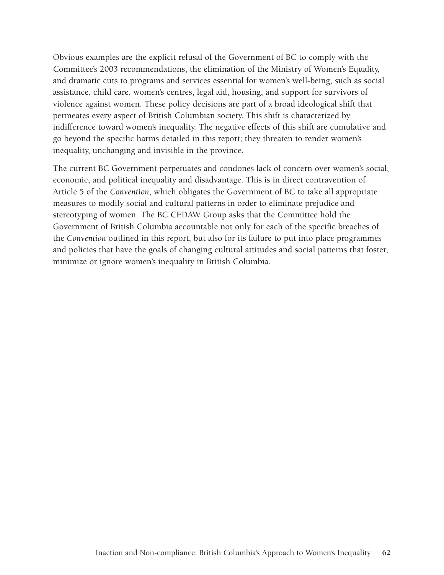Obvious examples are the explicit refusal of the Government of BC to comply with the Committee's 2003 recommendations, the elimination of the Ministry of Women's Equality, and dramatic cuts to programs and services essential for women's well-being, such as social assistance, child care, women's centres, legal aid, housing, and support for survivors of violence against women. These policy decisions are part of a broad ideological shift that permeates every aspect of British Columbian society. This shift is characterized by indifference toward women's inequality. The negative effects of this shift are cumulative and go beyond the specific harms detailed in this report; they threaten to render women's inequality, unchanging and invisible in the province.

The current BC Government perpetuates and condones lack of concern over women's social, economic, and political inequality and disadvantage. This is in direct contravention of Article 5 of the *Convention*, which obligates the Government of BC to take all appropriate measures to modify social and cultural patterns in order to eliminate prejudice and stereotyping of women. The BC CEDAW Group asks that the Committee hold the Government of British Columbia accountable not only for each of the specific breaches of the *Convention* outlined in this report, but also for its failure to put into place programmes and policies that have the goals of changing cultural attitudes and social patterns that foster, minimize or ignore women's inequality in British Columbia.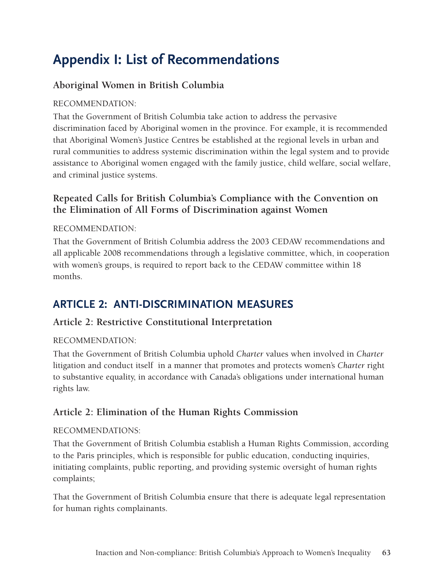# **Appendix I: List of Recommendations**

# **Aboriginal Women in British Columbia**

### Recommendation:

That the Government of British Columbia take action to address the pervasive discrimination faced by Aboriginal women in the province. For example, it is recommended that Aboriginal Women's Justice Centres be established at the regional levels in urban and rural communities to address systemic discrimination within the legal system and to provide assistance to Aboriginal women engaged with the family justice, child welfare, social welfare, and criminal justice systems.

# **Repeated Calls for British Columbia's Compliance with the Convention on the Elimination of All Forms of Discrimination against Women**

#### Recommendation:

That the Government of British Columbia address the 2003 CEDAW recommendations and all applicable 2008 recommendations through a legislative committee, which, in cooperation with women's groups, is required to report back to the CEDAW committee within 18 months.

# **ARTICLE 2: ANTI-DISCRIMINATION MEASURES**

## **Article 2: Restrictive Constitutional Interpretation**

#### Recommendation:

That the Government of British Columbia uphold *Charter* values when involved in *Charter* litigation and conduct itself in a manner that promotes and protects women's *Charter* right to substantive equality, in accordance with Canada's obligations under international human rights law.

## **Article 2: Elimination of the Human Rights Commission**

#### Recommendations:

That the Government of British Columbia establish a Human Rights Commission, according to the Paris principles, which is responsible for public education, conducting inquiries, initiating complaints, public reporting, and providing systemic oversight of human rights complaints;

That the Government of British Columbia ensure that there is adequate legal representation for human rights complainants.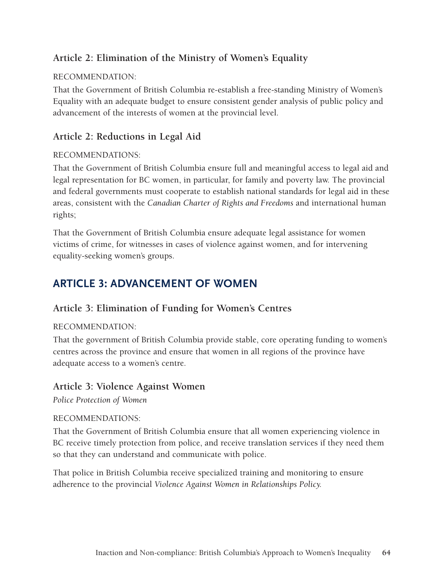# **Article 2: Elimination of the Ministry of Women's Equality**

#### Recommendation:

That the Government of British Columbia re-establish a free-standing Ministry of Women's Equality with an adequate budget to ensure consistent gender analysis of public policy and advancement of the interests of women at the provincial level.

# **Article 2: Reductions in Legal Aid**

#### Recommendations:

That the Government of British Columbia ensure full and meaningful access to legal aid and legal representation for BC women, in particular, for family and poverty law. The provincial and federal governments must cooperate to establish national standards for legal aid in these areas, consistent with the *Canadian Charter of Rights and Freedoms* and international human rights;

That the Government of British Columbia ensure adequate legal assistance for women victims of crime, for witnesses in cases of violence against women, and for intervening equality-seeking women's groups.

# **ARTICLE 3: ADVANCEMENT OF WOMEN**

## **Article 3: Elimination of Funding for Women's Centres**

#### Recommendation:

That the government of British Columbia provide stable, core operating funding to women's centres across the province and ensure that women in all regions of the province have adequate access to a women's centre.

## **Article 3: Violence Against Women**

*Police Protection of Women* 

#### Recommendations:

That the Government of British Columbia ensure that all women experiencing violence in BC receive timely protection from police, and receive translation services if they need them so that they can understand and communicate with police.

That police in British Columbia receive specialized training and monitoring to ensure adherence to the provincial *Violence Against Women in Relationships Policy.*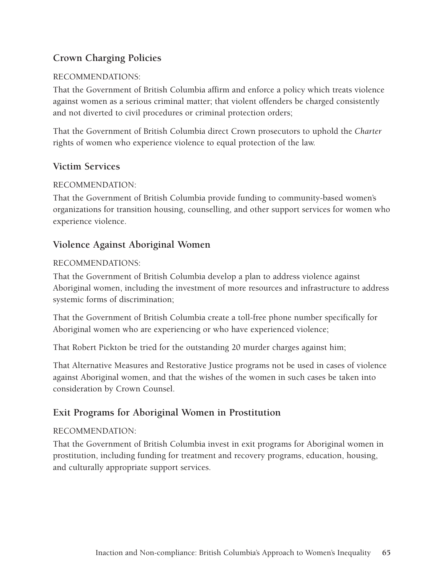# **Crown Charging Policies**

#### Recommendations:

That the Government of British Columbia affirm and enforce a policy which treats violence against women as a serious criminal matter; that violent offenders be charged consistently and not diverted to civil procedures or criminal protection orders;

That the Government of British Columbia direct Crown prosecutors to uphold the *Charter* rights of women who experience violence to equal protection of the law.

#### **Victim Services**

#### Recommendation:

That the Government of British Columbia provide funding to community-based women's organizations for transition housing, counselling, and other support services for women who experience violence.

#### **Violence Against Aboriginal Women**

#### Recommendations:

That the Government of British Columbia develop a plan to address violence against Aboriginal women, including the investment of more resources and infrastructure to address systemic forms of discrimination;

That the Government of British Columbia create a toll-free phone number specifically for Aboriginal women who are experiencing or who have experienced violence;

That Robert Pickton be tried for the outstanding 20 murder charges against him;

That Alternative Measures and Restorative Justice programs not be used in cases of violence against Aboriginal women, and that the wishes of the women in such cases be taken into consideration by Crown Counsel.

## **Exit Programs for Aboriginal Women in Prostitution**

#### Recommendation:

That the Government of British Columbia invest in exit programs for Aboriginal women in prostitution, including funding for treatment and recovery programs, education, housing, and culturally appropriate support services.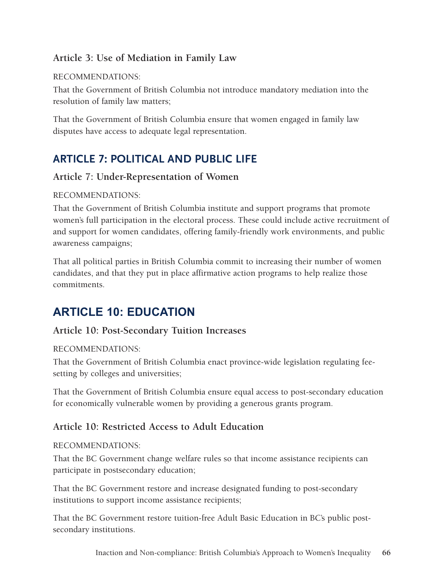# **Article 3: Use of Mediation in Family Law**

#### Recommendations:

That the Government of British Columbia not introduce mandatory mediation into the resolution of family law matters;

That the Government of British Columbia ensure that women engaged in family law disputes have access to adequate legal representation.

# **ARTICLE 7: POLITICAL AND PUBLIC LIFE**

# **Article 7: Under-Representation of Women**

#### Recommendations:

That the Government of British Columbia institute and support programs that promote women's full participation in the electoral process. These could include active recruitment of and support for women candidates, offering family-friendly work environments, and public awareness campaigns;

That all political parties in British Columbia commit to increasing their number of women candidates, and that they put in place affirmative action programs to help realize those commitments.

# **ARTICLE 10: EDUCATION**

# **Article 10: Post-Secondary Tuition Increases**

#### Recommendations:

That the Government of British Columbia enact province-wide legislation regulating feesetting by colleges and universities;

That the Government of British Columbia ensure equal access to post-secondary education for economically vulnerable women by providing a generous grants program.

# **Article 10: Restricted Access to Adult Education**

#### Recommendations:

That the BC Government change welfare rules so that income assistance recipients can participate in postsecondary education;

That the BC Government restore and increase designated funding to post-secondary institutions to support income assistance recipients;

That the BC Government restore tuition-free Adult Basic Education in BC's public postsecondary institutions.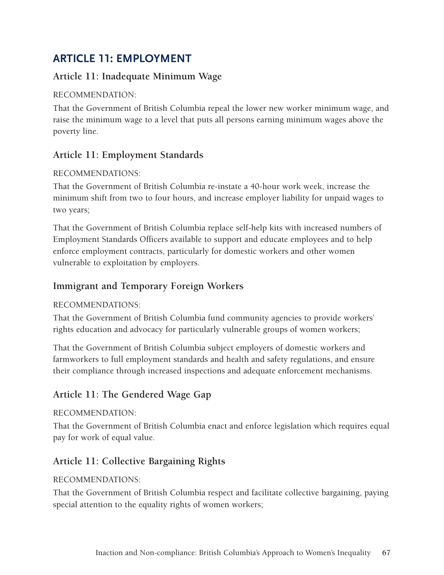# **ARTICLE 11: EMPLOYMENT**

# **Article 11: Inadequate Minimum Wage**

## Recommendation:

That the Government of British Columbia repeal the lower new worker minimum wage, and raise the minimum wage to a level that puts all persons earning minimum wages above the poverty line.

# **Article 11: Employment Standards**

## Recommendations:

That the Government of British Columbia re-instate a 40-hour work week, increase the minimum shift from two to four hours, and increase employer liability for unpaid wages to two years;

That the Government of British Columbia replace self-help kits with increased numbers of Employment Standards Officers available to support and educate employees and to help enforce employment contracts, particularly for domestic workers and other women vulnerable to exploitation by employers.

# **Immigrant and Temporary Foreign Workers**

## Recommendations:

That the Government of British Columbia fund community agencies to provide workers' rights education and advocacy for particularly vulnerable groups of women workers;

That the Government of British Columbia subject employers of domestic workers and farmworkers to full employment standards and health and safety regulations, and ensure their compliance through increased inspections and adequate enforcement mechanisms.

# **Article 11: The Gendered Wage Gap**

## Recommendation:

That the Government of British Columbia enact and enforce legislation which requires equal pay for work of equal value.

# **Article 11: Collective Bargaining Rights**

## Recommendations:

That the Government of British Columbia respect and facilitate collective bargaining, paying special attention to the equality rights of women workers;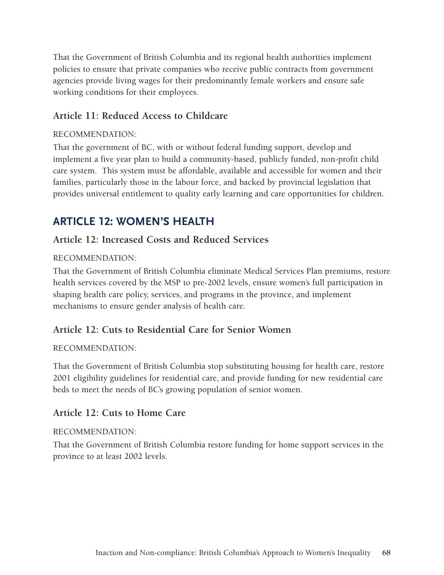That the Government of British Columbia and its regional health authorities implement policies to ensure that private companies who receive public contracts from government agencies provide living wages for their predominantly female workers and ensure safe working conditions for their employees.

# **Article 11: Reduced Access to Childcare**

#### Recommendation:

That the government of BC, with or without federal funding support, develop and implement a five year plan to build a community-based, publicly funded, non-profit child care system. This system must be affordable, available and accessible for women and their families, particularly those in the labour force, and backed by provincial legislation that provides universal entitlement to quality early learning and care opportunities for children.

# **ARTICLE 12: WOMEN'S HEALTH**

## **Article 12: Increased Costs and Reduced Services**

#### Recommendation:

That the Government of British Columbia eliminate Medical Services Plan premiums, restore health services covered by the MSP to pre-2002 levels, ensure women's full participation in shaping health care policy, services, and programs in the province, and implement mechanisms to ensure gender analysis of health care.

## **Article 12: Cuts to Residential Care for Senior Women**

#### Recommendation:

That the Government of British Columbia stop substituting housing for health care, restore 2001 eligibility guidelines for residential care, and provide funding for new residential care beds to meet the needs of BC's growing population of senior women.

## **Article 12: Cuts to Home Care**

#### Recommendation:

That the Government of British Columbia restore funding for home support services in the province to at least 2002 levels.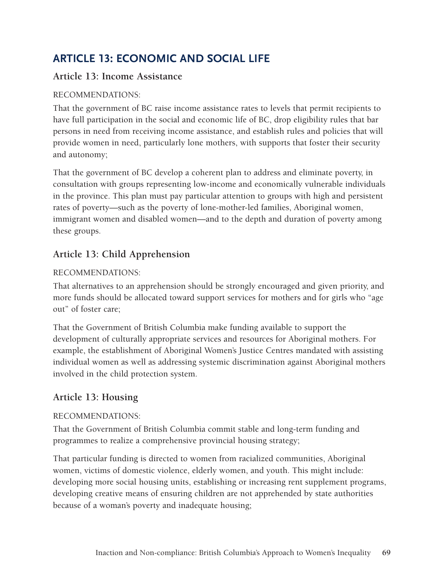# **ARTICLE 13: ECONOMIC AND SOCIAL LIFE**

# **Article 13: Income Assistance**

#### Recommendations:

That the government of BC raise income assistance rates to levels that permit recipients to have full participation in the social and economic life of BC, drop eligibility rules that bar persons in need from receiving income assistance, and establish rules and policies that will provide women in need, particularly lone mothers, with supports that foster their security and autonomy;

That the government of BC develop a coherent plan to address and eliminate poverty, in consultation with groups representing low-income and economically vulnerable individuals in the province. This plan must pay particular attention to groups with high and persistent rates of poverty—such as the poverty of lone-mother-led families, Aboriginal women, immigrant women and disabled women—and to the depth and duration of poverty among these groups.

# **Article 13: Child Apprehension**

#### Recommendations:

That alternatives to an apprehension should be strongly encouraged and given priority, and more funds should be allocated toward support services for mothers and for girls who "age out" of foster care;

That the Government of British Columbia make funding available to support the development of culturally appropriate services and resources for Aboriginal mothers. For example, the establishment of Aboriginal Women's Justice Centres mandated with assisting individual women as well as addressing systemic discrimination against Aboriginal mothers involved in the child protection system.

# **Article 13: Housing**

#### Recommendations:

That the Government of British Columbia commit stable and long-term funding and programmes to realize a comprehensive provincial housing strategy;

That particular funding is directed to women from racialized communities, Aboriginal women, victims of domestic violence, elderly women, and youth. This might include: developing more social housing units, establishing or increasing rent supplement programs, developing creative means of ensuring children are not apprehended by state authorities because of a woman's poverty and inadequate housing;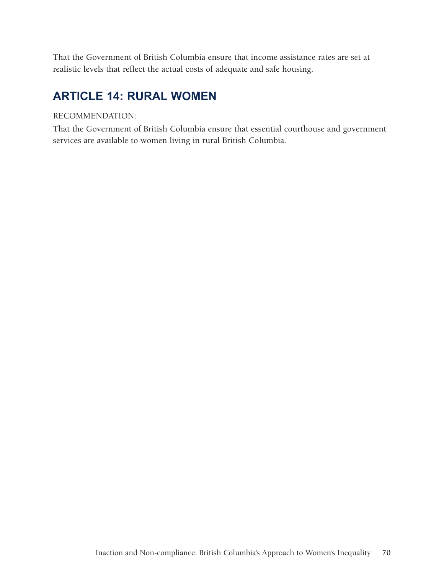That the Government of British Columbia ensure that income assistance rates are set at realistic levels that reflect the actual costs of adequate and safe housing.

# **ARTICLE 14: RURAL WOMEN**

#### Recommendation:

That the Government of British Columbia ensure that essential courthouse and government services are available to women living in rural British Columbia.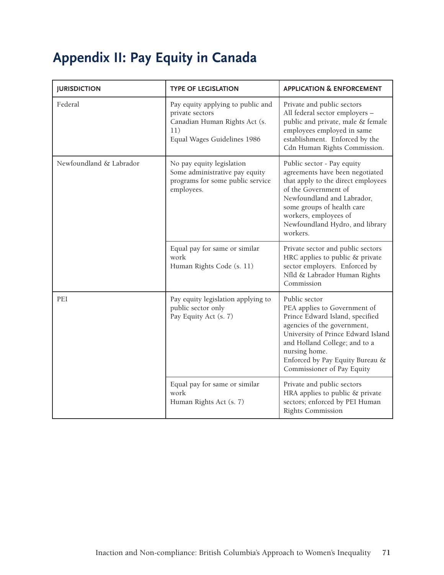# **Appendix II: Pay Equity in Canada**

| <b>JURISDICTION</b>     | <b>TYPE OF LEGISLATION</b>                                                                                                  | <b>APPLICATION &amp; ENFORCEMENT</b>                                                                                                                                                                                                                                     |
|-------------------------|-----------------------------------------------------------------------------------------------------------------------------|--------------------------------------------------------------------------------------------------------------------------------------------------------------------------------------------------------------------------------------------------------------------------|
| Federal                 | Pay equity applying to public and<br>private sectors<br>Canadian Human Rights Act (s.<br>11)<br>Equal Wages Guidelines 1986 | Private and public sectors<br>All federal sector employers -<br>public and private, male & female<br>employees employed in same<br>establishment. Enforced by the<br>Cdn Human Rights Commission.                                                                        |
| Newfoundland & Labrador | No pay equity legislation<br>Some administrative pay equity<br>programs for some public service<br>employees.               | Public sector - Pay equity<br>agreements have been negotiated<br>that apply to the direct employees<br>of the Government of<br>Newfoundland and Labrador,<br>some groups of health care<br>workers, employees of<br>Newfoundland Hydro, and library<br>workers.          |
|                         | Equal pay for same or similar<br>work<br>Human Rights Code (s. 11)                                                          | Private sector and public sectors<br>HRC applies to public & private<br>sector employers. Enforced by<br>Nfld & Labrador Human Rights<br>Commission                                                                                                                      |
| PEI                     | Pay equity legislation applying to<br>public sector only<br>Pay Equity Act (s. 7)                                           | Public sector<br>PEA applies to Government of<br>Prince Edward Island, specified<br>agencies of the government,<br>University of Prince Edward Island<br>and Holland College; and to a<br>nursing home.<br>Enforced by Pay Equity Bureau &<br>Commissioner of Pay Equity |
|                         | Equal pay for same or similar<br>work<br>Human Rights Act (s. 7)                                                            | Private and public sectors<br>HRA applies to public & private<br>sectors; enforced by PEI Human<br>Rights Commission                                                                                                                                                     |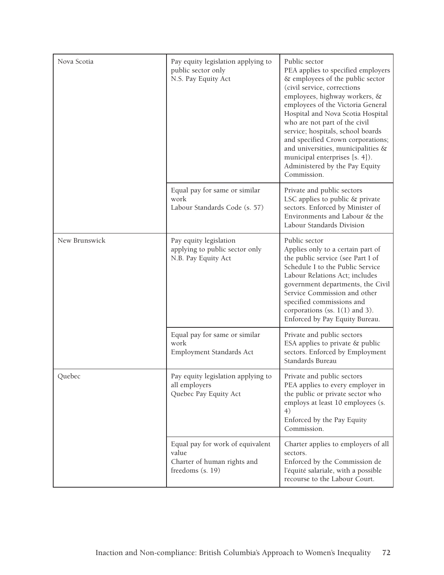| Nova Scotia   | Pay equity legislation applying to<br>public sector only<br>N.S. Pay Equity Act              | Public sector<br>PEA applies to specified employers<br>& employees of the public sector<br>(civil service, corrections<br>employees, highway workers, &<br>employees of the Victoria General<br>Hospital and Nova Scotia Hospital<br>who are not part of the civil<br>service; hospitals, school boards<br>and specified Crown corporations;<br>and universities, municipalities &<br>municipal enterprises [s. 4]).<br>Administered by the Pay Equity<br>Commission. |
|---------------|----------------------------------------------------------------------------------------------|-----------------------------------------------------------------------------------------------------------------------------------------------------------------------------------------------------------------------------------------------------------------------------------------------------------------------------------------------------------------------------------------------------------------------------------------------------------------------|
|               | Equal pay for same or similar<br>work<br>Labour Standards Code (s. 57)                       | Private and public sectors<br>LSC applies to public & private<br>sectors. Enforced by Minister of<br>Environments and Labour & the<br>Labour Standards Division                                                                                                                                                                                                                                                                                                       |
| New Brunswick | Pay equity legislation<br>applying to public sector only<br>N.B. Pay Equity Act              | Public sector<br>Applies only to a certain part of<br>the public service (see Part I of<br>Schedule I to the Public Service<br>Labour Relations Act; includes<br>government departments, the Civil<br>Service Commission and other<br>specified commissions and<br>corporations (ss. $1(1)$ and 3).<br>Enforced by Pay Equity Bureau.                                                                                                                                 |
|               | Equal pay for same or similar<br>work<br>Employment Standards Act                            | Private and public sectors<br>ESA applies to private & public<br>sectors. Enforced by Employment<br>Standards Bureau                                                                                                                                                                                                                                                                                                                                                  |
| Quebec        | Pay equity legislation applying to<br>all employers<br>Quebec Pay Equity Act                 | Private and public sectors<br>PEA applies to every employer in<br>the public or private sector who<br>employs at least 10 employees (s.<br>4)<br>Enforced by the Pay Equity<br>Commission.                                                                                                                                                                                                                                                                            |
|               | Equal pay for work of equivalent<br>value<br>Charter of human rights and<br>freedoms (s. 19) | Charter applies to employers of all<br>sectors.<br>Enforced by the Commission de<br>l'équité salariale, with a possible<br>recourse to the Labour Court.                                                                                                                                                                                                                                                                                                              |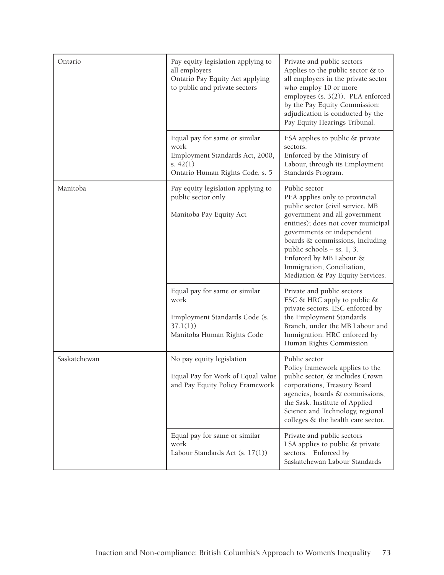| Ontario      | Pay equity legislation applying to<br>all employers<br>Ontario Pay Equity Act applying<br>to public and private sectors   | Private and public sectors<br>Applies to the public sector $\&$ to<br>all employers in the private sector<br>who employ 10 or more<br>employees (s. 3(2)). PEA enforced<br>by the Pay Equity Commission;<br>adjudication is conducted by the<br>Pay Equity Hearings Tribunal.                                                                             |
|--------------|---------------------------------------------------------------------------------------------------------------------------|-----------------------------------------------------------------------------------------------------------------------------------------------------------------------------------------------------------------------------------------------------------------------------------------------------------------------------------------------------------|
|              | Equal pay for same or similar<br>work<br>Employment Standards Act, 2000,<br>s. $42(1)$<br>Ontario Human Rights Code, s. 5 | ESA applies to public & private<br>sectors.<br>Enforced by the Ministry of<br>Labour, through its Employment<br>Standards Program.                                                                                                                                                                                                                        |
| Manitoba     | Pay equity legislation applying to<br>public sector only<br>Manitoba Pay Equity Act                                       | Public sector<br>PEA applies only to provincial<br>public sector (civil service, MB<br>government and all government<br>entities); does not cover municipal<br>governments or independent<br>boards & commissions, including<br>public schools $-$ ss. 1, 3.<br>Enforced by MB Labour &<br>Immigration, Conciliation,<br>Mediation & Pay Equity Services. |
|              | Equal pay for same or similar<br>work<br>Employment Standards Code (s.<br>37.1(1)<br>Manitoba Human Rights Code           | Private and public sectors<br>ESC & HRC apply to public &<br>private sectors. ESC enforced by<br>the Employment Standards<br>Branch, under the MB Labour and<br>Immigration. HRC enforced by<br>Human Rights Commission                                                                                                                                   |
| Saskatchewan | No pay equity legislation<br>Equal Pay for Work of Equal Value<br>and Pay Equity Policy Framework                         | Public sector<br>Policy framework applies to the<br>public sector, & includes Crown<br>corporations, Treasury Board<br>agencies, boards & commissions,<br>the Sask. Institute of Applied<br>Science and Technology, regional<br>colleges & the health care sector.                                                                                        |
|              | Equal pay for same or similar<br>work<br>Labour Standards Act (s. 17(1))                                                  | Private and public sectors<br>LSA applies to public & private<br>sectors. Enforced by<br>Saskatchewan Labour Standards                                                                                                                                                                                                                                    |